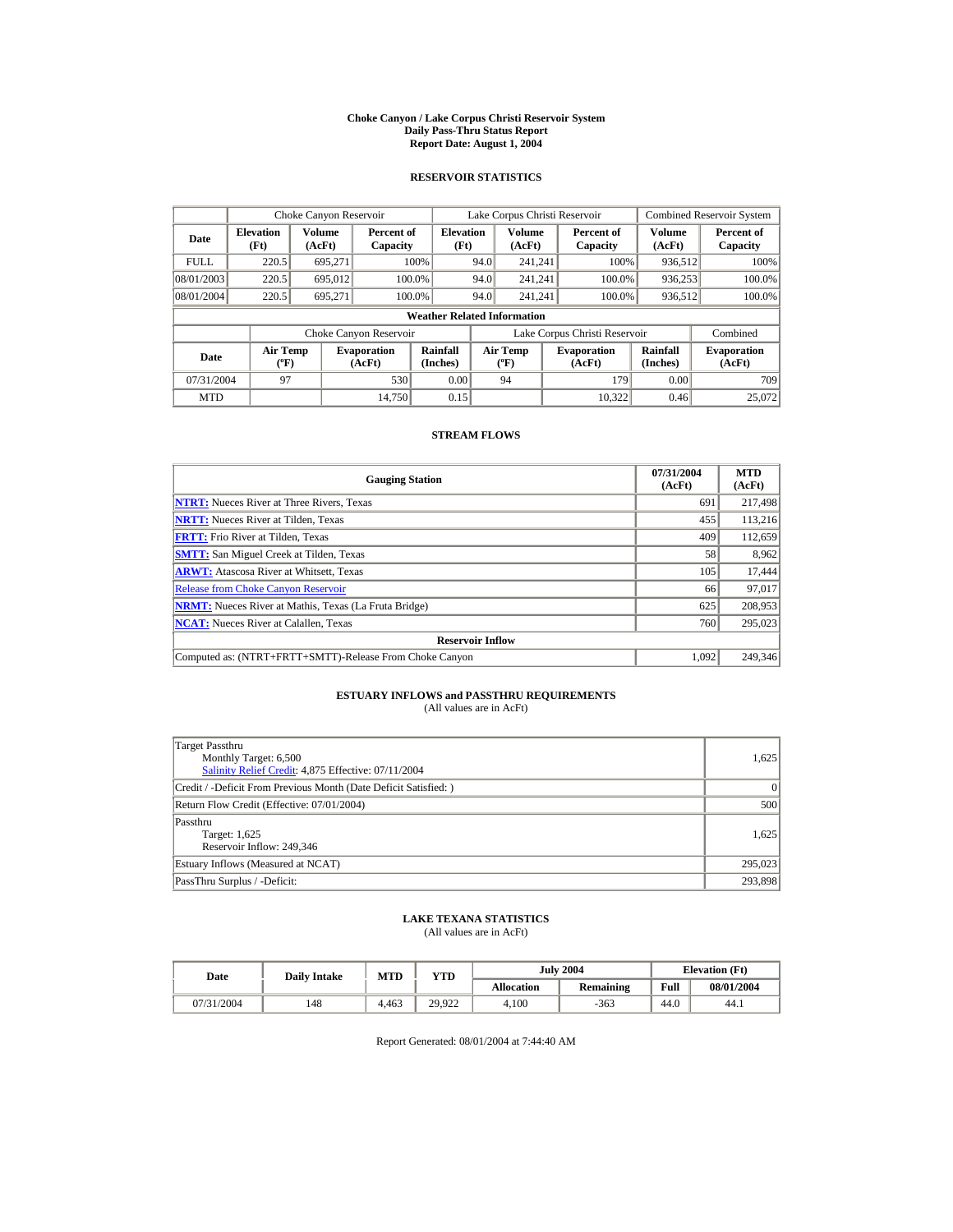#### **Choke Canyon / Lake Corpus Christi Reservoir System Daily Pass-Thru Status Report Report Date: August 1, 2004**

## **RESERVOIR STATISTICS**

|             | Choke Canyon Reservoir               |                  |                              |                                    |      | Lake Corpus Christi Reservoir    |                                                      |                               |                              | <b>Combined Reservoir System</b> |
|-------------|--------------------------------------|------------------|------------------------------|------------------------------------|------|----------------------------------|------------------------------------------------------|-------------------------------|------------------------------|----------------------------------|
| Date        | <b>Elevation</b><br>(Ft)             | Volume<br>(AcFt) | Percent of<br>Capacity       | <b>Elevation</b><br>(Ft)           |      | Volume<br>(AcFt)                 |                                                      | Percent of<br>Capacity        | Volume<br>(AcFt)             | Percent of<br>Capacity           |
| <b>FULL</b> | 220.5                                | 695.271          |                              | 100%                               | 94.0 | 241.241                          |                                                      | 100%                          | 936,512                      | 100%                             |
| 08/01/2003  | 220.5                                | 695,012          | 100.0%                       |                                    | 94.0 | 241.241                          |                                                      | 100.0%                        | 936,253                      | 100.0%                           |
| 08/01/2004  | 220.5                                | 695.271          | 100.0%                       |                                    | 94.0 | 241.241                          |                                                      | 100.0%                        | 936,512                      | 100.0%                           |
|             |                                      |                  |                              | <b>Weather Related Information</b> |      |                                  |                                                      |                               |                              |                                  |
|             |                                      |                  | Choke Canyon Reservoir       |                                    |      |                                  |                                                      | Lake Corpus Christi Reservoir |                              | Combined                         |
| Date        | Air Temp<br>$({}^{\circ}\mathrm{F})$ |                  | <b>Evaporation</b><br>(AcFt) | Rainfall<br>(Inches)               |      | <b>Air Temp</b><br>$(^{\circ}F)$ | Rainfall<br><b>Evaporation</b><br>(Inches)<br>(AcFt) |                               | <b>Evaporation</b><br>(AcFt) |                                  |
| 07/31/2004  | 97                                   |                  | 530                          | 0.00                               |      | 94                               |                                                      | 179                           | 0.00                         | 709                              |
| <b>MTD</b>  |                                      |                  | 14.750                       | 0.15                               |      |                                  |                                                      | 10.322                        | 0.46                         | 25,072                           |

## **STREAM FLOWS**

| <b>Gauging Station</b>                                       | 07/31/2004<br>(AcFt) | <b>MTD</b><br>(AcFt) |
|--------------------------------------------------------------|----------------------|----------------------|
| <b>NTRT:</b> Nueces River at Three Rivers, Texas             | 691                  | 217,498              |
| <b>NRTT:</b> Nueces River at Tilden, Texas                   | 455                  | 113.216              |
| <b>FRTT:</b> Frio River at Tilden, Texas                     | 409                  | 112,659              |
| <b>SMTT:</b> San Miguel Creek at Tilden, Texas               | 58                   | 8,962                |
| <b>ARWT:</b> Atascosa River at Whitsett, Texas               | 105                  | 17,444               |
| <b>Release from Choke Canvon Reservoir</b>                   | 66                   | 97.017               |
| <b>NRMT:</b> Nueces River at Mathis, Texas (La Fruta Bridge) | 625                  | 208,953              |
| <b>NCAT:</b> Nueces River at Calallen, Texas                 | 760                  | 295,023              |
| <b>Reservoir Inflow</b>                                      |                      |                      |
| Computed as: (NTRT+FRTT+SMTT)-Release From Choke Canyon      | 1.092                | 249,346              |

## **ESTUARY INFLOWS and PASSTHRU REQUIREMENTS**<br>(All values are in AcFt)

| Target Passthru<br>Monthly Target: 6,500<br>Salinity Relief Credit: 4,875 Effective: 07/11/2004 | 1.625     |
|-------------------------------------------------------------------------------------------------|-----------|
| Credit / -Deficit From Previous Month (Date Deficit Satisfied: )                                | $\vert$ 0 |
| Return Flow Credit (Effective: 07/01/2004)                                                      | 500       |
| Passthru<br>Target: 1,625<br>Reservoir Inflow: 249,346                                          | 1.625     |
| Estuary Inflows (Measured at NCAT)                                                              | 295,023   |
| PassThru Surplus / -Deficit:                                                                    | 293,898   |

## **LAKE TEXANA STATISTICS**

(All values are in AcFt)

| Date       | <b>MTD</b><br><b>Daily Intake</b> |       | $v_{\rm TD}$ |            | <b>July 2004</b> | <b>Elevation</b> (Ft) |            |
|------------|-----------------------------------|-------|--------------|------------|------------------|-----------------------|------------|
|            |                                   |       |              | Allocation | Remaining        | Full                  | 08/01/2004 |
| 07/31/2004 | 148                               | 4.463 | 29.922       | 4.100      | -363             | 44.0                  | 44.1       |

Report Generated: 08/01/2004 at 7:44:40 AM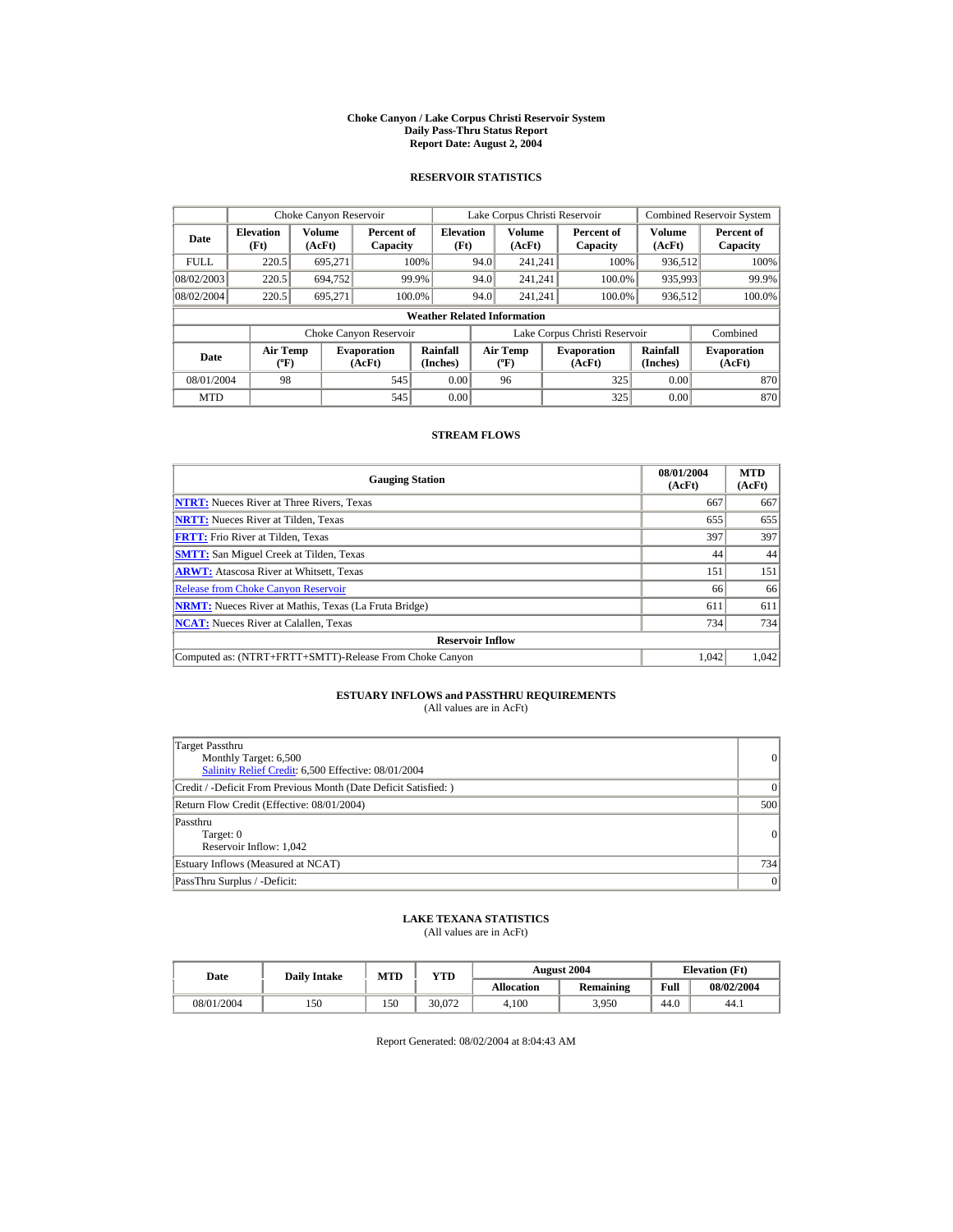#### **Choke Canyon / Lake Corpus Christi Reservoir System Daily Pass-Thru Status Report Report Date: August 2, 2004**

## **RESERVOIR STATISTICS**

|             | Choke Canyon Reservoir                      |                         |                              |                                    |      | Lake Corpus Christi Reservoir            |                               |                      | <b>Combined Reservoir System</b> |
|-------------|---------------------------------------------|-------------------------|------------------------------|------------------------------------|------|------------------------------------------|-------------------------------|----------------------|----------------------------------|
| Date        | <b>Elevation</b><br>(Ft)                    | <b>Volume</b><br>(AcFt) | Percent of<br>Capacity       | <b>Elevation</b><br>(Ft)           |      | Volume<br>(AcFt)                         | Percent of<br>Capacity        | Volume<br>(AcFt)     | Percent of<br>Capacity           |
| <b>FULL</b> | 220.5                                       | 695.271                 |                              | 100%                               | 94.0 | 241.241                                  | 100%                          | 936.512              | 100%                             |
| 08/02/2003  | 220.5                                       | 694.752                 | 99.9%                        |                                    | 94.0 | 241.241                                  | 100.0%                        | 935,993              | 99.9%                            |
| 08/02/2004  | 220.5                                       | 695.271                 | 100.0%                       |                                    | 94.0 | 241.241                                  | 100.0%                        | 936,512              | 100.0%                           |
|             |                                             |                         |                              | <b>Weather Related Information</b> |      |                                          |                               |                      |                                  |
|             |                                             |                         | Choke Canyon Reservoir       |                                    |      |                                          | Lake Corpus Christi Reservoir |                      | Combined                         |
| Date        | <b>Air Temp</b><br>$({}^{\circ}\mathrm{F})$ |                         | <b>Evaporation</b><br>(AcFt) | Rainfall<br>(Inches)               |      | <b>Air Temp</b><br>$({}^{\circ}{\rm F})$ | <b>Evaporation</b><br>(AcFt)  | Rainfall<br>(Inches) | <b>Evaporation</b><br>(AcFt)     |
| 08/01/2004  | 98                                          |                         | 545                          | 0.00                               |      | 96                                       | 325                           | 0.00                 | 870                              |
| <b>MTD</b>  |                                             |                         | 545                          | 0.00                               |      |                                          | 325                           | 0.00                 | 870                              |

## **STREAM FLOWS**

| <b>Gauging Station</b>                                       | 08/01/2004<br>(AcFt) | <b>MTD</b><br>(AcFt) |
|--------------------------------------------------------------|----------------------|----------------------|
| <b>NTRT:</b> Nueces River at Three Rivers, Texas             | 667                  | 667                  |
| <b>NRTT:</b> Nueces River at Tilden, Texas                   | 655                  | 655                  |
| <b>FRTT:</b> Frio River at Tilden, Texas                     | 397                  | 397                  |
| <b>SMTT:</b> San Miguel Creek at Tilden, Texas               | 44                   | 44                   |
| <b>ARWT:</b> Atascosa River at Whitsett, Texas               | 151                  | 151                  |
| <b>Release from Choke Canvon Reservoir</b>                   | 66                   | 66                   |
| <b>NRMT:</b> Nueces River at Mathis, Texas (La Fruta Bridge) | 611                  | 611                  |
| <b>NCAT:</b> Nueces River at Calallen, Texas                 | 734                  | 734                  |
| <b>Reservoir Inflow</b>                                      |                      |                      |
| Computed as: (NTRT+FRTT+SMTT)-Release From Choke Canyon      | 1.042                | 1.042                |

# **ESTUARY INFLOWS and PASSTHRU REQUIREMENTS**<br>(All values are in AcFt)

| Target Passthru<br>Monthly Target: 6,500<br>Salinity Relief Credit: 6,500 Effective: 08/01/2004 | 0         |
|-------------------------------------------------------------------------------------------------|-----------|
| Credit / -Deficit From Previous Month (Date Deficit Satisfied: )                                | $\vert$ 0 |
| Return Flow Credit (Effective: 08/01/2004)                                                      | 500       |
| Passthru<br>Target: 0<br>Reservoir Inflow: 1,042                                                | 0         |
| Estuary Inflows (Measured at NCAT)                                                              | 734       |
| PassThru Surplus / -Deficit:                                                                    | 0         |

## **LAKE TEXANA STATISTICS**

(All values are in AcFt)

| Date       | <b>Daily Intake</b> | <b>MTD</b> | YTD    |                   | <b>August 2004</b> | <b>Elevation</b> (Ft) |            |
|------------|---------------------|------------|--------|-------------------|--------------------|-----------------------|------------|
|            |                     |            |        | <b>Allocation</b> | <b>Remaining</b>   | Full                  | 08/02/2004 |
| 08/01/2004 | 150                 | 150        | 30.072 | 4.100             | 3.950              | 44.0                  | 44.1       |

Report Generated: 08/02/2004 at 8:04:43 AM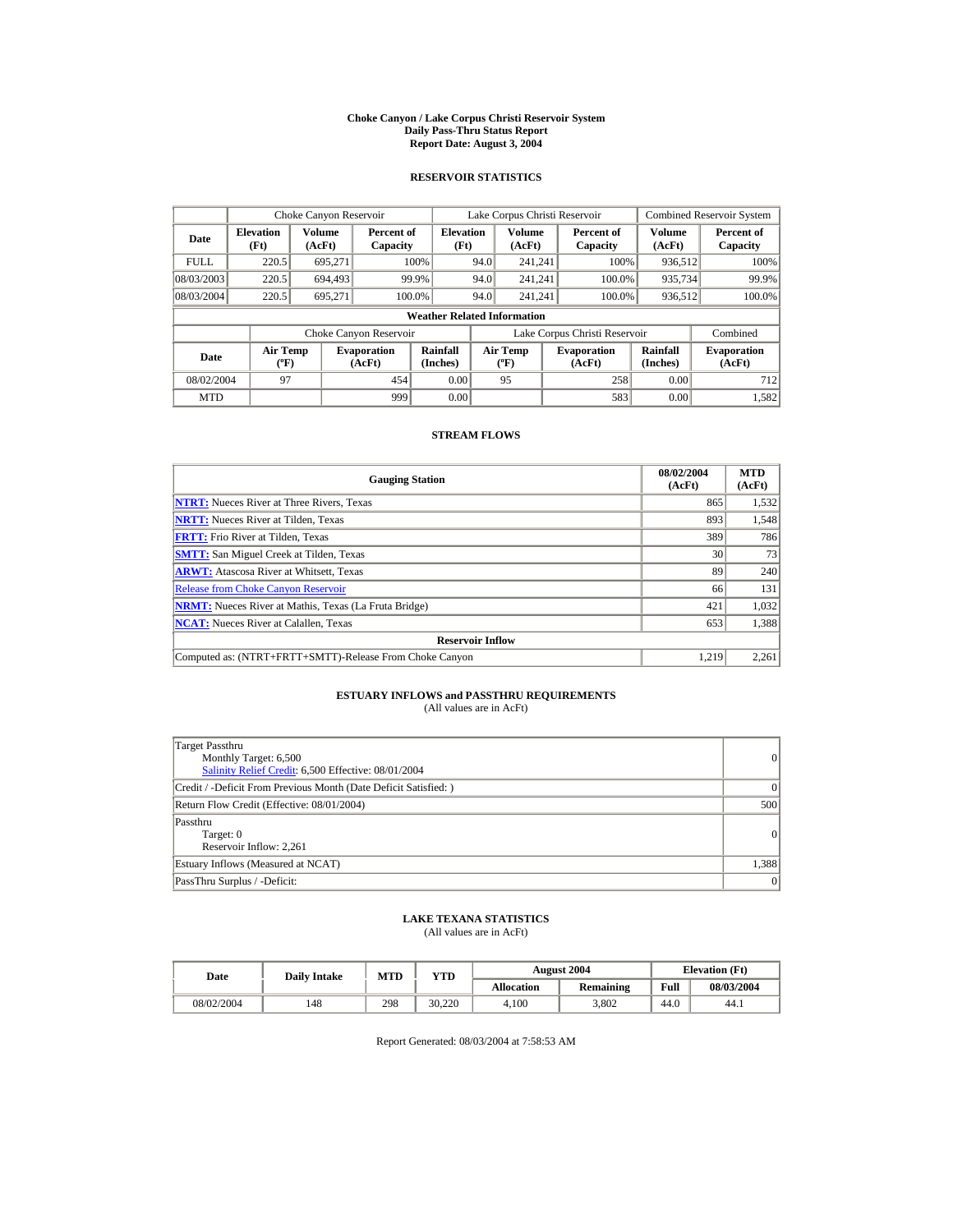#### **Choke Canyon / Lake Corpus Christi Reservoir System Daily Pass-Thru Status Report Report Date: August 3, 2004**

## **RESERVOIR STATISTICS**

|             | Choke Canyon Reservoir                      |                  |                              |                                    |      | Lake Corpus Christi Reservoir             |                               |                      | <b>Combined Reservoir System</b> |
|-------------|---------------------------------------------|------------------|------------------------------|------------------------------------|------|-------------------------------------------|-------------------------------|----------------------|----------------------------------|
| Date        | <b>Elevation</b><br>(Ft)                    | Volume<br>(AcFt) | Percent of<br>Capacity       | <b>Elevation</b><br>(Ft)           |      | Volume<br>(AcFt)                          | Percent of<br>Capacity        | Volume<br>(AcFt)     | Percent of<br>Capacity           |
| <b>FULL</b> | 220.5                                       | 695.271          |                              | 100%                               | 94.0 | 241.241                                   | 100%                          | 936,512              | 100%                             |
| 08/03/2003  | 220.5                                       | 694.493          | 99.9%                        |                                    | 94.0 | 241.241                                   | 100.0%                        | 935,734              | 99.9%                            |
| 08/03/2004  | 220.5                                       | 695.271          | 100.0%                       |                                    | 94.0 | 241.241                                   | 100.0%                        | 936,512              | 100.0%                           |
|             |                                             |                  |                              | <b>Weather Related Information</b> |      |                                           |                               |                      |                                  |
|             |                                             |                  | Choke Canyon Reservoir       |                                    |      |                                           | Lake Corpus Christi Reservoir |                      | Combined                         |
| Date        | <b>Air Temp</b><br>$({}^{\circ}\mathrm{F})$ |                  | <b>Evaporation</b><br>(AcFt) | Rainfall<br>(Inches)               |      | <b>Air Temp</b><br>$({}^{\circ}\text{F})$ | <b>Evaporation</b><br>(AcFt)  | Rainfall<br>(Inches) | <b>Evaporation</b><br>(AcFt)     |
| 08/02/2004  | 97                                          |                  | 454                          | 0.00                               |      | 95                                        | 258                           | 0.00                 | 712                              |
| <b>MTD</b>  |                                             |                  | 999                          | 0.00                               |      |                                           | 583                           | 0.00                 | 1,582                            |

## **STREAM FLOWS**

| <b>Gauging Station</b>                                       | 08/02/2004<br>(AcFt) | <b>MTD</b><br>(AcFt) |
|--------------------------------------------------------------|----------------------|----------------------|
| <b>NTRT:</b> Nueces River at Three Rivers, Texas             | 865                  | 1,532                |
| <b>NRTT:</b> Nueces River at Tilden, Texas                   | 893                  | 1,548                |
| <b>FRTT:</b> Frio River at Tilden, Texas                     | 389                  | 786                  |
| <b>SMTT:</b> San Miguel Creek at Tilden, Texas               | 30                   | 73                   |
| <b>ARWT:</b> Atascosa River at Whitsett, Texas               | 89                   | 240                  |
| <b>Release from Choke Canyon Reservoir</b>                   | 66                   | 131                  |
| <b>NRMT:</b> Nueces River at Mathis, Texas (La Fruta Bridge) | 421                  | 1.032                |
| <b>NCAT:</b> Nueces River at Calallen, Texas                 | 653                  | 1,388                |
| <b>Reservoir Inflow</b>                                      |                      |                      |
| Computed as: (NTRT+FRTT+SMTT)-Release From Choke Canyon      | 1.219                | 2,261                |

# **ESTUARY INFLOWS and PASSTHRU REQUIREMENTS**<br>(All values are in AcFt)

| Target Passthru<br>Monthly Target: 6,500<br>Salinity Relief Credit: 6,500 Effective: 08/01/2004 | 0        |
|-------------------------------------------------------------------------------------------------|----------|
| Credit / -Deficit From Previous Month (Date Deficit Satisfied: )                                | $\Omega$ |
| Return Flow Credit (Effective: 08/01/2004)                                                      | 500      |
| Passthru<br>Target: 0<br>Reservoir Inflow: 2.261                                                | 0        |
| Estuary Inflows (Measured at NCAT)                                                              | 1,388    |
| PassThru Surplus / -Deficit:                                                                    | 0        |

## **LAKE TEXANA STATISTICS**

(All values are in AcFt)

| Date |            | <b>Daily Intake</b> | <b>MTD</b><br>YTD |        |                   | <b>August 2004</b> | <b>Elevation</b> (Ft) |            |
|------|------------|---------------------|-------------------|--------|-------------------|--------------------|-----------------------|------------|
|      |            |                     |                   |        | <b>Allocation</b> | Remaining          | Full                  | 08/03/2004 |
|      | 08/02/2004 | 148                 | 298               | 30.220 | 4.100             | 3.802              | 44.0                  | 44.1       |

Report Generated: 08/03/2004 at 7:58:53 AM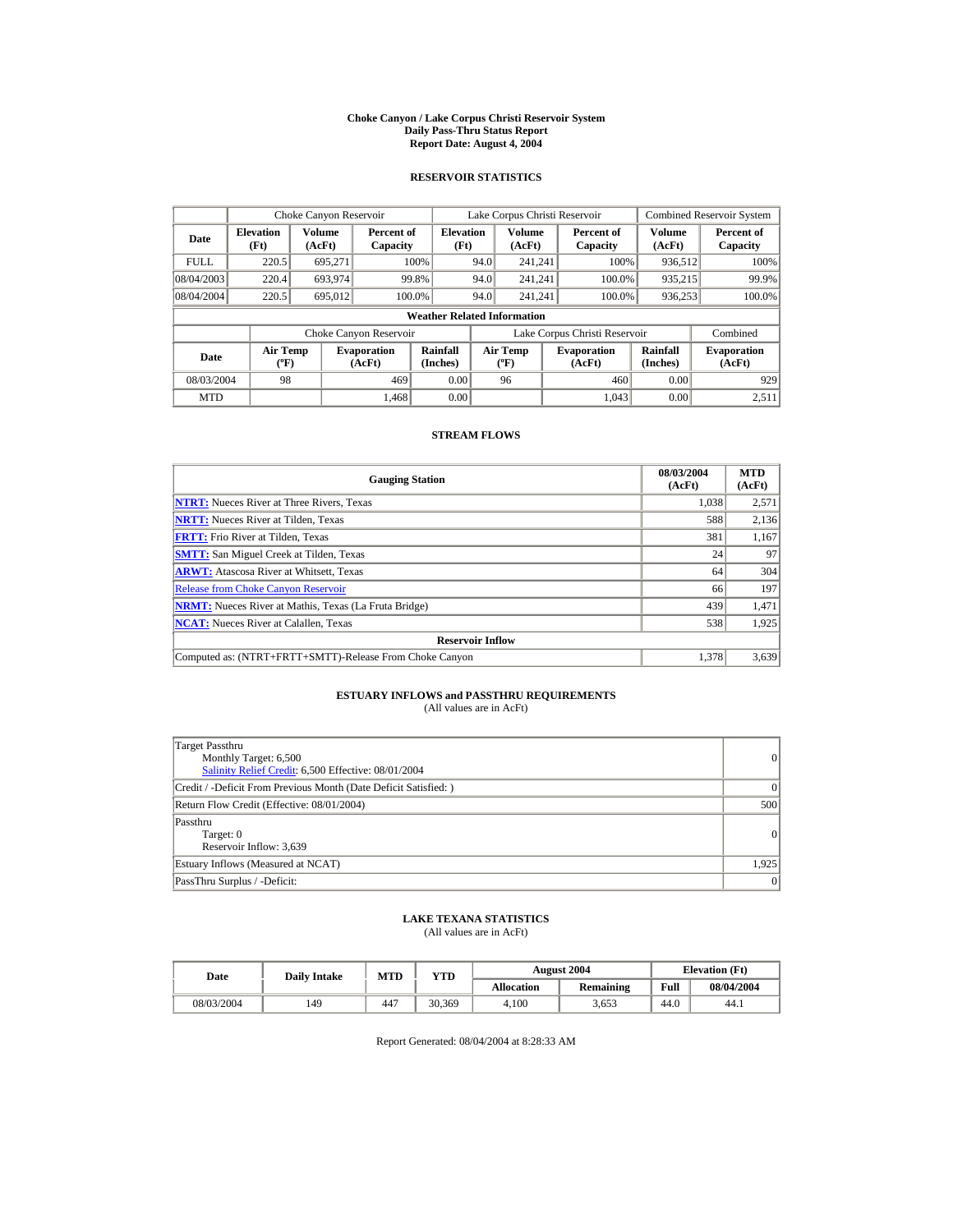#### **Choke Canyon / Lake Corpus Christi Reservoir System Daily Pass-Thru Status Report Report Date: August 4, 2004**

## **RESERVOIR STATISTICS**

|             | Choke Canyon Reservoir                      |                  |                              |                          | Lake Corpus Christi Reservoir |                                  |  |                               |                      | <b>Combined Reservoir System</b> |  |  |
|-------------|---------------------------------------------|------------------|------------------------------|--------------------------|-------------------------------|----------------------------------|--|-------------------------------|----------------------|----------------------------------|--|--|
| Date        | <b>Elevation</b><br>(Ft)                    | Volume<br>(AcFt) | Percent of<br>Capacity       | <b>Elevation</b><br>(Ft) |                               | <b>Volume</b><br>(AcFt)          |  | Percent of<br>Capacity        | Volume<br>(AcFt)     | Percent of<br>Capacity           |  |  |
| <b>FULL</b> | 220.5                                       | 695.271          |                              | 100%                     | 94.0                          | 241.241                          |  | 100%                          | 936,512              | 100%                             |  |  |
| 08/04/2003  | 220.4                                       | 693,974          |                              | 99.8%                    | 94.0                          | 241.241                          |  | 100.0%                        | 935,215              | 99.9%                            |  |  |
| 08/04/2004  | 220.5                                       | 695,012          |                              | 100.0%                   | 94.0                          | 241.241                          |  | 100.0%                        | 936,253              | 100.0%                           |  |  |
|             | <b>Weather Related Information</b>          |                  |                              |                          |                               |                                  |  |                               |                      |                                  |  |  |
|             |                                             |                  | Choke Canyon Reservoir       |                          |                               |                                  |  | Lake Corpus Christi Reservoir |                      | Combined                         |  |  |
| Date        | <b>Air Temp</b><br>$({}^{\circ}\mathrm{F})$ |                  | <b>Evaporation</b><br>(AcFt) | Rainfall<br>(Inches)     |                               | <b>Air Temp</b><br>$(^{\circ}F)$ |  | <b>Evaporation</b><br>(AcFt)  | Rainfall<br>(Inches) | <b>Evaporation</b><br>(AcFt)     |  |  |
| 08/03/2004  | 98                                          |                  | 469                          | 0.00                     |                               | 96                               |  | 460                           | 0.00                 | 929                              |  |  |
| <b>MTD</b>  |                                             |                  | 1.468                        | 0.00                     |                               |                                  |  | 1.043                         | 0.00                 | 2,511                            |  |  |

## **STREAM FLOWS**

| <b>Gauging Station</b>                                       | 08/03/2004<br>(AcFt) | <b>MTD</b><br>(AcFt) |
|--------------------------------------------------------------|----------------------|----------------------|
| <b>NTRT:</b> Nueces River at Three Rivers, Texas             | 1.038                | 2,571                |
| <b>NRTT:</b> Nueces River at Tilden, Texas                   | 588                  | 2,136                |
| <b>FRTT:</b> Frio River at Tilden, Texas                     | 381                  | 1,167                |
| <b>SMTT:</b> San Miguel Creek at Tilden, Texas               | 24                   | 97                   |
| <b>ARWT:</b> Atascosa River at Whitsett, Texas               | 64                   | 304                  |
| <b>Release from Choke Canyon Reservoir</b>                   | 66                   | 197                  |
| <b>NRMT:</b> Nueces River at Mathis, Texas (La Fruta Bridge) | 439                  | 1,471                |
| <b>NCAT:</b> Nueces River at Calallen, Texas                 | 538                  | 1,925                |
| <b>Reservoir Inflow</b>                                      |                      |                      |
| Computed as: (NTRT+FRTT+SMTT)-Release From Choke Canyon      | 1.378                | 3,639                |

# **ESTUARY INFLOWS and PASSTHRU REQUIREMENTS**<br>(All values are in AcFt)

| Target Passthru<br>Monthly Target: 6,500<br>Salinity Relief Credit: 6,500 Effective: 08/01/2004 | $\overline{0}$ |
|-------------------------------------------------------------------------------------------------|----------------|
| Credit / -Deficit From Previous Month (Date Deficit Satisfied: )                                | $\Omega$       |
| Return Flow Credit (Effective: 08/01/2004)                                                      | 500            |
| Passthru<br>Target: 0<br>Reservoir Inflow: 3,639                                                | 0              |
| Estuary Inflows (Measured at NCAT)                                                              | 1,925          |
| PassThru Surplus / -Deficit:                                                                    | 0              |

## **LAKE TEXANA STATISTICS**

(All values are in AcFt)

| Date       | <b>Daily Intake</b> | <b>MTD</b> | YTD    |                   | <b>August 2004</b> |      | <b>Elevation</b> (Ft) |
|------------|---------------------|------------|--------|-------------------|--------------------|------|-----------------------|
|            |                     |            |        | <b>Allocation</b> | Remaining          | Full | 08/04/2004            |
| 08/03/2004 | 149                 | 447        | 30.369 | 4.100             | 3.653              | 44.0 | 44.1                  |

Report Generated: 08/04/2004 at 8:28:33 AM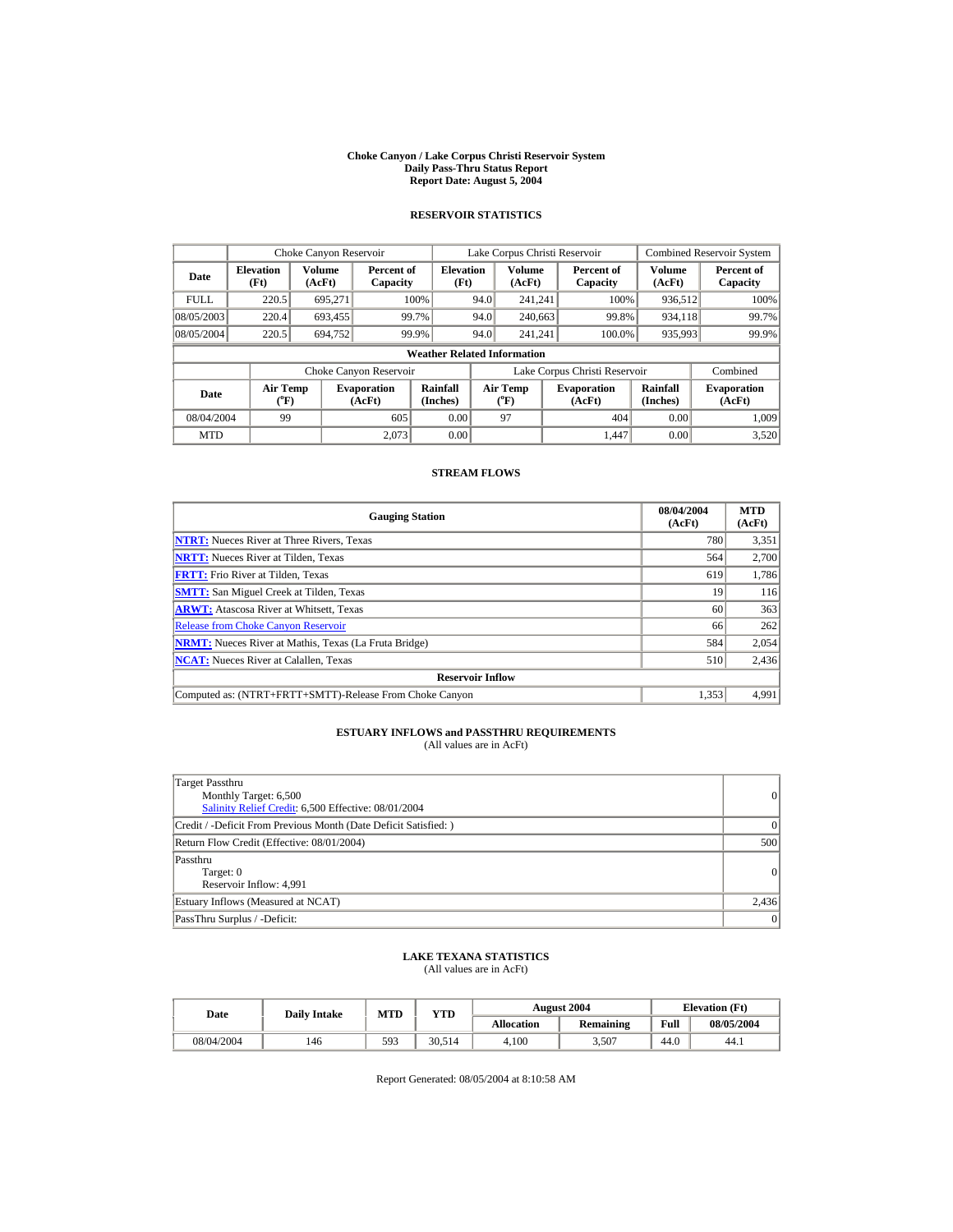#### **Choke Canyon / Lake Corpus Christi Reservoir System Daily Pass-Thru Status Report Report Date: August 5, 2004**

## **RESERVOIR STATISTICS**

|             | Choke Canyon Reservoir                           |                  |                              |                          | Lake Corpus Christi Reservoir |                                           |  |                                                      |                         | <b>Combined Reservoir System</b> |  |  |
|-------------|--------------------------------------------------|------------------|------------------------------|--------------------------|-------------------------------|-------------------------------------------|--|------------------------------------------------------|-------------------------|----------------------------------|--|--|
| Date        | <b>Elevation</b><br>(Ft)                         | Volume<br>(AcFt) | Percent of<br>Capacity       | <b>Elevation</b><br>(Ft) |                               | <b>Volume</b><br>(AcFt)                   |  | Percent of<br>Capacity                               | <b>Volume</b><br>(AcFt) | Percent of<br>Capacity           |  |  |
| <b>FULL</b> | 220.5                                            | 695,271          |                              | 100%                     | 94.0                          | 241,241                                   |  | 100%                                                 | 936,512                 | 100%                             |  |  |
| 08/05/2003  | 220.4                                            | 693,455          |                              | 99.7%                    | 94.0                          | 240,663                                   |  | 99.8%                                                | 934.118                 | 99.7%                            |  |  |
| 08/05/2004  | 220.5                                            | 694.752          |                              | 99.9%                    | 94.0                          | 241.241                                   |  | 100.0%                                               | 935,993                 | 99.9%                            |  |  |
|             | <b>Weather Related Information</b>               |                  |                              |                          |                               |                                           |  |                                                      |                         |                                  |  |  |
|             |                                                  |                  | Choke Canyon Reservoir       |                          |                               |                                           |  | Lake Corpus Christi Reservoir                        |                         | Combined                         |  |  |
| Date        | <b>Air Temp</b><br>$({}^{\mathrm{o}}\mathbf{F})$ |                  | <b>Evaporation</b><br>(AcFt) | Rainfall<br>(Inches)     |                               | Air Temp<br>$({}^{\mathrm{o}}\mathrm{F})$ |  | Rainfall<br><b>Evaporation</b><br>(AcFt)<br>(Inches) |                         | <b>Evaporation</b><br>(AcFt)     |  |  |
| 08/04/2004  | 99                                               |                  | 605                          | 0.00                     |                               | 97                                        |  | 404                                                  | 0.00                    | 1.009                            |  |  |
| <b>MTD</b>  |                                                  |                  | 2.073                        | 0.00                     |                               |                                           |  | 1.447                                                | 0.00                    | 3,520                            |  |  |

## **STREAM FLOWS**

| <b>Gauging Station</b>                                       | 08/04/2004<br>(AcFt) | <b>MTD</b><br>(AcFt) |
|--------------------------------------------------------------|----------------------|----------------------|
| <b>NTRT:</b> Nueces River at Three Rivers, Texas             | 780                  | 3,351                |
| <b>NRTT:</b> Nueces River at Tilden, Texas                   | 564                  | 2,700                |
| <b>FRTT:</b> Frio River at Tilden, Texas                     | 619                  | 1,786                |
| <b>SMTT:</b> San Miguel Creek at Tilden, Texas               | 19                   | 116                  |
| <b>ARWT:</b> Atascosa River at Whitsett, Texas               | 60                   | 363                  |
| <b>Release from Choke Canyon Reservoir</b>                   | 66                   | 262                  |
| <b>NRMT:</b> Nueces River at Mathis, Texas (La Fruta Bridge) | 584                  | 2,054                |
| <b>NCAT:</b> Nueces River at Calallen, Texas                 | 510                  | 2,436                |
| <b>Reservoir Inflow</b>                                      |                      |                      |
| Computed as: (NTRT+FRTT+SMTT)-Release From Choke Canyon      | 1,353                | 4,991                |

# **ESTUARY INFLOWS and PASSTHRU REQUIREMENTS**<br>(All values are in AcFt)

| Target Passthru<br>Monthly Target: 6,500<br>Salinity Relief Credit: 6,500 Effective: 08/01/2004 | 0              |
|-------------------------------------------------------------------------------------------------|----------------|
| Credit / -Deficit From Previous Month (Date Deficit Satisfied:)                                 | $\Omega$       |
| Return Flow Credit (Effective: 08/01/2004)                                                      | 500            |
| Passthru<br>Target: 0<br>Reservoir Inflow: 4,991                                                | $\overline{0}$ |
| Estuary Inflows (Measured at NCAT)                                                              | 2,436          |
| PassThru Surplus / -Deficit:                                                                    | 0              |

## **LAKE TEXANA STATISTICS** (All values are in AcFt)

| Date       | <b>Daily Intake</b> | MTD | VTD    |            | <b>August 2004</b> | <b>Elevation</b> (Ft) |            |
|------------|---------------------|-----|--------|------------|--------------------|-----------------------|------------|
|            |                     |     |        | Allocation | <b>Remaining</b>   | Full                  | 08/05/2004 |
| 08/04/2004 | 146                 | 593 | 30.514 | 4.100      | 3.507              | 44.0                  | 44.1       |

Report Generated: 08/05/2004 at 8:10:58 AM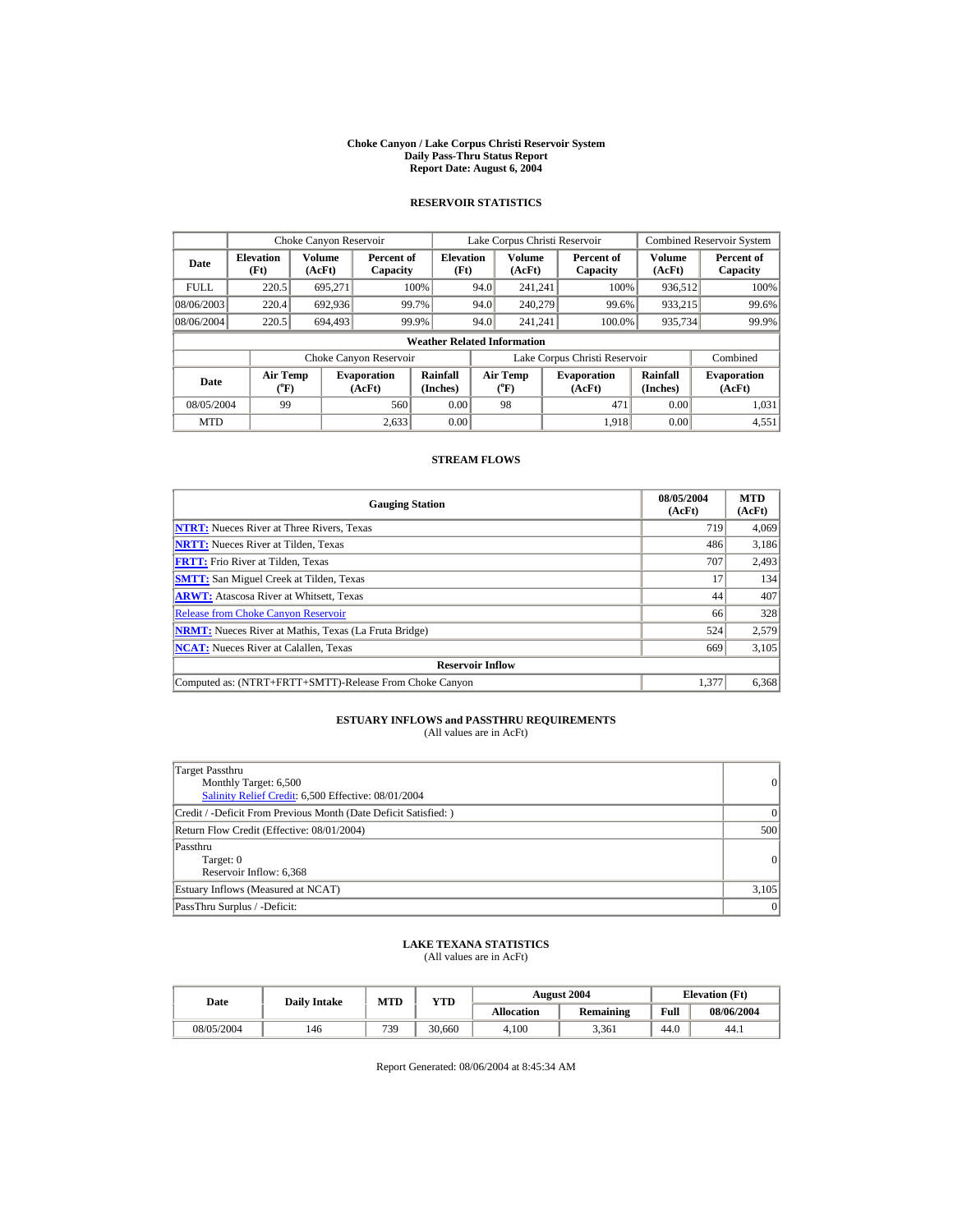#### **Choke Canyon / Lake Corpus Christi Reservoir System Daily Pass-Thru Status Report Report Date: August 6, 2004**

## **RESERVOIR STATISTICS**

|             | Choke Canyon Reservoir             |                                                                                                                                                                              |                        |                          | Lake Corpus Christi Reservoir |                         |  |                               |                  | <b>Combined Reservoir System</b> |  |  |
|-------------|------------------------------------|------------------------------------------------------------------------------------------------------------------------------------------------------------------------------|------------------------|--------------------------|-------------------------------|-------------------------|--|-------------------------------|------------------|----------------------------------|--|--|
| Date        | <b>Elevation</b><br>(Ft)           | <b>Volume</b><br>(AcFt)                                                                                                                                                      | Percent of<br>Capacity | <b>Elevation</b><br>(Ft) |                               | <b>Volume</b><br>(AcFt) |  | Percent of<br>Capacity        | Volume<br>(AcFt) | Percent of<br>Capacity           |  |  |
| <b>FULL</b> | 220.5                              | 695.271                                                                                                                                                                      |                        | 100%                     | 94.0                          | 241.241                 |  | 100%                          | 936.512          | 100%                             |  |  |
| 08/06/2003  | 220.4                              | 692.936                                                                                                                                                                      |                        | 99.7%                    | 94.0                          | 240,279                 |  | 99.6%                         | 933.215          | 99.6%                            |  |  |
| 08/06/2004  | 220.5                              | 694,493                                                                                                                                                                      |                        | 99.9%                    | 94.0                          | 241,241                 |  | 100.0%                        | 935,734          | 99.9%                            |  |  |
|             | <b>Weather Related Information</b> |                                                                                                                                                                              |                        |                          |                               |                         |  |                               |                  |                                  |  |  |
|             |                                    |                                                                                                                                                                              | Choke Canyon Reservoir |                          |                               |                         |  | Lake Corpus Christi Reservoir |                  | Combined                         |  |  |
| Date        |                                    | Rainfall<br><b>Air Temp</b><br><b>Air Temp</b><br><b>Evaporation</b><br><b>Evaporation</b><br>$({}^o\mathrm{F})$<br>(AcFt)<br>(Inches)<br>$({}^{\circ}\mathrm{F})$<br>(AcFt) |                        | Rainfall<br>(Inches)     | <b>Evaporation</b><br>(AcFt)  |                         |  |                               |                  |                                  |  |  |
| 08/05/2004  | 99                                 |                                                                                                                                                                              | 560                    | 0.00                     |                               | 98                      |  | 471                           | 0.00             | 1,031                            |  |  |
| <b>MTD</b>  |                                    |                                                                                                                                                                              | 2,633                  | 0.00                     |                               |                         |  | 1,918                         | 0.00             | 4,551                            |  |  |

### **STREAM FLOWS**

| <b>Gauging Station</b>                                       | 08/05/2004<br>(AcFt) | <b>MTD</b><br>(AcFt) |
|--------------------------------------------------------------|----------------------|----------------------|
| <b>NTRT:</b> Nueces River at Three Rivers, Texas             | 719                  | 4.069                |
| <b>NRTT:</b> Nueces River at Tilden, Texas                   | 486                  | 3,186                |
| <b>FRTT:</b> Frio River at Tilden, Texas                     | 707                  | 2,493                |
| <b>SMTT:</b> San Miguel Creek at Tilden, Texas               | 17                   | 134                  |
| <b>ARWT:</b> Atascosa River at Whitsett, Texas               | 44                   | 407                  |
| <b>Release from Choke Canyon Reservoir</b>                   | 66                   | 328                  |
| <b>NRMT:</b> Nueces River at Mathis, Texas (La Fruta Bridge) | 524                  | 2,579                |
| <b>NCAT:</b> Nueces River at Calallen, Texas                 | 669                  | 3,105                |
| <b>Reservoir Inflow</b>                                      |                      |                      |
| Computed as: (NTRT+FRTT+SMTT)-Release From Choke Canyon      | 1.377                | 6,368                |

## **ESTUARY INFLOWS and PASSTHRU REQUIREMENTS**<br>(All values are in AcFt)

| Target Passthru                                                 |           |
|-----------------------------------------------------------------|-----------|
| Monthly Target: 6,500                                           | $\vert$ 0 |
| Salinity Relief Credit: 6,500 Effective: 08/01/2004             |           |
| Credit / -Deficit From Previous Month (Date Deficit Satisfied:) | $\Omega$  |
| Return Flow Credit (Effective: 08/01/2004)                      | 500       |
| Passthru                                                        |           |
| Target: 0                                                       | $\Omega$  |
| Reservoir Inflow: 6,368                                         |           |
| Estuary Inflows (Measured at NCAT)                              | 3,105     |
| PassThru Surplus / -Deficit:                                    | 0         |

## **LAKE TEXANA STATISTICS** (All values are in AcFt)

| Date       | <b>Dailv Intake</b> | <b>MTD</b> | <b>YTD</b> |                   | <b>August 2004</b> | <b>Elevation</b> (Ft) |            |
|------------|---------------------|------------|------------|-------------------|--------------------|-----------------------|------------|
|            |                     |            |            | <b>Allocation</b> | Remaining          | Full                  | 08/06/2004 |
| 08/05/2004 | 146                 | 739        | 30.660     | 4.100             | 3.361              | 44.0                  | 44.1       |

Report Generated: 08/06/2004 at 8:45:34 AM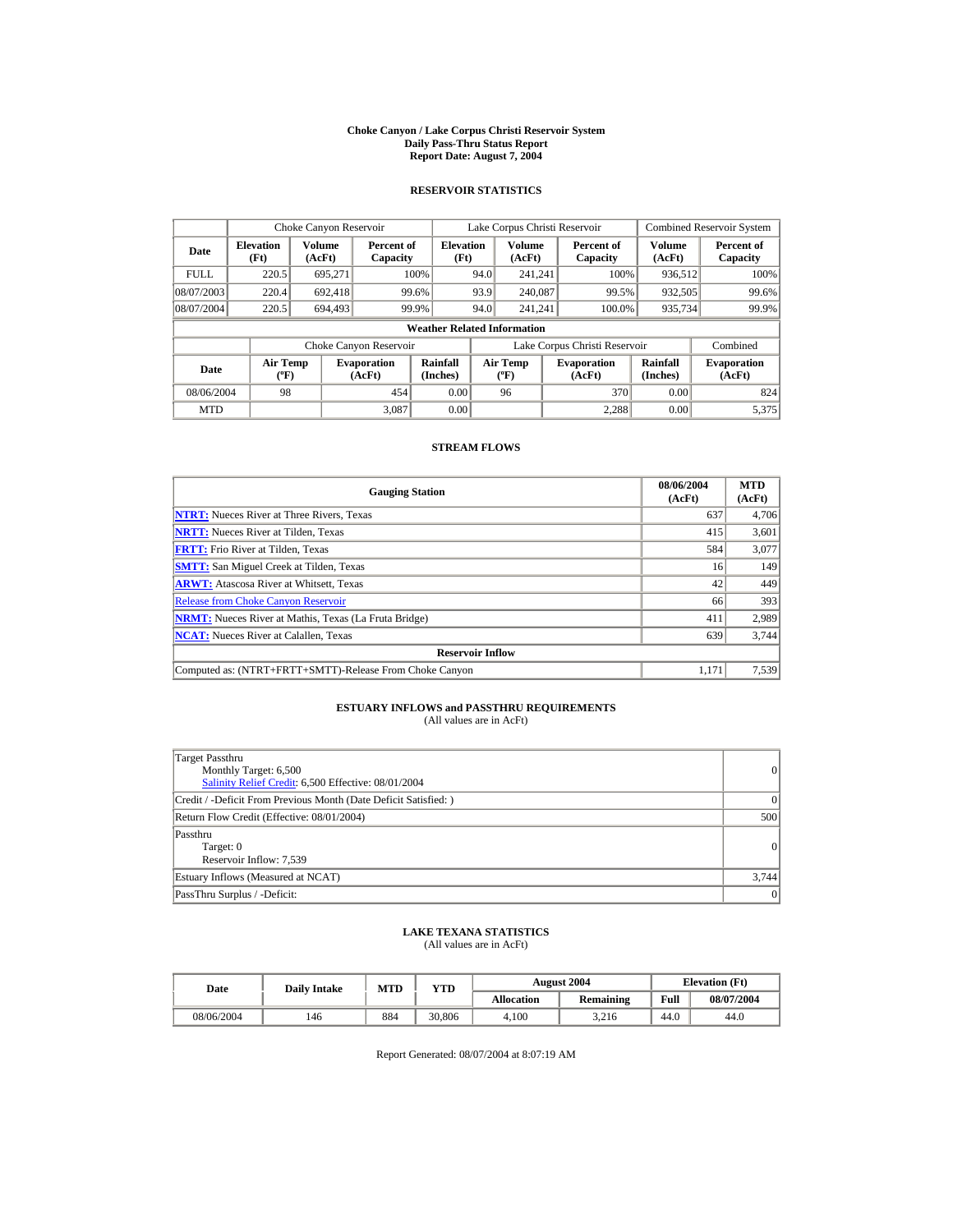#### **Choke Canyon / Lake Corpus Christi Reservoir System Daily Pass-Thru Status Report Report Date: August 7, 2004**

## **RESERVOIR STATISTICS**

|             | Choke Canyon Reservoir             |                         |                              |                          | Lake Corpus Christi Reservoir |                                |  |                               |                      | <b>Combined Reservoir System</b> |  |  |
|-------------|------------------------------------|-------------------------|------------------------------|--------------------------|-------------------------------|--------------------------------|--|-------------------------------|----------------------|----------------------------------|--|--|
| Date        | <b>Elevation</b><br>(Ft)           | <b>Volume</b><br>(AcFt) | Percent of<br>Capacity       | <b>Elevation</b><br>(Ft) |                               | Volume<br>(AcFt)               |  | Percent of<br>Capacity        | Volume<br>(AcFt)     | Percent of<br>Capacity           |  |  |
| <b>FULL</b> | 220.5                              | 695.271                 |                              | 100%                     | 94.0                          | 241,241                        |  | 100%                          | 936,512              | 100%                             |  |  |
| 08/07/2003  | 220.4                              | 692.418                 | 99.6%                        |                          | 93.9                          | 240,087                        |  | 99.5%                         | 932,505              | 99.6%                            |  |  |
| 08/07/2004  | 220.5                              | 694,493                 | 99.9%                        |                          | 94.0                          | 241.241                        |  | 100.0%                        | 935,734              | 99.9%                            |  |  |
|             | <b>Weather Related Information</b> |                         |                              |                          |                               |                                |  |                               |                      |                                  |  |  |
|             |                                    |                         | Choke Canyon Reservoir       |                          |                               |                                |  | Lake Corpus Christi Reservoir |                      | Combined                         |  |  |
| Date        | <b>Air Temp</b><br>(°F)            |                         | <b>Evaporation</b><br>(AcFt) | Rainfall<br>(Inches)     |                               | Air Temp<br>$({}^o\mathrm{F})$ |  | <b>Evaporation</b><br>(AcFt)  | Rainfall<br>(Inches) | <b>Evaporation</b><br>(AcFt)     |  |  |
| 08/06/2004  | 98                                 |                         | 454                          | 0.00                     |                               | 96                             |  | 370                           | 0.00                 | 824                              |  |  |
| <b>MTD</b>  |                                    |                         | 3.087                        | 0.00                     |                               |                                |  | 2.288                         | 0.00                 | 5,375                            |  |  |

### **STREAM FLOWS**

| <b>Gauging Station</b>                                       | 08/06/2004<br>(AcFt) | <b>MTD</b><br>(AcFt) |
|--------------------------------------------------------------|----------------------|----------------------|
| <b>NTRT:</b> Nueces River at Three Rivers, Texas             | 637                  | 4,706                |
| <b>NRTT:</b> Nueces River at Tilden, Texas                   | 415                  | 3,601                |
| <b>FRTT:</b> Frio River at Tilden, Texas                     | 584                  | 3,077                |
| <b>SMTT:</b> San Miguel Creek at Tilden, Texas               | 16                   | 149                  |
| <b>ARWT:</b> Atascosa River at Whitsett, Texas               | 42                   | 449                  |
| <b>Release from Choke Canyon Reservoir</b>                   | 66                   | 393                  |
| <b>NRMT:</b> Nueces River at Mathis, Texas (La Fruta Bridge) | 411                  | 2.989                |
| <b>NCAT:</b> Nueces River at Calallen, Texas                 | 639                  | 3,744                |
| <b>Reservoir Inflow</b>                                      |                      |                      |
| Computed as: (NTRT+FRTT+SMTT)-Release From Choke Canyon      | 1.171                | 7,539                |

# **ESTUARY INFLOWS and PASSTHRU REQUIREMENTS**<br>(All values are in AcFt)

| Target Passthru<br>Monthly Target: 6,500<br>Salinity Relief Credit: 6,500 Effective: 08/01/2004 | $\vert$   |
|-------------------------------------------------------------------------------------------------|-----------|
| Credit / -Deficit From Previous Month (Date Deficit Satisfied:)                                 | $\Omega$  |
| Return Flow Credit (Effective: 08/01/2004)                                                      | 500       |
| Passthru<br>Target: 0<br>Reservoir Inflow: 7,539                                                | 0         |
| Estuary Inflows (Measured at NCAT)                                                              | 3.744     |
| PassThru Surplus / -Deficit:                                                                    | $\vert$ 0 |

## **LAKE TEXANA STATISTICS** (All values are in AcFt)

| Date       | <b>Daily Intake</b> | <b>MTD</b> | YTD    | <b>August 2004</b> |           |      | <b>Elevation</b> (Ft) |
|------------|---------------------|------------|--------|--------------------|-----------|------|-----------------------|
|            |                     |            |        | <b>Allocation</b>  | Remaining | Full | 08/07/2004            |
| 08/06/2004 | 146                 | 884        | 30.806 | 4.100              | 3.216     | 44.0 | 44.0                  |

Report Generated: 08/07/2004 at 8:07:19 AM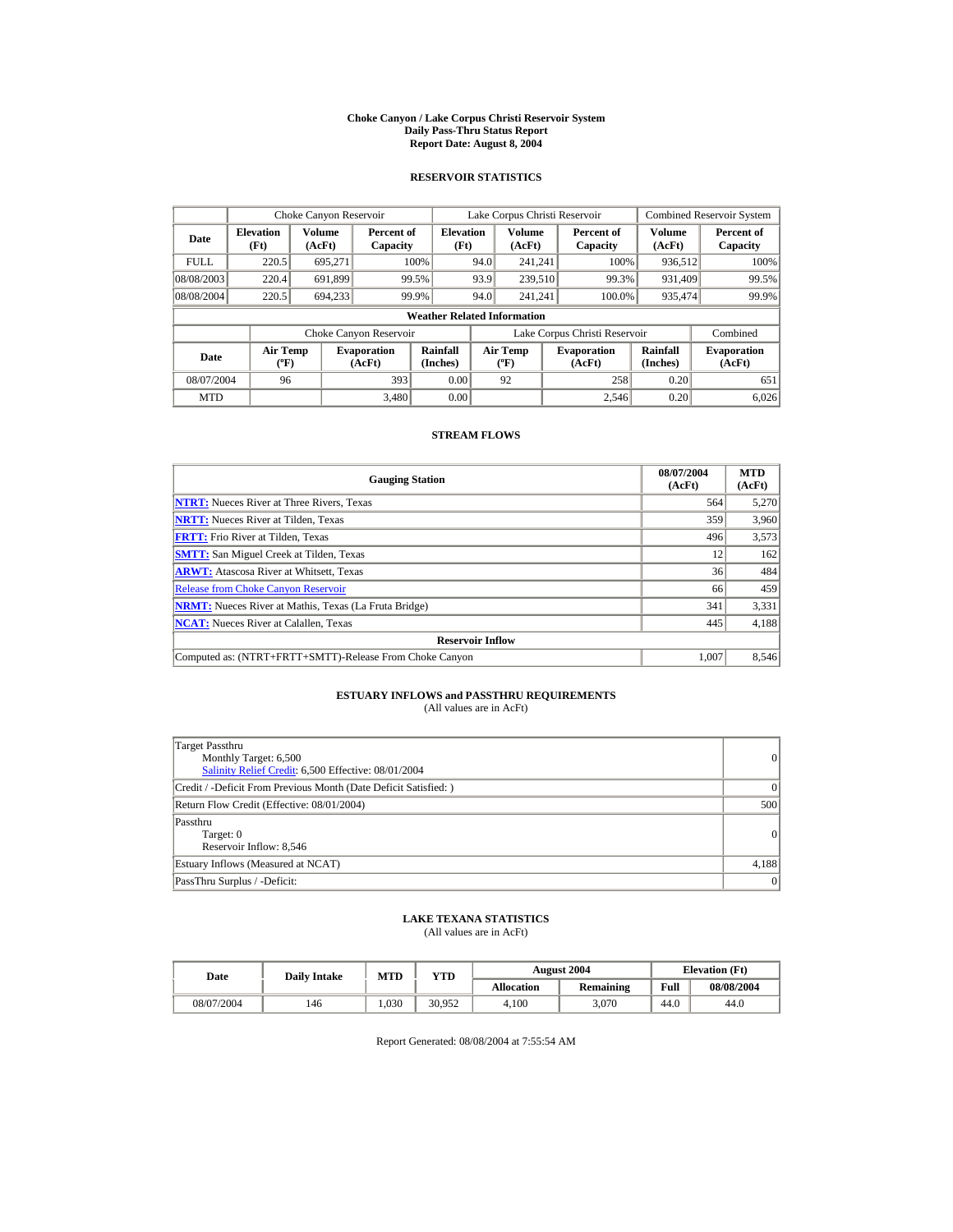#### **Choke Canyon / Lake Corpus Christi Reservoir System Daily Pass-Thru Status Report Report Date: August 8, 2004**

## **RESERVOIR STATISTICS**

|             | Choke Canyon Reservoir                      |                         |                              |                          | Lake Corpus Christi Reservoir |                                                  |  |                               |                         | <b>Combined Reservoir System</b> |  |  |  |
|-------------|---------------------------------------------|-------------------------|------------------------------|--------------------------|-------------------------------|--------------------------------------------------|--|-------------------------------|-------------------------|----------------------------------|--|--|--|
| Date        | <b>Elevation</b><br>(Ft)                    | <b>Volume</b><br>(AcFt) | Percent of<br>Capacity       | <b>Elevation</b><br>(Ft) |                               | <b>Volume</b><br>(AcFt)                          |  | Percent of<br>Capacity        | <b>Volume</b><br>(AcFt) | Percent of<br>Capacity           |  |  |  |
| <b>FULL</b> | 220.5                                       | 695.271                 |                              | 100%                     | 94.0                          | 241.241                                          |  | 100%                          | 936,512                 | 100%                             |  |  |  |
| 08/08/2003  | 220.4                                       | 691.899                 |                              | 99.5%                    | 93.9                          | 239,510                                          |  | 99.3%                         | 931.409                 | 99.5%                            |  |  |  |
| 08/08/2004  | 220.5                                       | 694.233                 |                              | 99.9%                    | 94.0                          | 241.241                                          |  | 100.0%                        | 935,474                 | 99.9%                            |  |  |  |
|             | <b>Weather Related Information</b>          |                         |                              |                          |                               |                                                  |  |                               |                         |                                  |  |  |  |
|             |                                             |                         | Choke Canyon Reservoir       |                          |                               |                                                  |  | Lake Corpus Christi Reservoir |                         | Combined                         |  |  |  |
| Date        | <b>Air Temp</b><br>$({}^{\circ}\mathrm{F})$ |                         | <b>Evaporation</b><br>(AcFt) | Rainfall<br>(Inches)     |                               | <b>Air Temp</b><br>$({}^{\mathrm{o}}\mathrm{F})$ |  | <b>Evaporation</b><br>(AcFt)  | Rainfall<br>(Inches)    | <b>Evaporation</b><br>(AcFt)     |  |  |  |
| 08/07/2004  | 96                                          |                         | 393                          | 0.00                     |                               | 92                                               |  | 258                           | 0.20                    | 651                              |  |  |  |
| <b>MTD</b>  |                                             |                         | 3.480                        | 0.00                     |                               |                                                  |  | 2.546                         | 0.20                    | 6,026                            |  |  |  |

## **STREAM FLOWS**

| <b>Gauging Station</b>                                       | 08/07/2004<br>(AcFt) | <b>MTD</b><br>(AcFt) |
|--------------------------------------------------------------|----------------------|----------------------|
| <b>NTRT:</b> Nueces River at Three Rivers. Texas             | 564                  | 5,270                |
| <b>NRTT:</b> Nueces River at Tilden, Texas                   | 359                  | 3,960                |
| <b>FRTT:</b> Frio River at Tilden, Texas                     | 496                  | 3,573                |
| <b>SMTT:</b> San Miguel Creek at Tilden, Texas               | 12                   | 162                  |
| <b>ARWT:</b> Atascosa River at Whitsett, Texas               | 36                   | 484                  |
| <b>Release from Choke Canyon Reservoir</b>                   | 66                   | 459                  |
| <b>NRMT:</b> Nueces River at Mathis, Texas (La Fruta Bridge) | 341                  | 3,331                |
| <b>NCAT:</b> Nueces River at Calallen, Texas                 | 445                  | 4,188                |
| <b>Reservoir Inflow</b>                                      |                      |                      |
| Computed as: (NTRT+FRTT+SMTT)-Release From Choke Canyon      | 1.007                | 8,546                |

# **ESTUARY INFLOWS and PASSTHRU REQUIREMENTS**<br>(All values are in AcFt)

| Target Passthru<br>Monthly Target: 6,500<br>Salinity Relief Credit: 6,500 Effective: 08/01/2004 | 0     |
|-------------------------------------------------------------------------------------------------|-------|
| Credit / -Deficit From Previous Month (Date Deficit Satisfied: )                                | 0     |
| Return Flow Credit (Effective: 08/01/2004)                                                      | 500   |
| Passthru<br>Target: 0<br>Reservoir Inflow: 8,546                                                | 0     |
| Estuary Inflows (Measured at NCAT)                                                              | 4,188 |
| PassThru Surplus / -Deficit:                                                                    | 0     |

## **LAKE TEXANA STATISTICS**

(All values are in AcFt)

| Date       | <b>Daily Intake</b> | <b>MTD</b> | VTD    |                   | <b>August 2004</b> |      | <b>Elevation</b> (Ft) |
|------------|---------------------|------------|--------|-------------------|--------------------|------|-----------------------|
|            |                     |            |        | <b>Allocation</b> | <b>Remaining</b>   | Full | 08/08/2004            |
| 08/07/2004 | 146                 | .030       | 30.952 | 4.100             | 3.070              | 44.0 | 44.0                  |

Report Generated: 08/08/2004 at 7:55:54 AM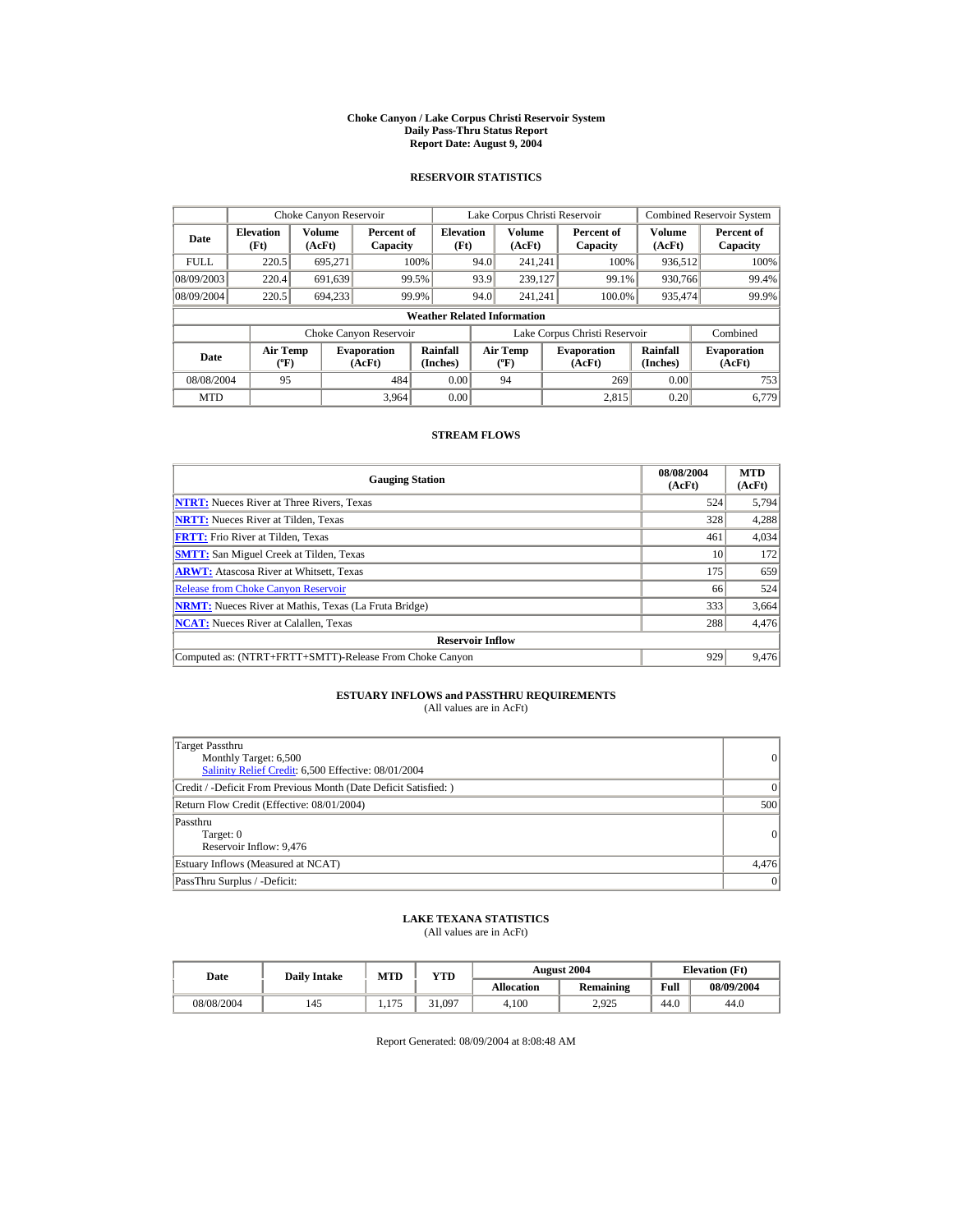#### **Choke Canyon / Lake Corpus Christi Reservoir System Daily Pass-Thru Status Report Report Date: August 9, 2004**

## **RESERVOIR STATISTICS**

|             | Choke Canyon Reservoir             |                  |                              |                          |      | Lake Corpus Christi Reservoir     |  |                               |                         | <b>Combined Reservoir System</b> |  |  |
|-------------|------------------------------------|------------------|------------------------------|--------------------------|------|-----------------------------------|--|-------------------------------|-------------------------|----------------------------------|--|--|
| Date        | <b>Elevation</b><br>(Ft)           | Volume<br>(AcFt) | Percent of<br>Capacity       | <b>Elevation</b><br>(Ft) |      | <b>Volume</b><br>(AcFt)           |  | Percent of<br>Capacity        | <b>Volume</b><br>(AcFt) | Percent of<br>Capacity           |  |  |
| <b>FULL</b> | 220.5                              | 695.271          |                              | 100%                     | 94.0 | 241.241                           |  | 100%                          | 936,512                 | 100%                             |  |  |
| 08/09/2003  | 220.4                              | 691,639          |                              | 99.5%                    | 93.9 | 239.127                           |  | 99.1%                         | 930.766                 | 99.4%                            |  |  |
| 08/09/2004  | 220.5                              | 694.233          |                              | 99.9%                    | 94.0 | 241.241                           |  | 100.0%                        | 935.474                 | 99.9%                            |  |  |
|             | <b>Weather Related Information</b> |                  |                              |                          |      |                                   |  |                               |                         |                                  |  |  |
|             |                                    |                  | Choke Canyon Reservoir       |                          |      |                                   |  | Lake Corpus Christi Reservoir |                         | Combined                         |  |  |
| Date        | Air Temp<br>$({}^o\mathrm{F})$     |                  | <b>Evaporation</b><br>(AcFt) | Rainfall<br>(Inches)     |      | Air Temp<br>$({}^{\circ}{\rm F})$ |  | <b>Evaporation</b><br>(AcFt)  | Rainfall<br>(Inches)    | <b>Evaporation</b><br>(AcFt)     |  |  |
| 08/08/2004  | 95                                 |                  | 484                          | 0.00                     |      | 94                                |  | 269                           | 0.00                    | 753                              |  |  |
| <b>MTD</b>  |                                    |                  | 3,964                        | 0.00                     |      |                                   |  | 2.815                         | 0.20                    | 6.779                            |  |  |

## **STREAM FLOWS**

| <b>Gauging Station</b>                                       | 08/08/2004<br>(AcFt) | <b>MTD</b><br>(AcFt) |
|--------------------------------------------------------------|----------------------|----------------------|
| <b>NTRT:</b> Nueces River at Three Rivers. Texas             | 524                  | 5,794                |
| <b>NRTT:</b> Nueces River at Tilden, Texas                   | 328                  | 4,288                |
| <b>FRTT:</b> Frio River at Tilden, Texas                     | 461                  | 4,034                |
| <b>SMTT:</b> San Miguel Creek at Tilden, Texas               | 10                   | 172                  |
| <b>ARWT:</b> Atascosa River at Whitsett, Texas               | 175                  | 659                  |
| <b>Release from Choke Canyon Reservoir</b>                   | 66                   | 524                  |
| <b>NRMT:</b> Nueces River at Mathis, Texas (La Fruta Bridge) | 333                  | 3,664                |
| <b>NCAT:</b> Nueces River at Calallen, Texas                 | 288                  | 4,476                |
| <b>Reservoir Inflow</b>                                      |                      |                      |
| Computed as: (NTRT+FRTT+SMTT)-Release From Choke Canyon      | 929                  | 9,476                |

## **ESTUARY INFLOWS and PASSTHRU REQUIREMENTS**<br>(All values are in AcFt)

| Target Passthru<br>Monthly Target: 6,500<br>Salinity Relief Credit: 6,500 Effective: 08/01/2004 | $\overline{0}$ |
|-------------------------------------------------------------------------------------------------|----------------|
| Credit / -Deficit From Previous Month (Date Deficit Satisfied: )                                | $\Omega$       |
| Return Flow Credit (Effective: 08/01/2004)                                                      | 500            |
| Passthru<br>Target: 0<br>Reservoir Inflow: 9,476                                                | $\Omega$       |
| Estuary Inflows (Measured at NCAT)                                                              | 4,476          |
| PassThru Surplus / -Deficit:                                                                    | 0              |

## **LAKE TEXANA STATISTICS**

(All values are in AcFt)

| Date       | <b>Daily Intake</b> | <b>MTD</b>   | $_{\rm VTD}$ |                   | <b>August 2004</b> |      | <b>Elevation</b> (Ft) |
|------------|---------------------|--------------|--------------|-------------------|--------------------|------|-----------------------|
|            |                     |              |              | <b>Allocation</b> | <b>Remaining</b>   | Full | 08/09/2004            |
| 08/08/2004 | 145                 | $-$<br>1.111 | 31.097       | 4.100             | 2.925              | 44.0 | 44.0                  |

Report Generated: 08/09/2004 at 8:08:48 AM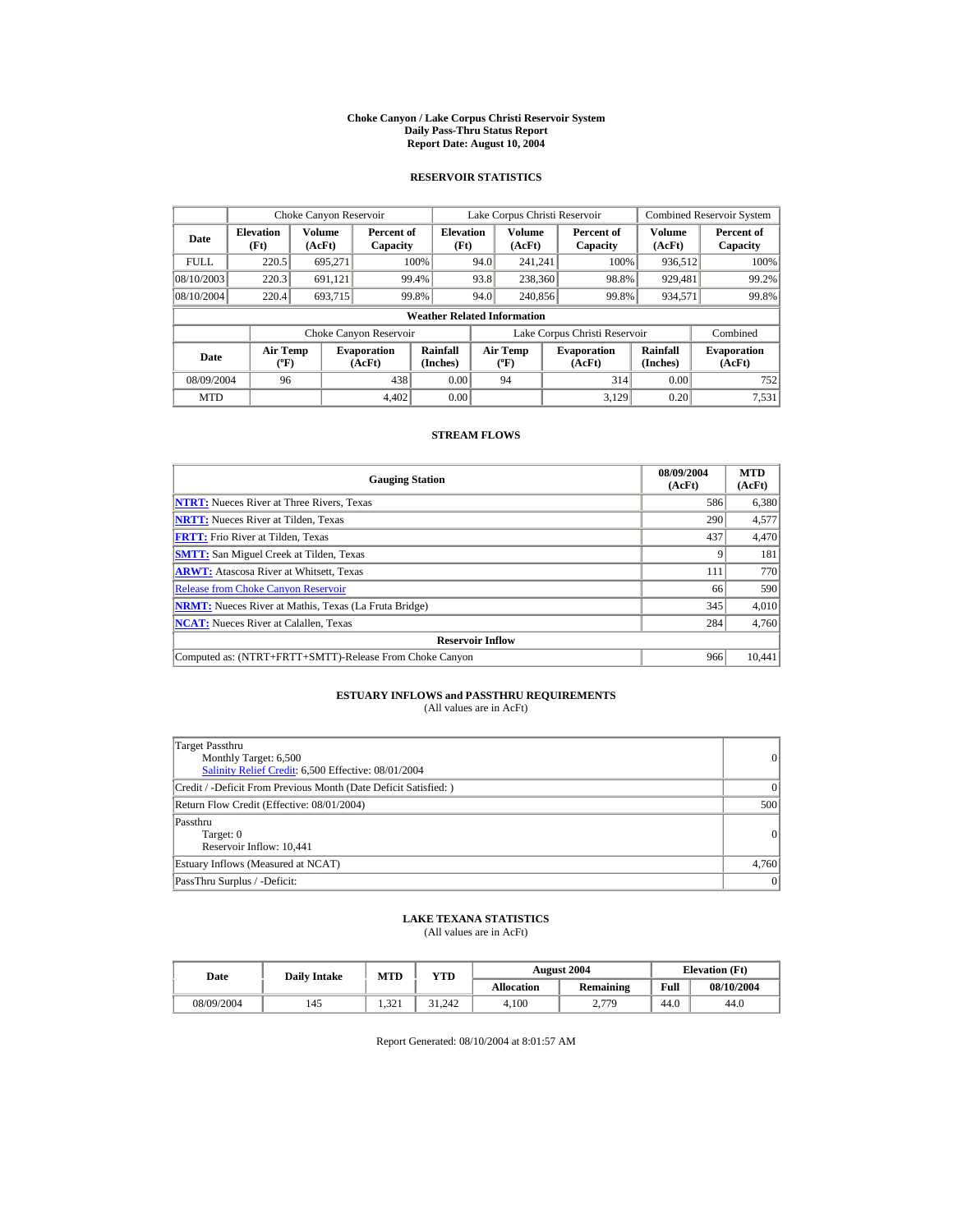#### **Choke Canyon / Lake Corpus Christi Reservoir System Daily Pass-Thru Status Report Report Date: August 10, 2004**

## **RESERVOIR STATISTICS**

|             | Choke Canyon Reservoir             |                  |                              |                          |      | Lake Corpus Christi Reservoir     |  |                               |                      | <b>Combined Reservoir System</b> |  |  |  |
|-------------|------------------------------------|------------------|------------------------------|--------------------------|------|-----------------------------------|--|-------------------------------|----------------------|----------------------------------|--|--|--|
| Date        | <b>Elevation</b><br>(Ft)           | Volume<br>(AcFt) | Percent of<br>Capacity       | <b>Elevation</b><br>(Ft) |      | <b>Volume</b><br>(AcFt)           |  | Percent of<br>Capacity        | Volume<br>(AcFt)     | Percent of<br>Capacity           |  |  |  |
| <b>FULL</b> | 220.5                              | 695.271          |                              | 100%                     | 94.0 | 241.241                           |  | 100%                          | 936,512              | 100%                             |  |  |  |
| 08/10/2003  | 220.3                              | 691.121          |                              | 99.4%                    | 93.8 | 238,360                           |  | 98.8%                         | 929,481              | 99.2%                            |  |  |  |
| 08/10/2004  | 220.4                              | 693,715          |                              | 99.8%                    | 94.0 | 240,856                           |  | 99.8%                         | 934,571              | 99.8%                            |  |  |  |
|             | <b>Weather Related Information</b> |                  |                              |                          |      |                                   |  |                               |                      |                                  |  |  |  |
|             |                                    |                  | Choke Canyon Reservoir       |                          |      |                                   |  | Lake Corpus Christi Reservoir |                      | Combined                         |  |  |  |
| Date        | Air Temp<br>$({}^o\mathrm{F})$     |                  | <b>Evaporation</b><br>(AcFt) | Rainfall<br>(Inches)     |      | Air Temp<br>$({}^{\circ}{\rm F})$ |  | <b>Evaporation</b><br>(AcFt)  | Rainfall<br>(Inches) | <b>Evaporation</b><br>(AcFt)     |  |  |  |
| 08/09/2004  | 96                                 |                  | 438                          | 0.00                     |      | 94                                |  | 314                           | 0.00                 | 752                              |  |  |  |
| <b>MTD</b>  |                                    |                  | 4.402                        | 0.00                     |      |                                   |  | 3.129                         | 0.20                 | 7,531                            |  |  |  |

## **STREAM FLOWS**

| <b>Gauging Station</b>                                       | 08/09/2004<br>(AcFt) | <b>MTD</b><br>(AcFt) |
|--------------------------------------------------------------|----------------------|----------------------|
| <b>NTRT:</b> Nueces River at Three Rivers, Texas             | 586                  | 6,380                |
| <b>NRTT:</b> Nueces River at Tilden, Texas                   | 290                  | 4,577                |
| <b>FRTT:</b> Frio River at Tilden, Texas                     | 437                  | 4,470                |
| <b>SMTT:</b> San Miguel Creek at Tilden, Texas               |                      | 181                  |
| <b>ARWT:</b> Atascosa River at Whitsett, Texas               | 111                  | 770                  |
| <b>Release from Choke Canyon Reservoir</b>                   | 66                   | 590                  |
| <b>NRMT:</b> Nueces River at Mathis, Texas (La Fruta Bridge) | 345                  | 4.010                |
| <b>NCAT:</b> Nueces River at Calallen, Texas                 | 284                  | 4,760                |
| <b>Reservoir Inflow</b>                                      |                      |                      |
| Computed as: (NTRT+FRTT+SMTT)-Release From Choke Canyon      | 966                  | 10,441               |

## **ESTUARY INFLOWS and PASSTHRU REQUIREMENTS**<br>(All values are in AcFt)

| Target Passthru<br>Monthly Target: 6,500<br>Salinity Relief Credit: 6,500 Effective: 08/01/2004 | 0        |
|-------------------------------------------------------------------------------------------------|----------|
| Credit / -Deficit From Previous Month (Date Deficit Satisfied: )                                | $\Omega$ |
| Return Flow Credit (Effective: 08/01/2004)                                                      | 500      |
| Passthru<br>Target: 0<br>Reservoir Inflow: 10,441                                               | 0        |
| Estuary Inflows (Measured at NCAT)                                                              | 4,760    |
| PassThru Surplus / -Deficit:                                                                    | 0        |

## **LAKE TEXANA STATISTICS**

(All values are in AcFt)

| Date       | <b>Daily Intake</b> | <b>MTD</b>  | $_{\rm VTD}$ |                   | <b>August 2004</b> | <b>Elevation</b> (Ft) |            |
|------------|---------------------|-------------|--------------|-------------------|--------------------|-----------------------|------------|
|            |                     |             |              | <b>Allocation</b> | <b>Remaining</b>   | Full                  | 08/10/2004 |
| 08/09/2004 | 145                 | 22<br>1.941 | 31.242       | 4.100             | 2.779<br><u>.</u>  | 44.0                  | 44.0       |

Report Generated: 08/10/2004 at 8:01:57 AM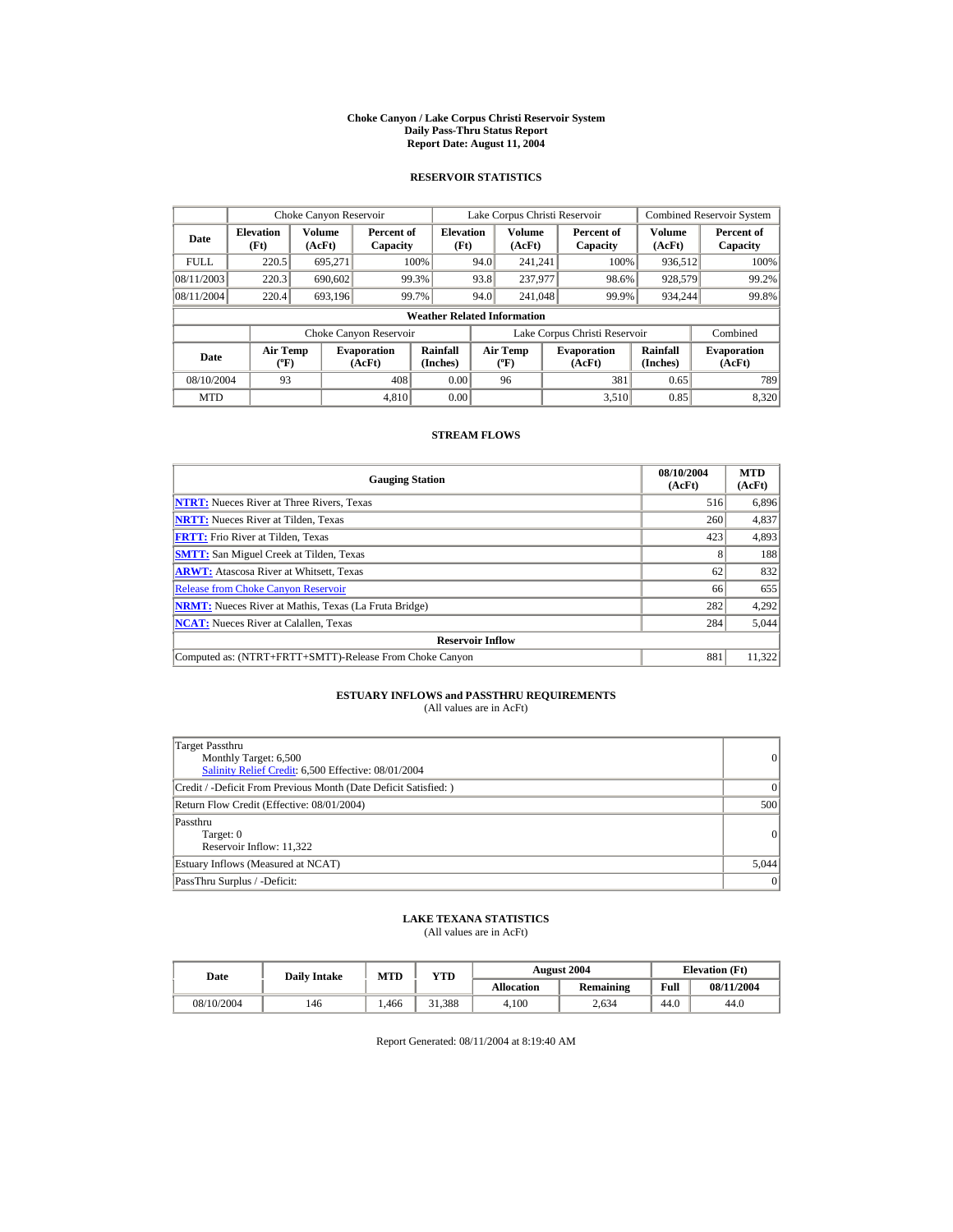#### **Choke Canyon / Lake Corpus Christi Reservoir System Daily Pass-Thru Status Report Report Date: August 11, 2004**

## **RESERVOIR STATISTICS**

|             | Choke Canyon Reservoir               |                  |                              |                          |      | Lake Corpus Christi Reservoir    |  |                               |                      | <b>Combined Reservoir System</b> |  |  |
|-------------|--------------------------------------|------------------|------------------------------|--------------------------|------|----------------------------------|--|-------------------------------|----------------------|----------------------------------|--|--|
| Date        | <b>Elevation</b><br>(Ft)             | Volume<br>(AcFt) | Percent of<br>Capacity       | <b>Elevation</b><br>(Ft) |      | Volume<br>(AcFt)                 |  | Percent of<br>Capacity        | Volume<br>(AcFt)     | Percent of<br>Capacity           |  |  |
| <b>FULL</b> | 220.5                                | 695.271          |                              | 100%                     | 94.0 | 241.241                          |  | 100%                          | 936,512              | 100%                             |  |  |
| 08/11/2003  | 220.3                                | 690,602          |                              | 99.3%                    | 93.8 | 237,977                          |  | 98.6%                         | 928,579              | 99.2%                            |  |  |
| 08/11/2004  | 220.4                                | 693.196          |                              | 99.7%                    | 94.0 | 241,048                          |  | 99.9%                         | 934.244              | 99.8%                            |  |  |
|             | <b>Weather Related Information</b>   |                  |                              |                          |      |                                  |  |                               |                      |                                  |  |  |
|             |                                      |                  | Choke Canyon Reservoir       |                          |      |                                  |  | Lake Corpus Christi Reservoir |                      | Combined                         |  |  |
| Date        | Air Temp<br>$({}^{\circ}\mathrm{F})$ |                  | <b>Evaporation</b><br>(AcFt) | Rainfall<br>(Inches)     |      | <b>Air Temp</b><br>$(^{\circ}F)$ |  | <b>Evaporation</b><br>(AcFt)  | Rainfall<br>(Inches) | <b>Evaporation</b><br>(AcFt)     |  |  |
| 08/10/2004  | 93                                   |                  | 408                          | 0.00                     |      | 96                               |  | 381                           | 0.65                 | 789                              |  |  |
| <b>MTD</b>  |                                      |                  | 4.810                        | 0.00                     |      |                                  |  | 3.510                         | 0.85                 | 8,320                            |  |  |

## **STREAM FLOWS**

| <b>Gauging Station</b>                                       | 08/10/2004<br>(AcFt) | <b>MTD</b><br>(AcFt) |
|--------------------------------------------------------------|----------------------|----------------------|
| <b>NTRT:</b> Nueces River at Three Rivers, Texas             | 516                  | 6,896                |
| <b>NRTT:</b> Nueces River at Tilden. Texas                   | 260                  | 4,837                |
| <b>FRTT:</b> Frio River at Tilden, Texas                     | 423                  | 4,893                |
| <b>SMTT:</b> San Miguel Creek at Tilden, Texas               |                      | 188                  |
| <b>ARWT:</b> Atascosa River at Whitsett, Texas               | 62                   | 832                  |
| <b>Release from Choke Canyon Reservoir</b>                   | 66                   | 655                  |
| <b>NRMT:</b> Nueces River at Mathis, Texas (La Fruta Bridge) | 282                  | 4,292                |
| <b>NCAT:</b> Nueces River at Calallen, Texas                 | 284                  | 5,044                |
| <b>Reservoir Inflow</b>                                      |                      |                      |
| Computed as: (NTRT+FRTT+SMTT)-Release From Choke Canyon      | 881                  | 11,322               |

## **ESTUARY INFLOWS and PASSTHRU REQUIREMENTS**<br>(All values are in AcFt)

| Target Passthru<br>Monthly Target: 6,500<br>Salinity Relief Credit: 6,500 Effective: 08/01/2004 | 0        |
|-------------------------------------------------------------------------------------------------|----------|
| Credit / -Deficit From Previous Month (Date Deficit Satisfied: )                                | $\Omega$ |
| Return Flow Credit (Effective: 08/01/2004)                                                      | 500      |
| Passthru<br>Target: 0<br>Reservoir Inflow: 11,322                                               | 0        |
| Estuary Inflows (Measured at NCAT)                                                              | 5,044    |
| PassThru Surplus / -Deficit:                                                                    | 0        |

## **LAKE TEXANA STATISTICS**

(All values are in AcFt)

| Date       | <b>Daily Intake</b> | <b>MTD</b> | VTD    |                   | <b>August 2004</b> | <b>Elevation</b> (Ft) |            |
|------------|---------------------|------------|--------|-------------------|--------------------|-----------------------|------------|
|            |                     |            |        | <b>Allocation</b> | <b>Remaining</b>   | Full                  | 08/11/2004 |
| 08/10/2004 | 146                 | .466       | 1.388د | 4.100             | 2.634              | 44.0                  | 44.0       |

Report Generated: 08/11/2004 at 8:19:40 AM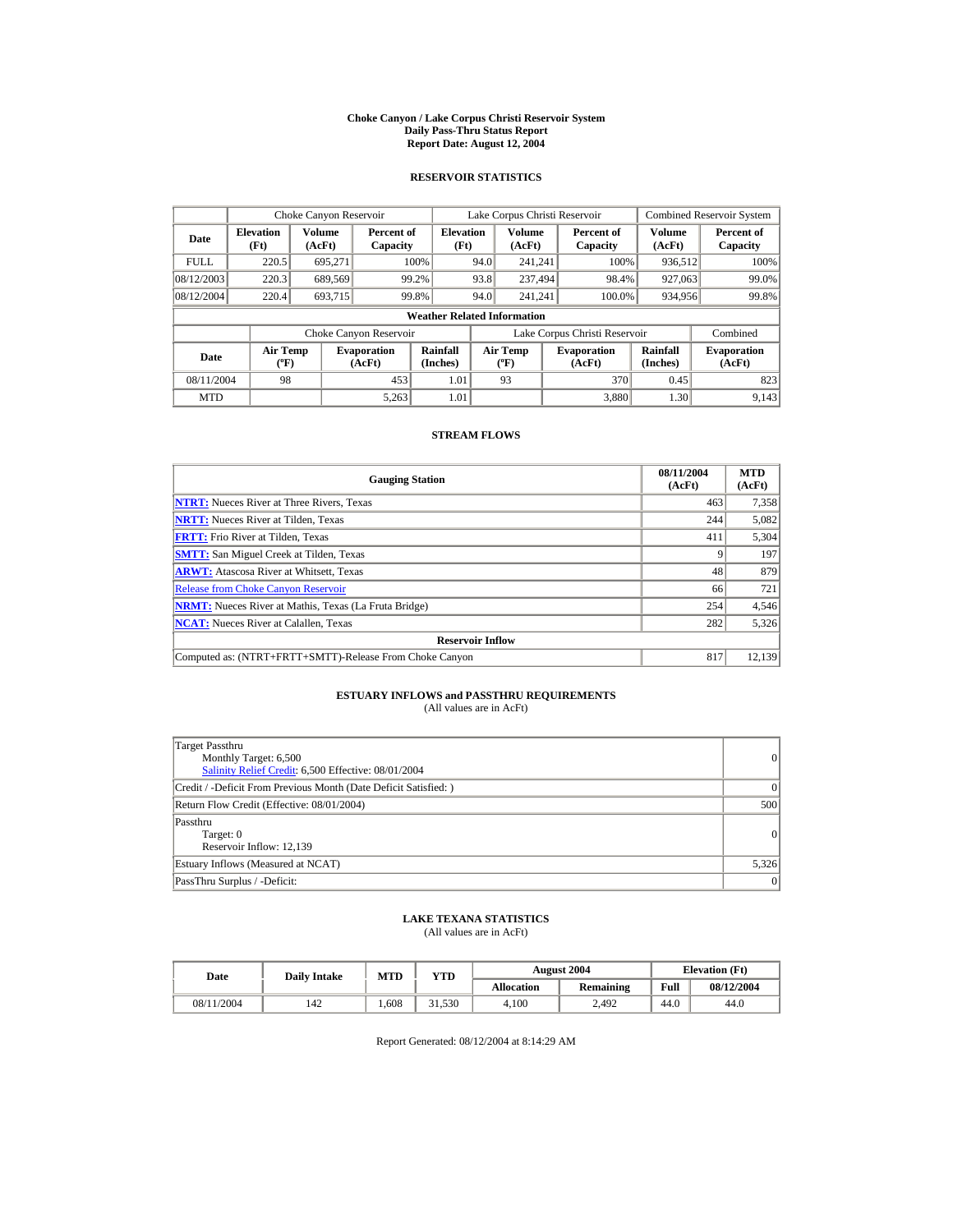#### **Choke Canyon / Lake Corpus Christi Reservoir System Daily Pass-Thru Status Report Report Date: August 12, 2004**

## **RESERVOIR STATISTICS**

|             | Choke Canyon Reservoir             |                  |                              |                          |      | Lake Corpus Christi Reservoir     |  |                               |                         | <b>Combined Reservoir System</b> |  |  |  |
|-------------|------------------------------------|------------------|------------------------------|--------------------------|------|-----------------------------------|--|-------------------------------|-------------------------|----------------------------------|--|--|--|
| Date        | <b>Elevation</b><br>(Ft)           | Volume<br>(AcFt) | Percent of<br>Capacity       | <b>Elevation</b><br>(Ft) |      | <b>Volume</b><br>(AcFt)           |  | Percent of<br>Capacity        | <b>Volume</b><br>(AcFt) | Percent of<br>Capacity           |  |  |  |
| <b>FULL</b> | 220.5                              | 695.271          |                              | 100%                     | 94.0 | 241.241                           |  | 100%                          | 936,512                 | 100%                             |  |  |  |
| 08/12/2003  | 220.3                              | 689,569          |                              | 99.2%                    | 93.8 | 237.494                           |  | 98.4%                         | 927,063                 | 99.0%                            |  |  |  |
| 08/12/2004  | 220.4                              | 693,715          |                              | 99.8%                    | 94.0 | 241.241                           |  | 100.0%                        | 934,956                 | 99.8%                            |  |  |  |
|             | <b>Weather Related Information</b> |                  |                              |                          |      |                                   |  |                               |                         |                                  |  |  |  |
|             |                                    |                  | Choke Canyon Reservoir       |                          |      |                                   |  | Lake Corpus Christi Reservoir |                         | Combined                         |  |  |  |
| Date        | Air Temp<br>$({}^o\mathrm{F})$     |                  | <b>Evaporation</b><br>(AcFt) | Rainfall<br>(Inches)     |      | Air Temp<br>$({}^{\circ}{\rm F})$ |  | <b>Evaporation</b><br>(AcFt)  | Rainfall<br>(Inches)    | <b>Evaporation</b><br>(AcFt)     |  |  |  |
| 08/11/2004  | 98                                 |                  | 453                          | 1.01                     |      | 93                                |  | 370                           | 0.45                    | 823                              |  |  |  |
| <b>MTD</b>  |                                    |                  | 5,263                        | 1.01                     |      |                                   |  | 3.880                         | 1.30                    | 9.143                            |  |  |  |

## **STREAM FLOWS**

| <b>Gauging Station</b>                                       | 08/11/2004<br>(AcFt) | <b>MTD</b><br>(AcFt) |
|--------------------------------------------------------------|----------------------|----------------------|
| <b>NTRT:</b> Nueces River at Three Rivers, Texas             | 463                  | 7,358                |
| <b>NRTT:</b> Nueces River at Tilden, Texas                   | 244                  | 5,082                |
| <b>FRTT:</b> Frio River at Tilden, Texas                     | 411                  | 5,304                |
| <b>SMTT:</b> San Miguel Creek at Tilden, Texas               |                      | 197                  |
| <b>ARWT:</b> Atascosa River at Whitsett, Texas               | 48                   | 879                  |
| <b>Release from Choke Canvon Reservoir</b>                   | 66                   | 721                  |
| <b>NRMT:</b> Nueces River at Mathis, Texas (La Fruta Bridge) | 254                  | 4,546                |
| <b>NCAT:</b> Nueces River at Calallen, Texas                 | 282                  | 5,326                |
| <b>Reservoir Inflow</b>                                      |                      |                      |
| Computed as: (NTRT+FRTT+SMTT)-Release From Choke Canyon      | 817                  | 12,139               |

## **ESTUARY INFLOWS and PASSTHRU REQUIREMENTS**<br>(All values are in AcFt)

| Target Passthru<br>Monthly Target: 6,500<br>Salinity Relief Credit: 6,500 Effective: 08/01/2004 | $\overline{0}$ |
|-------------------------------------------------------------------------------------------------|----------------|
| Credit / -Deficit From Previous Month (Date Deficit Satisfied:)                                 | $\Omega$       |
| Return Flow Credit (Effective: 08/01/2004)                                                      | 500            |
| Passthru<br>Target: 0<br>Reservoir Inflow: 12,139                                               | 0              |
| Estuary Inflows (Measured at NCAT)                                                              | 5,326          |
| PassThru Surplus / -Deficit:                                                                    | 0              |

## **LAKE TEXANA STATISTICS**

(All values are in AcFt)

| Date       | <b>Daily Intake</b> | <b>MTD</b> | YTD   |                   | <b>August 2004</b> |      | <b>Elevation</b> (Ft) |
|------------|---------------------|------------|-------|-------------------|--------------------|------|-----------------------|
|            |                     |            |       | <b>Allocation</b> | Remaining          | Full | 08/12/2004            |
| 08/11/2004 | 142                 | 608        | 1,530 | 4.100             | 2.492              | 44.0 | 44.0                  |

Report Generated: 08/12/2004 at 8:14:29 AM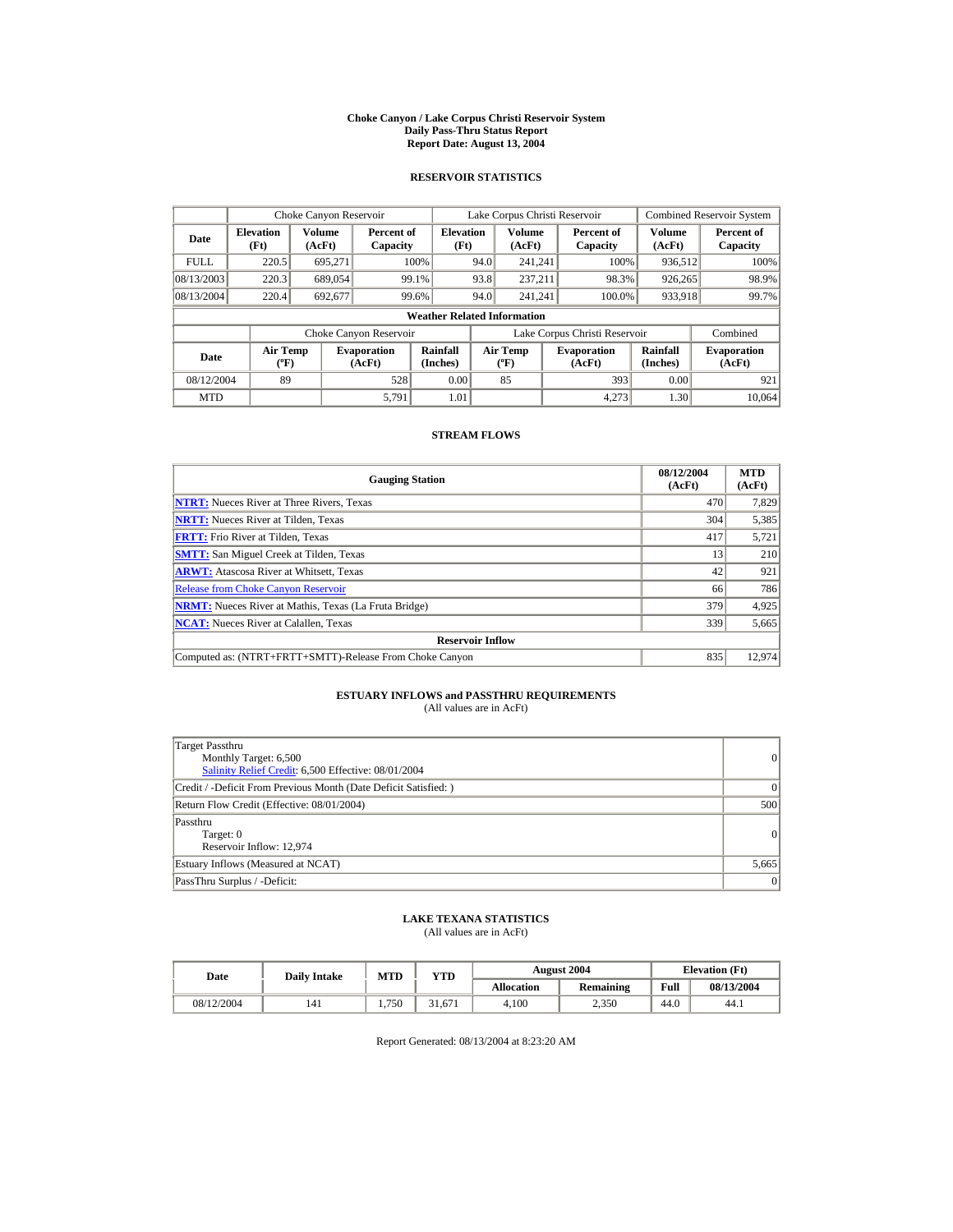#### **Choke Canyon / Lake Corpus Christi Reservoir System Daily Pass-Thru Status Report Report Date: August 13, 2004**

## **RESERVOIR STATISTICS**

|             | Choke Canyon Reservoir               |                  |                              |                          | Lake Corpus Christi Reservoir |                                                  |  |                               |                      | <b>Combined Reservoir System</b> |  |
|-------------|--------------------------------------|------------------|------------------------------|--------------------------|-------------------------------|--------------------------------------------------|--|-------------------------------|----------------------|----------------------------------|--|
| Date        | <b>Elevation</b><br>(Ft)             | Volume<br>(AcFt) | Percent of<br>Capacity       | <b>Elevation</b><br>(Ft) |                               | <b>Volume</b><br>(AcFt)                          |  | Percent of<br>Capacity        | Volume<br>(AcFt)     | Percent of<br>Capacity           |  |
| <b>FULL</b> | 220.5                                | 695,271          |                              | 100%                     | 94.0                          | 241.241                                          |  | 100%                          | 936,512              | 100%                             |  |
| 08/13/2003  | 220.3                                | 689,054          |                              | 99.1%                    | 93.8                          | 237.211                                          |  | 98.3%                         | 926,265              | 98.9%                            |  |
| 08/13/2004  | 220.4                                | 692,677          |                              | 99.6%                    | 94.0                          | 241.241                                          |  | 100.0%                        | 933,918              | 99.7%                            |  |
|             | <b>Weather Related Information</b>   |                  |                              |                          |                               |                                                  |  |                               |                      |                                  |  |
|             |                                      |                  | Choke Canyon Reservoir       |                          |                               |                                                  |  | Lake Corpus Christi Reservoir |                      | Combined                         |  |
| Date        | Air Temp<br>$({}^{\circ}\mathrm{F})$ |                  | <b>Evaporation</b><br>(AcFt) | Rainfall<br>(Inches)     |                               | <b>Air Temp</b><br>$({}^{\mathrm{o}}\mathrm{F})$ |  | <b>Evaporation</b><br>(AcFt)  | Rainfall<br>(Inches) | <b>Evaporation</b><br>(AcFt)     |  |
| 08/12/2004  | 89                                   |                  | 528                          | 0.00                     |                               | 85                                               |  | 393                           | 0.00                 | 921                              |  |
| <b>MTD</b>  |                                      |                  | 5.791                        | 1.01                     |                               |                                                  |  | 4.273                         | 1.30                 | 10.064                           |  |

## **STREAM FLOWS**

| <b>Gauging Station</b>                                       | 08/12/2004<br>(AcFt) | <b>MTD</b><br>(AcFt) |
|--------------------------------------------------------------|----------------------|----------------------|
| <b>NTRT:</b> Nueces River at Three Rivers, Texas             | 470                  | 7,829                |
| <b>NRTT:</b> Nueces River at Tilden, Texas                   | 304                  | 5,385                |
| <b>FRTT:</b> Frio River at Tilden, Texas                     | 417                  | 5,721                |
| <b>SMTT:</b> San Miguel Creek at Tilden, Texas               | 13                   | 210                  |
| <b>ARWT:</b> Atascosa River at Whitsett, Texas               | 42                   | 921                  |
| <b>Release from Choke Canyon Reservoir</b>                   | 66                   | 786                  |
| <b>NRMT:</b> Nueces River at Mathis, Texas (La Fruta Bridge) | 379                  | 4,925                |
| <b>NCAT:</b> Nueces River at Calallen, Texas                 | 339                  | 5,665                |
| <b>Reservoir Inflow</b>                                      |                      |                      |
| Computed as: (NTRT+FRTT+SMTT)-Release From Choke Canyon      | 835                  | 12.974               |

## **ESTUARY INFLOWS and PASSTHRU REQUIREMENTS**<br>(All values are in AcFt)

| Target Passthru<br>Monthly Target: 6,500<br>Salinity Relief Credit: 6,500 Effective: 08/01/2004 | 0        |
|-------------------------------------------------------------------------------------------------|----------|
| Credit / -Deficit From Previous Month (Date Deficit Satisfied: )                                | $\Omega$ |
| Return Flow Credit (Effective: 08/01/2004)                                                      | 500      |
| Passthru<br>Target: 0<br>Reservoir Inflow: 12,974                                               | 0        |
| Estuary Inflows (Measured at NCAT)                                                              | 5,665    |
| PassThru Surplus / -Deficit:                                                                    | 0        |

## **LAKE TEXANA STATISTICS**

(All values are in AcFt)

| Date       | <b>Daily Intake</b> | <b>MTD</b> | YTD    |                   | <b>August 2004</b> | <b>Elevation</b> (Ft) |            |
|------------|---------------------|------------|--------|-------------------|--------------------|-----------------------|------------|
|            |                     |            |        | <b>Allocation</b> | Remaining          | Full                  | 08/13/2004 |
| 08/12/2004 | 141                 | 1.750      | 31.671 | 4.100             | 2.350              | 44.0                  | 44.1       |

Report Generated: 08/13/2004 at 8:23:20 AM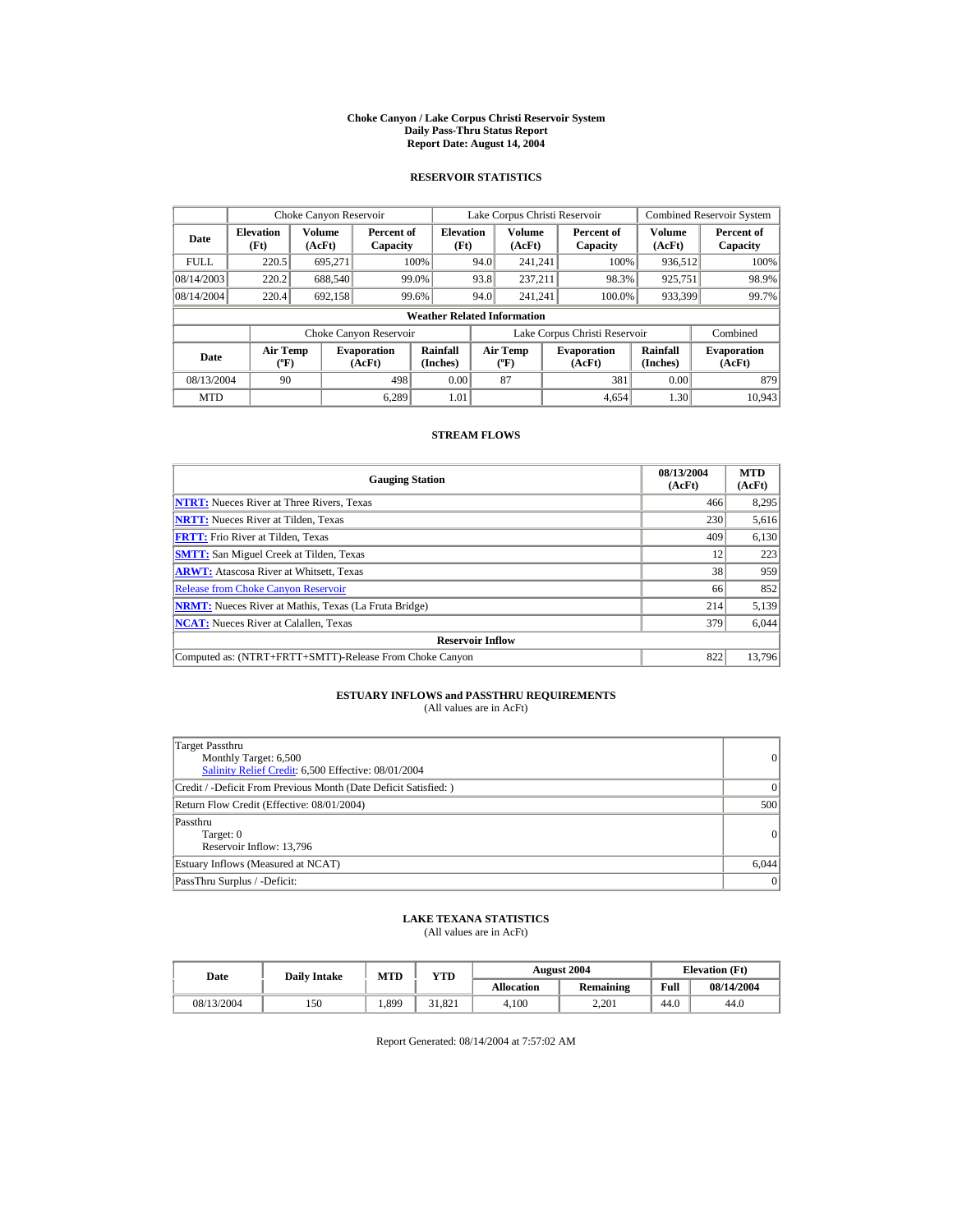#### **Choke Canyon / Lake Corpus Christi Reservoir System Daily Pass-Thru Status Report Report Date: August 14, 2004**

## **RESERVOIR STATISTICS**

|             | Choke Canyon Reservoir               |                  |                              |                          | Lake Corpus Christi Reservoir |                                           |  |                               |                      | Combined Reservoir System    |  |  |
|-------------|--------------------------------------|------------------|------------------------------|--------------------------|-------------------------------|-------------------------------------------|--|-------------------------------|----------------------|------------------------------|--|--|
| Date        | <b>Elevation</b><br>(Ft)             | Volume<br>(AcFt) | Percent of<br>Capacity       | <b>Elevation</b><br>(Ft) |                               | Volume<br>(AcFt)                          |  | Percent of<br>Capacity        | Volume<br>(AcFt)     | Percent of<br>Capacity       |  |  |
| <b>FULL</b> | 220.5                                | 695.271          |                              | 100%                     | 94.0                          | 241.241                                   |  | 100%                          | 936,512              | 100%                         |  |  |
| 08/14/2003  | 220.2                                | 688,540          |                              | 99.0%                    | 93.8                          | 237.211                                   |  | 98.3%                         | 925,751              | 98.9%                        |  |  |
| 08/14/2004  | 220.4                                | 692.158          |                              | 99.6%                    | 94.0                          | 241.241                                   |  | 100.0%                        | 933,399              | 99.7%                        |  |  |
|             | <b>Weather Related Information</b>   |                  |                              |                          |                               |                                           |  |                               |                      |                              |  |  |
|             |                                      |                  | Choke Canyon Reservoir       |                          |                               |                                           |  | Lake Corpus Christi Reservoir |                      | Combined                     |  |  |
| Date        | Air Temp<br>$({}^{\circ}\mathrm{F})$ |                  | <b>Evaporation</b><br>(AcFt) | Rainfall<br>(Inches)     |                               | <b>Air Temp</b><br>$({}^{\circ}\text{F})$ |  | <b>Evaporation</b><br>(AcFt)  | Rainfall<br>(Inches) | <b>Evaporation</b><br>(AcFt) |  |  |
| 08/13/2004  | 90                                   |                  | 498                          | 0.00                     |                               | 87                                        |  | 381                           | 0.00                 | 879                          |  |  |
| <b>MTD</b>  |                                      |                  | 6.289                        | 1.01                     |                               |                                           |  | 4.654                         | 1.30                 | 10.943                       |  |  |

## **STREAM FLOWS**

| <b>Gauging Station</b>                                       | 08/13/2004<br>(AcFt) | <b>MTD</b><br>(AcFt) |
|--------------------------------------------------------------|----------------------|----------------------|
| <b>NTRT:</b> Nueces River at Three Rivers, Texas             | 466                  | 8,295                |
| <b>NRTT:</b> Nueces River at Tilden, Texas                   | 230                  | 5,616                |
| <b>FRTT:</b> Frio River at Tilden, Texas                     | 409                  | 6,130                |
| <b>SMTT:</b> San Miguel Creek at Tilden, Texas               | 12                   | 223                  |
| <b>ARWT:</b> Atascosa River at Whitsett, Texas               | 38                   | 959                  |
| <b>Release from Choke Canyon Reservoir</b>                   | 66                   | 852                  |
| <b>NRMT:</b> Nueces River at Mathis, Texas (La Fruta Bridge) | 214                  | 5,139                |
| <b>NCAT:</b> Nueces River at Calallen, Texas                 | 379                  | 6,044                |
| <b>Reservoir Inflow</b>                                      |                      |                      |
| Computed as: (NTRT+FRTT+SMTT)-Release From Choke Canyon      | 822                  | 13,796               |

# **ESTUARY INFLOWS and PASSTHRU REQUIREMENTS**<br>(All values are in AcFt)

| Target Passthru<br>Monthly Target: 6,500<br>Salinity Relief Credit: 6,500 Effective: 08/01/2004 | 0               |
|-------------------------------------------------------------------------------------------------|-----------------|
| Credit / -Deficit From Previous Month (Date Deficit Satisfied: )                                | $\Omega$        |
| Return Flow Credit (Effective: 08/01/2004)                                                      | 500             |
| Passthru<br>Target: 0<br>Reservoir Inflow: 13,796                                               | 0               |
| Estuary Inflows (Measured at NCAT)                                                              | 6,044           |
| PassThru Surplus / -Deficit:                                                                    | $\vert 0 \vert$ |

## **LAKE TEXANA STATISTICS**

(All values are in AcFt)

| Date       | <b>Daily Intake</b> | <b>MTD</b> | YTD    |                   | <b>August 2004</b> | <b>Elevation</b> (Ft) |            |
|------------|---------------------|------------|--------|-------------------|--------------------|-----------------------|------------|
|            |                     |            |        | <b>Allocation</b> | Remaining          | Full                  | 08/14/2004 |
| 08/13/2004 | 150                 | .399       | 31.821 | 4.100             | 2.201              | 44.0                  | 44.0       |

Report Generated: 08/14/2004 at 7:57:02 AM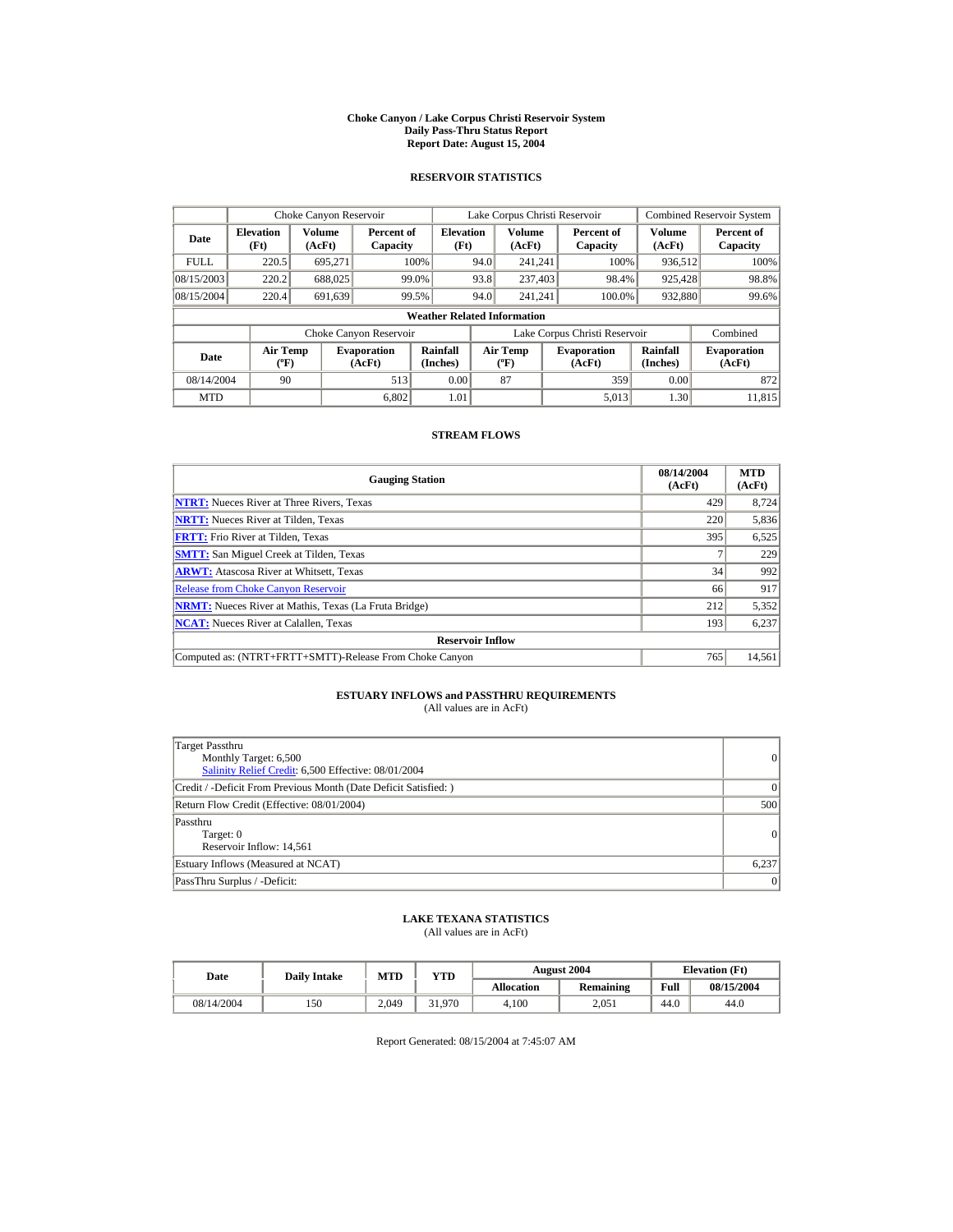#### **Choke Canyon / Lake Corpus Christi Reservoir System Daily Pass-Thru Status Report Report Date: August 15, 2004**

## **RESERVOIR STATISTICS**

|             | Choke Canyon Reservoir                      |                  |                              |                          | Lake Corpus Christi Reservoir |                                                  |  |                               |                         | <b>Combined Reservoir System</b> |  |  |
|-------------|---------------------------------------------|------------------|------------------------------|--------------------------|-------------------------------|--------------------------------------------------|--|-------------------------------|-------------------------|----------------------------------|--|--|
| Date        | <b>Elevation</b><br>(Ft)                    | Volume<br>(AcFt) | Percent of<br>Capacity       | <b>Elevation</b><br>(Ft) |                               | <b>Volume</b><br>(AcFt)                          |  | Percent of<br>Capacity        | <b>Volume</b><br>(AcFt) | Percent of<br>Capacity           |  |  |
| <b>FULL</b> | 220.5                                       | 695.271          |                              | 100%                     | 94.0                          | 241.241                                          |  | 100%                          | 936,512                 | 100%                             |  |  |
| 08/15/2003  | 220.2                                       | 688,025          | 99.0%                        |                          | 93.8                          | 237,403                                          |  | 98.4%                         | 925,428                 | 98.8%                            |  |  |
| 08/15/2004  | 220.4                                       | 691.639          | 99.5%                        |                          | 94.0                          | 241.241                                          |  | 100.0%                        | 932,880                 | 99.6%                            |  |  |
|             | <b>Weather Related Information</b>          |                  |                              |                          |                               |                                                  |  |                               |                         |                                  |  |  |
|             |                                             |                  | Choke Canyon Reservoir       |                          |                               |                                                  |  | Lake Corpus Christi Reservoir |                         | Combined                         |  |  |
| Date        | <b>Air Temp</b><br>$({}^{\circ}\mathrm{F})$ |                  | <b>Evaporation</b><br>(AcFt) | Rainfall<br>(Inches)     |                               | <b>Air Temp</b><br>$({}^{\mathrm{o}}\mathrm{F})$ |  | <b>Evaporation</b><br>(AcFt)  | Rainfall<br>(Inches)    | <b>Evaporation</b><br>(AcFt)     |  |  |
| 08/14/2004  | 90                                          |                  | 513                          | 0.00                     |                               | 87                                               |  | 359                           | 0.00                    | 872                              |  |  |
| <b>MTD</b>  |                                             |                  | 6.802                        | 1.01                     |                               |                                                  |  | 5.013                         | 1.30                    | 11.815                           |  |  |

## **STREAM FLOWS**

| <b>Gauging Station</b>                                       | 08/14/2004<br>(AcFt) | <b>MTD</b><br>(AcFt) |
|--------------------------------------------------------------|----------------------|----------------------|
| <b>NTRT:</b> Nueces River at Three Rivers, Texas             | 429                  | 8.724                |
| <b>NRTT:</b> Nueces River at Tilden, Texas                   | 220                  | 5,836                |
| <b>FRTT:</b> Frio River at Tilden, Texas                     | 395                  | 6,525                |
| <b>SMTT:</b> San Miguel Creek at Tilden, Texas               |                      | 229                  |
| <b>ARWT:</b> Atascosa River at Whitsett, Texas               | 34                   | 992                  |
| <b>Release from Choke Canyon Reservoir</b>                   | 66                   | 917                  |
| <b>NRMT:</b> Nueces River at Mathis, Texas (La Fruta Bridge) | 212                  | 5,352                |
| <b>NCAT:</b> Nueces River at Calallen, Texas                 | 193                  | 6,237                |
| <b>Reservoir Inflow</b>                                      |                      |                      |
| Computed as: (NTRT+FRTT+SMTT)-Release From Choke Canyon      | 765                  | 14,561               |

## **ESTUARY INFLOWS and PASSTHRU REQUIREMENTS**<br>(All values are in AcFt)

| Target Passthru<br>Monthly Target: 6,500<br>Salinity Relief Credit: 6,500 Effective: 08/01/2004 | 0     |
|-------------------------------------------------------------------------------------------------|-------|
| Credit / -Deficit From Previous Month (Date Deficit Satisfied: )                                | 0     |
| Return Flow Credit (Effective: 08/01/2004)                                                      | 500   |
| Passthru<br>Target: 0<br>Reservoir Inflow: 14,561                                               | 0     |
| Estuary Inflows (Measured at NCAT)                                                              | 6,237 |
| PassThru Surplus / -Deficit:                                                                    | 0     |

## **LAKE TEXANA STATISTICS**

(All values are in AcFt)

| Date       | <b>Daily Intake</b> | <b>MTD</b> | VTD    |                   | <b>August 2004</b> | <b>Elevation</b> (Ft) |            |
|------------|---------------------|------------|--------|-------------------|--------------------|-----------------------|------------|
|            |                     |            |        | <b>Allocation</b> | <b>Remaining</b>   | Full                  | 08/15/2004 |
| 08/14/2004 | 150                 | 2.049      | 31.970 | 4.100             | 2.051              | 44.0                  | 44.0       |

Report Generated: 08/15/2004 at 7:45:07 AM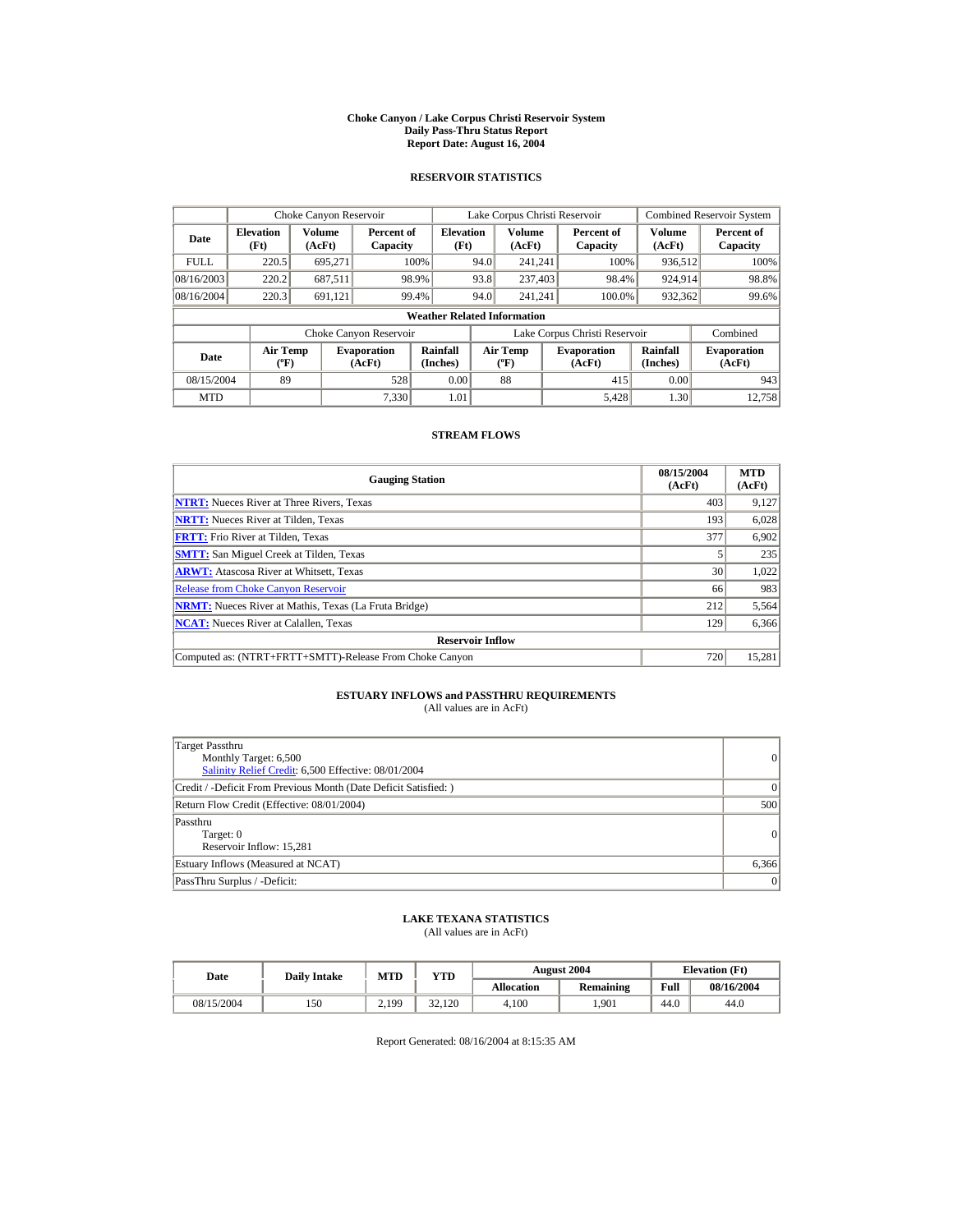#### **Choke Canyon / Lake Corpus Christi Reservoir System Daily Pass-Thru Status Report Report Date: August 16, 2004**

## **RESERVOIR STATISTICS**

|                                                                                     | Choke Canyon Reservoir |                      |                                  |                                    |                               | Lake Corpus Christi Reservoir |                      |                              |                  | Combined Reservoir System |
|-------------------------------------------------------------------------------------|------------------------|----------------------|----------------------------------|------------------------------------|-------------------------------|-------------------------------|----------------------|------------------------------|------------------|---------------------------|
| <b>Elevation</b><br>Date<br>(Ft)                                                    |                        | Volume<br>(AcFt)     | Percent of<br>Capacity           | <b>Elevation</b><br>(Ft)           |                               | Volume<br>(AcFt)              |                      | Percent of<br>Capacity       | Volume<br>(AcFt) | Percent of<br>Capacity    |
| <b>FULL</b>                                                                         | 220.5                  | 695.271              |                                  | 100%                               | 94.0                          | 241.241                       |                      | 100%                         | 936,512          | 100%                      |
| 08/16/2003                                                                          | 220.2                  | 687,511              |                                  | 98.9%                              | 93.8                          | 237,403                       |                      | 98.4%                        | 924,914          | 98.8%                     |
| 08/16/2004                                                                          | 220.3                  | 691.121              |                                  | 99.4%                              | 94.0                          | 241.241                       |                      | 100.0%                       | 932,362          | 99.6%                     |
|                                                                                     |                        |                      |                                  | <b>Weather Related Information</b> |                               |                               |                      |                              |                  |                           |
|                                                                                     |                        |                      | Choke Canyon Reservoir           |                                    | Lake Corpus Christi Reservoir |                               |                      |                              | Combined         |                           |
| <b>Air Temp</b><br><b>Evaporation</b><br>Date<br>$({}^{\circ}\mathrm{F})$<br>(AcFt) |                        | Rainfall<br>(Inches) | <b>Air Temp</b><br>$(^{\circ}F)$ |                                    |                               | <b>Evaporation</b><br>(AcFt)  | Rainfall<br>(Inches) | <b>Evaporation</b><br>(AcFt) |                  |                           |
| 08/15/2004                                                                          | 89                     |                      | 528                              | 0.00                               |                               | 88                            |                      | 415                          | 0.00             | 943                       |
| <b>MTD</b>                                                                          |                        |                      | 7.330                            | 1.01                               |                               |                               |                      | 5.428                        | 1.30             | 12.758                    |

## **STREAM FLOWS**

| <b>Gauging Station</b>                                       | 08/15/2004<br>(AcFt) | <b>MTD</b><br>(AcFt) |
|--------------------------------------------------------------|----------------------|----------------------|
| <b>NTRT:</b> Nueces River at Three Rivers, Texas             | 403                  | 9,127                |
| <b>NRTT:</b> Nueces River at Tilden, Texas                   | 193                  | 6,028                |
| <b>FRTT:</b> Frio River at Tilden, Texas                     | 377                  | 6,902                |
| <b>SMTT:</b> San Miguel Creek at Tilden, Texas               |                      | 235                  |
| <b>ARWT:</b> Atascosa River at Whitsett, Texas               | 30 <sup>1</sup>      | 1,022                |
| <b>Release from Choke Canyon Reservoir</b>                   | 66                   | 983                  |
| <b>NRMT:</b> Nueces River at Mathis, Texas (La Fruta Bridge) | 212                  | 5,564                |
| <b>NCAT:</b> Nueces River at Calallen, Texas                 | 129                  | 6,366                |
| <b>Reservoir Inflow</b>                                      |                      |                      |
| Computed as: (NTRT+FRTT+SMTT)-Release From Choke Canyon      | 720                  | 15,281               |

# **ESTUARY INFLOWS and PASSTHRU REQUIREMENTS**<br>(All values are in AcFt)

| Target Passthru<br>Monthly Target: 6,500<br>Salinity Relief Credit: 6,500 Effective: 08/01/2004 | 0         |
|-------------------------------------------------------------------------------------------------|-----------|
| Credit / -Deficit From Previous Month (Date Deficit Satisfied: )                                | $\vert$ 0 |
| Return Flow Credit (Effective: 08/01/2004)                                                      | 500       |
| Passthru<br>Target: 0<br>Reservoir Inflow: 15,281                                               | 0         |
| Estuary Inflows (Measured at NCAT)                                                              | 6,366     |
| PassThru Surplus / -Deficit:                                                                    | 0         |

## **LAKE TEXANA STATISTICS**

(All values are in AcFt)

| Date       | <b>Daily Intake</b> | <b>MTD</b> | VTD          |                   | <b>August 2004</b> |      | <b>Elevation</b> (Ft) |
|------------|---------------------|------------|--------------|-------------------|--------------------|------|-----------------------|
|            |                     |            |              | <b>Allocation</b> | <b>Remaining</b>   | Full | 08/16/2004            |
| 08/15/2004 | 150                 | 2.199      | 22<br>32.120 | 4.100             | .901               | 44.0 | 44.0                  |

Report Generated: 08/16/2004 at 8:15:35 AM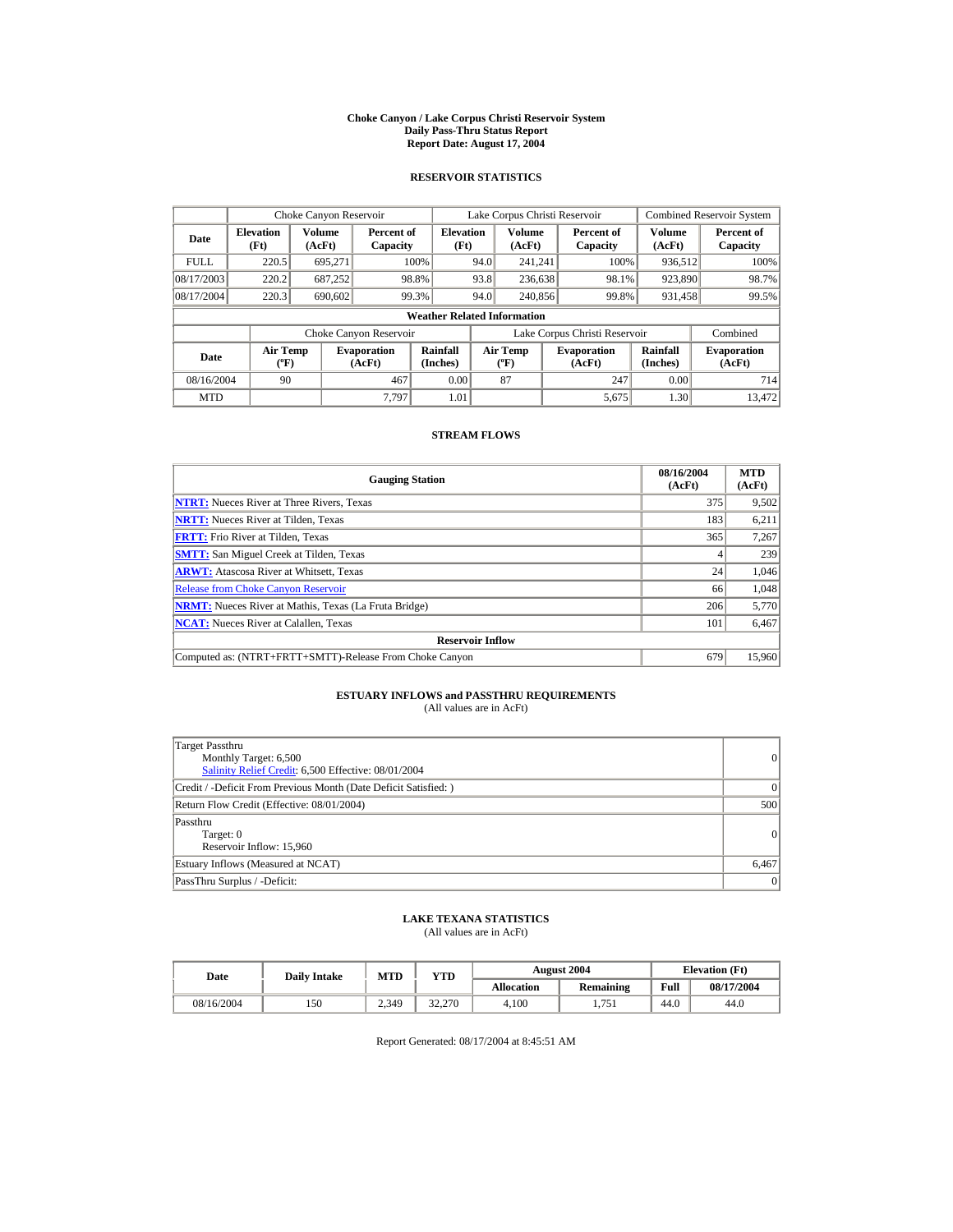#### **Choke Canyon / Lake Corpus Christi Reservoir System Daily Pass-Thru Status Report Report Date: August 17, 2004**

## **RESERVOIR STATISTICS**

|                                                     | Choke Canyon Reservoir |                              |                        |                                                    |                                           | Lake Corpus Christi Reservoir |                               |                              | <b>Combined Reservoir System</b> |
|-----------------------------------------------------|------------------------|------------------------------|------------------------|----------------------------------------------------|-------------------------------------------|-------------------------------|-------------------------------|------------------------------|----------------------------------|
| <b>Elevation</b><br>Date<br>(Ft)                    |                        | Volume<br>(AcFt)             |                        | <b>Elevation</b><br>Percent of<br>(Ft)<br>Capacity |                                           | <b>Volume</b><br>(AcFt)       | Percent of<br>Capacity        | <b>Volume</b><br>(AcFt)      | Percent of<br>Capacity           |
| <b>FULL</b>                                         | 220.5                  | 695,271                      |                        | 100%                                               | 94.0                                      | 241.241                       | 100%                          | 936,512                      | 100%                             |
| 08/17/2003                                          | 220.2                  | 687,252                      |                        | 98.8%                                              | 93.8                                      | 236,638                       | 98.1%                         | 923,890                      | 98.7%                            |
| 08/17/2004                                          | 220.3                  | 690,602                      |                        | 99.3%                                              | 94.0                                      | 240,856                       | 99.8%                         | 931,458                      | 99.5%                            |
|                                                     |                        |                              |                        | <b>Weather Related Information</b>                 |                                           |                               |                               |                              |                                  |
|                                                     |                        |                              | Choke Canyon Reservoir |                                                    |                                           |                               | Lake Corpus Christi Reservoir |                              | Combined                         |
| <b>Air Temp</b><br>Date<br>$({}^{\circ}\mathrm{F})$ |                        | <b>Evaporation</b><br>(AcFt) | Rainfall<br>(Inches)   |                                                    | <b>Air Temp</b><br>$({}^{\circ}\text{F})$ | <b>Evaporation</b><br>(AcFt)  | Rainfall<br>(Inches)          | <b>Evaporation</b><br>(AcFt) |                                  |
| 08/16/2004                                          | 90                     |                              | 467                    | 0.00                                               |                                           | 87                            | 247                           | 0.00                         | 714                              |
| <b>MTD</b>                                          |                        |                              | 7.797                  | 1.01                                               |                                           |                               | 5,675                         | 1.30                         | 13.472                           |

## **STREAM FLOWS**

| <b>Gauging Station</b>                                       | 08/16/2004<br>(AcFt) | <b>MTD</b><br>(AcFt) |
|--------------------------------------------------------------|----------------------|----------------------|
| <b>NTRT:</b> Nueces River at Three Rivers, Texas             | 375                  | 9,502                |
| <b>NRTT:</b> Nueces River at Tilden, Texas                   | 183                  | 6,211                |
| <b>FRTT:</b> Frio River at Tilden, Texas                     | 365                  | 7,267                |
| <b>SMTT:</b> San Miguel Creek at Tilden, Texas               |                      | 239                  |
| <b>ARWT:</b> Atascosa River at Whitsett, Texas               | 24                   | 1,046                |
| <b>Release from Choke Canyon Reservoir</b>                   | 66                   | 1,048                |
| <b>NRMT:</b> Nueces River at Mathis, Texas (La Fruta Bridge) | 206                  | 5,770                |
| <b>NCAT:</b> Nueces River at Calallen, Texas                 | 101                  | 6,467                |
| <b>Reservoir Inflow</b>                                      |                      |                      |
| Computed as: (NTRT+FRTT+SMTT)-Release From Choke Canyon      | 679                  | 15,960               |

## **ESTUARY INFLOWS and PASSTHRU REQUIREMENTS**<br>(All values are in AcFt)

| Target Passthru<br>Monthly Target: 6,500<br>Salinity Relief Credit: 6,500 Effective: 08/01/2004 | 0        |
|-------------------------------------------------------------------------------------------------|----------|
| Credit / -Deficit From Previous Month (Date Deficit Satisfied: )                                | $\Omega$ |
| Return Flow Credit (Effective: 08/01/2004)                                                      | 500      |
| Passthru<br>Target: 0<br>Reservoir Inflow: 15,960                                               | 0        |
| Estuary Inflows (Measured at NCAT)                                                              | 6,467    |
| PassThru Surplus / -Deficit:                                                                    | 0        |

## **LAKE TEXANA STATISTICS**

(All values are in AcFt)

|            | Date |       | <b>MTD</b><br>VTD<br><b>Daily Intake</b> |                   |                  | <b>August 2004</b> | <b>Elevation</b> (Ft) |  |
|------------|------|-------|------------------------------------------|-------------------|------------------|--------------------|-----------------------|--|
|            |      |       |                                          | <b>Allocation</b> | <b>Remaining</b> | Full               | 08/17/2004            |  |
| 08/16/2004 | 150  | 2.349 | 32,270                                   | 4.100             | 1.751            | 44.0               | 44.0                  |  |

Report Generated: 08/17/2004 at 8:45:51 AM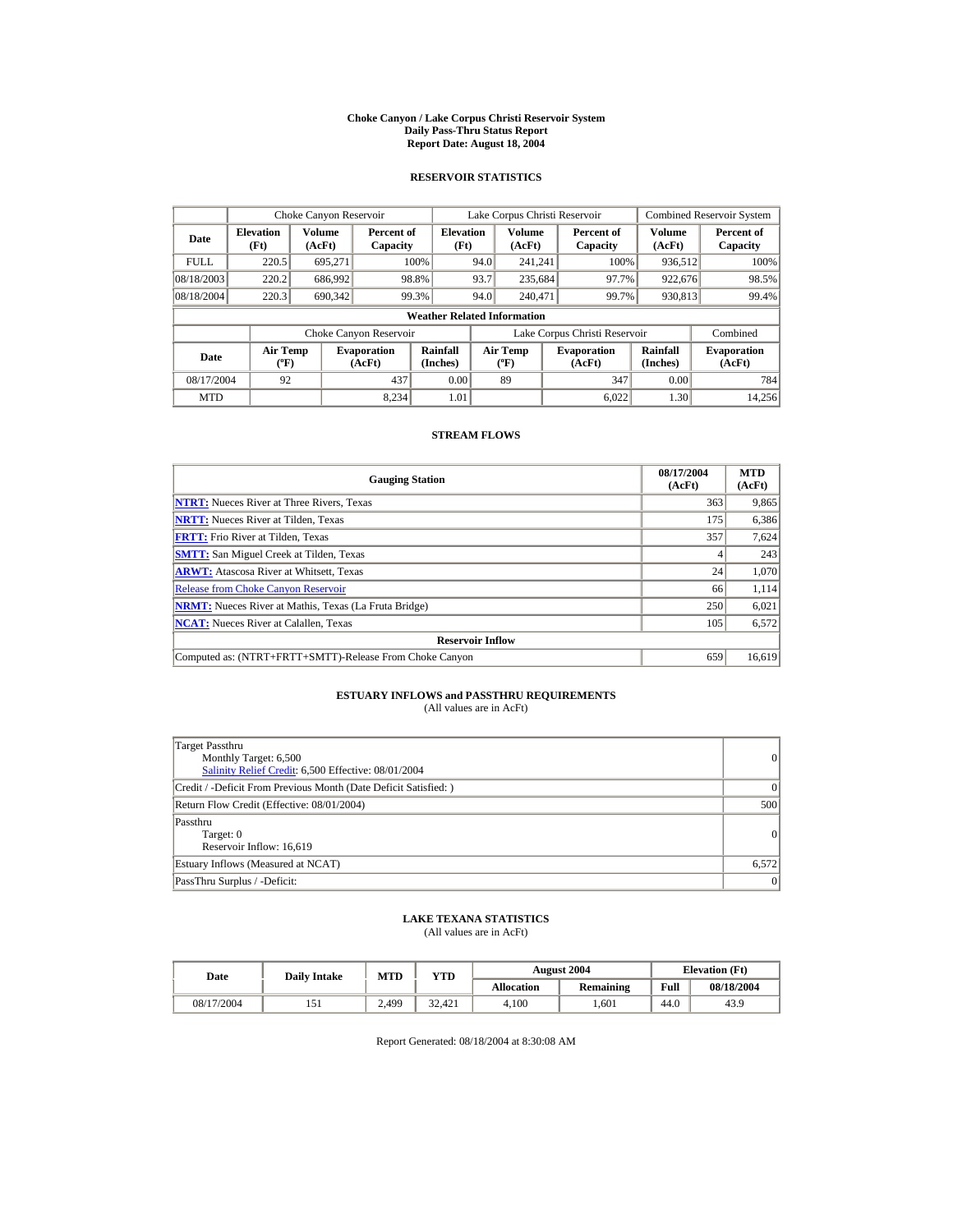#### **Choke Canyon / Lake Corpus Christi Reservoir System Daily Pass-Thru Status Report Report Date: August 18, 2004**

## **RESERVOIR STATISTICS**

|                                              | Choke Canyon Reservoir |                              |                        |                                    |                                                  | Lake Corpus Christi Reservoir |                              |                        |                              | <b>Combined Reservoir System</b> |
|----------------------------------------------|------------------------|------------------------------|------------------------|------------------------------------|--------------------------------------------------|-------------------------------|------------------------------|------------------------|------------------------------|----------------------------------|
| <b>Elevation</b><br>Date<br>(Ft)             |                        | Volume<br>(AcFt)             | Percent of<br>Capacity | <b>Elevation</b><br>(Ft)           |                                                  | <b>Volume</b><br>(AcFt)       |                              | Percent of<br>Capacity | Volume<br>(AcFt)             | Percent of<br>Capacity           |
| <b>FULL</b>                                  | 220.5                  | 695,271                      |                        | 100%                               | 94.0                                             | 241.241                       |                              | 100%                   | 936,512                      | 100%                             |
| 08/18/2003                                   | 220.2                  | 686,992                      |                        | 98.8%                              | 93.7                                             | 235.684                       |                              | 97.7%                  | 922.676                      | 98.5%                            |
| 08/18/2004                                   | 220.3                  | 690,342                      |                        | 99.3%                              | 94.0                                             | 240,471                       |                              | 99.7%                  | 930,813                      | 99.4%                            |
|                                              |                        |                              |                        | <b>Weather Related Information</b> |                                                  |                               |                              |                        |                              |                                  |
|                                              |                        |                              | Choke Canyon Reservoir |                                    | Lake Corpus Christi Reservoir                    |                               |                              |                        | Combined                     |                                  |
| Air Temp<br>Date<br>$({}^{\circ}\mathrm{F})$ |                        | <b>Evaporation</b><br>(AcFt) | Rainfall<br>(Inches)   |                                    | <b>Air Temp</b><br>$({}^{\mathrm{o}}\mathrm{F})$ |                               | <b>Evaporation</b><br>(AcFt) | Rainfall<br>(Inches)   | <b>Evaporation</b><br>(AcFt) |                                  |
| 08/17/2004                                   | 92                     |                              | 437                    | 0.00                               |                                                  | 89                            |                              | 347                    | 0.00                         | 784                              |
| <b>MTD</b>                                   |                        |                              | 8.234                  | 1.01                               |                                                  |                               |                              | 6.022                  | 1.30                         | 14.256                           |

## **STREAM FLOWS**

| <b>Gauging Station</b>                                       | 08/17/2004<br>(AcFt) | <b>MTD</b><br>(AcFt) |
|--------------------------------------------------------------|----------------------|----------------------|
| <b>NTRT:</b> Nueces River at Three Rivers, Texas             | 363                  | 9,865                |
| <b>NRTT:</b> Nueces River at Tilden, Texas                   | 175                  | 6,386                |
| <b>FRTT:</b> Frio River at Tilden, Texas                     | 357                  | 7,624                |
| <b>SMTT:</b> San Miguel Creek at Tilden, Texas               |                      | 243                  |
| <b>ARWT:</b> Atascosa River at Whitsett, Texas               | 24                   | 1,070                |
| <b>Release from Choke Canyon Reservoir</b>                   | 66                   | 1,114                |
| <b>NRMT:</b> Nueces River at Mathis, Texas (La Fruta Bridge) | 250                  | 6,021                |
| <b>NCAT:</b> Nueces River at Calallen, Texas                 | 105                  | 6,572                |
| <b>Reservoir Inflow</b>                                      |                      |                      |
| Computed as: (NTRT+FRTT+SMTT)-Release From Choke Canyon      | 659                  | 16,619               |

# **ESTUARY INFLOWS and PASSTHRU REQUIREMENTS**<br>(All values are in AcFt)

| Target Passthru<br>Monthly Target: 6,500<br>Salinity Relief Credit: 6,500 Effective: 08/01/2004 | $\overline{0}$ |
|-------------------------------------------------------------------------------------------------|----------------|
| Credit / -Deficit From Previous Month (Date Deficit Satisfied: )                                | $\Omega$       |
| Return Flow Credit (Effective: 08/01/2004)                                                      | 500            |
| Passthru<br>Target: 0<br>Reservoir Inflow: 16,619                                               | 0              |
| Estuary Inflows (Measured at NCAT)                                                              | 6,572          |
| PassThru Surplus / -Deficit:                                                                    | 0              |

## **LAKE TEXANA STATISTICS**

(All values are in AcFt)

| Date       | <b>Daily Intake</b> | <b>MTD</b> | YTD    |                   | <b>August 2004</b> | <b>Elevation</b> (Ft) |            |
|------------|---------------------|------------|--------|-------------------|--------------------|-----------------------|------------|
|            |                     |            |        | <b>Allocation</b> | <b>Remaining</b>   | Full                  | 08/18/2004 |
| 08/17/2004 |                     | 2.499      | 32.421 | 4.100             | .601               | 44.0                  | 43.9       |

Report Generated: 08/18/2004 at 8:30:08 AM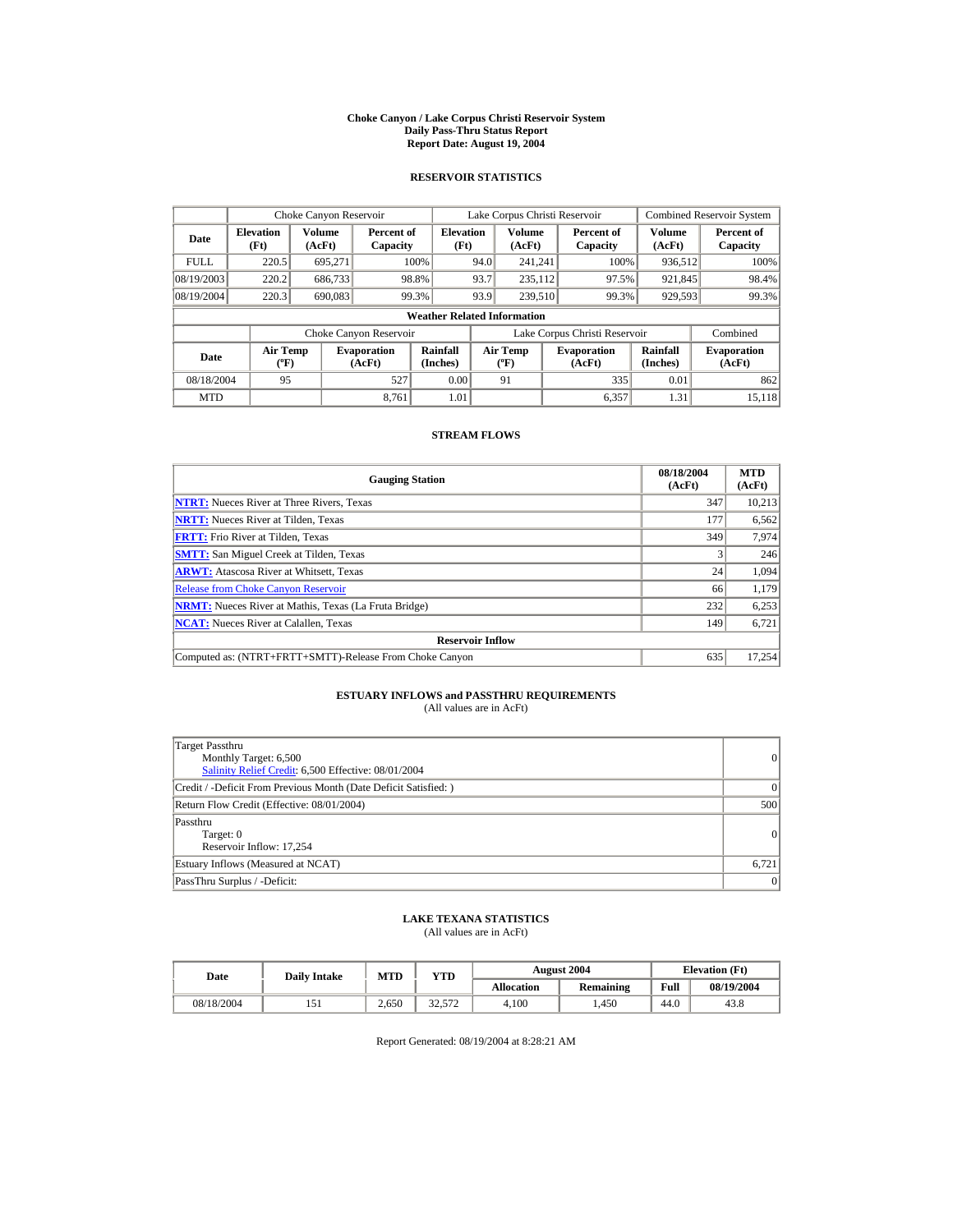#### **Choke Canyon / Lake Corpus Christi Reservoir System Daily Pass-Thru Status Report Report Date: August 19, 2004**

## **RESERVOIR STATISTICS**

|             | Choke Canyon Reservoir               |                  |                              |                          | Lake Corpus Christi Reservoir |                                                  |  |                               |                         | <b>Combined Reservoir System</b> |  |  |
|-------------|--------------------------------------|------------------|------------------------------|--------------------------|-------------------------------|--------------------------------------------------|--|-------------------------------|-------------------------|----------------------------------|--|--|
| Date        | <b>Elevation</b><br>(Ft)             | Volume<br>(AcFt) | Percent of<br>Capacity       | <b>Elevation</b><br>(Ft) |                               | <b>Volume</b><br>(AcFt)                          |  | Percent of<br>Capacity        | <b>Volume</b><br>(AcFt) | Percent of<br>Capacity           |  |  |
| <b>FULL</b> | 220.5                                | 695,271          |                              | 100%                     | 94.0                          | 241.241                                          |  | 100%                          | 936,512                 | 100%                             |  |  |
| 08/19/2003  | 220.2                                | 686,733          |                              | 98.8%                    | 93.7                          | 235.112                                          |  | 97.5%                         | 921,845                 | 98.4%                            |  |  |
| 08/19/2004  | 220.3                                | 690,083          |                              | 99.3%                    | 93.9                          | 239,510                                          |  | 99.3%                         | 929,593                 | 99.3%                            |  |  |
|             | <b>Weather Related Information</b>   |                  |                              |                          |                               |                                                  |  |                               |                         |                                  |  |  |
|             |                                      |                  | Choke Canyon Reservoir       |                          |                               |                                                  |  | Lake Corpus Christi Reservoir |                         | Combined                         |  |  |
| Date        | Air Temp<br>$({}^{\circ}\mathrm{F})$ |                  | <b>Evaporation</b><br>(AcFt) | Rainfall<br>(Inches)     |                               | <b>Air Temp</b><br>$({}^{\mathrm{o}}\mathrm{F})$ |  | <b>Evaporation</b><br>(AcFt)  | Rainfall<br>(Inches)    | <b>Evaporation</b><br>(AcFt)     |  |  |
| 08/18/2004  | 95                                   |                  | 527                          | 0.00                     |                               | 91                                               |  | 335                           | 0.01                    | 862                              |  |  |
| <b>MTD</b>  |                                      |                  | 8.761                        | 1.01                     |                               |                                                  |  | 6,357                         | 1.31                    | 15.118                           |  |  |

## **STREAM FLOWS**

| <b>Gauging Station</b>                                       | 08/18/2004<br>(AcFt) | <b>MTD</b><br>(AcFt) |
|--------------------------------------------------------------|----------------------|----------------------|
| <b>NTRT:</b> Nueces River at Three Rivers, Texas             | 347                  | 10,213               |
| <b>NRTT:</b> Nueces River at Tilden, Texas                   | 177                  | 6,562                |
| <b>FRTT:</b> Frio River at Tilden, Texas                     | 349                  | 7,974                |
| <b>SMTT:</b> San Miguel Creek at Tilden, Texas               |                      | 246                  |
| <b>ARWT:</b> Atascosa River at Whitsett, Texas               | 24                   | 1,094                |
| <b>Release from Choke Canyon Reservoir</b>                   | 66                   | 1,179                |
| <b>NRMT:</b> Nueces River at Mathis, Texas (La Fruta Bridge) | 232                  | 6,253                |
| <b>NCAT:</b> Nueces River at Calallen, Texas                 | 149                  | 6,721                |
| <b>Reservoir Inflow</b>                                      |                      |                      |
| Computed as: (NTRT+FRTT+SMTT)-Release From Choke Canyon      | 635                  | 17,254               |

## **ESTUARY INFLOWS and PASSTHRU REQUIREMENTS**<br>(All values are in AcFt)

| Target Passthru<br>Monthly Target: 6,500<br>Salinity Relief Credit: 6,500 Effective: 08/01/2004 | $\overline{0}$ |
|-------------------------------------------------------------------------------------------------|----------------|
| Credit / -Deficit From Previous Month (Date Deficit Satisfied:)                                 | $\Omega$       |
| Return Flow Credit (Effective: 08/01/2004)                                                      | 500            |
| Passthru<br>Target: 0<br>Reservoir Inflow: 17,254                                               | 0              |
| Estuary Inflows (Measured at NCAT)                                                              | 6,721          |
| PassThru Surplus / -Deficit:                                                                    | 0              |

## **LAKE TEXANA STATISTICS**

(All values are in AcFt)

| Date       | <b>Daily Intake</b> | <b>MTD</b> | YTD                    |                   | <b>August 2004</b> | <b>Elevation</b> (Ft) |            |
|------------|---------------------|------------|------------------------|-------------------|--------------------|-----------------------|------------|
|            |                     |            |                        | <b>Allocation</b> | Remaining          | Full                  | 08/19/2004 |
| 08/18/2004 |                     | 2.650      | $22^{\circ}$<br>32.572 | 4.100             | .450               | 44.0                  | 43.8       |

Report Generated: 08/19/2004 at 8:28:21 AM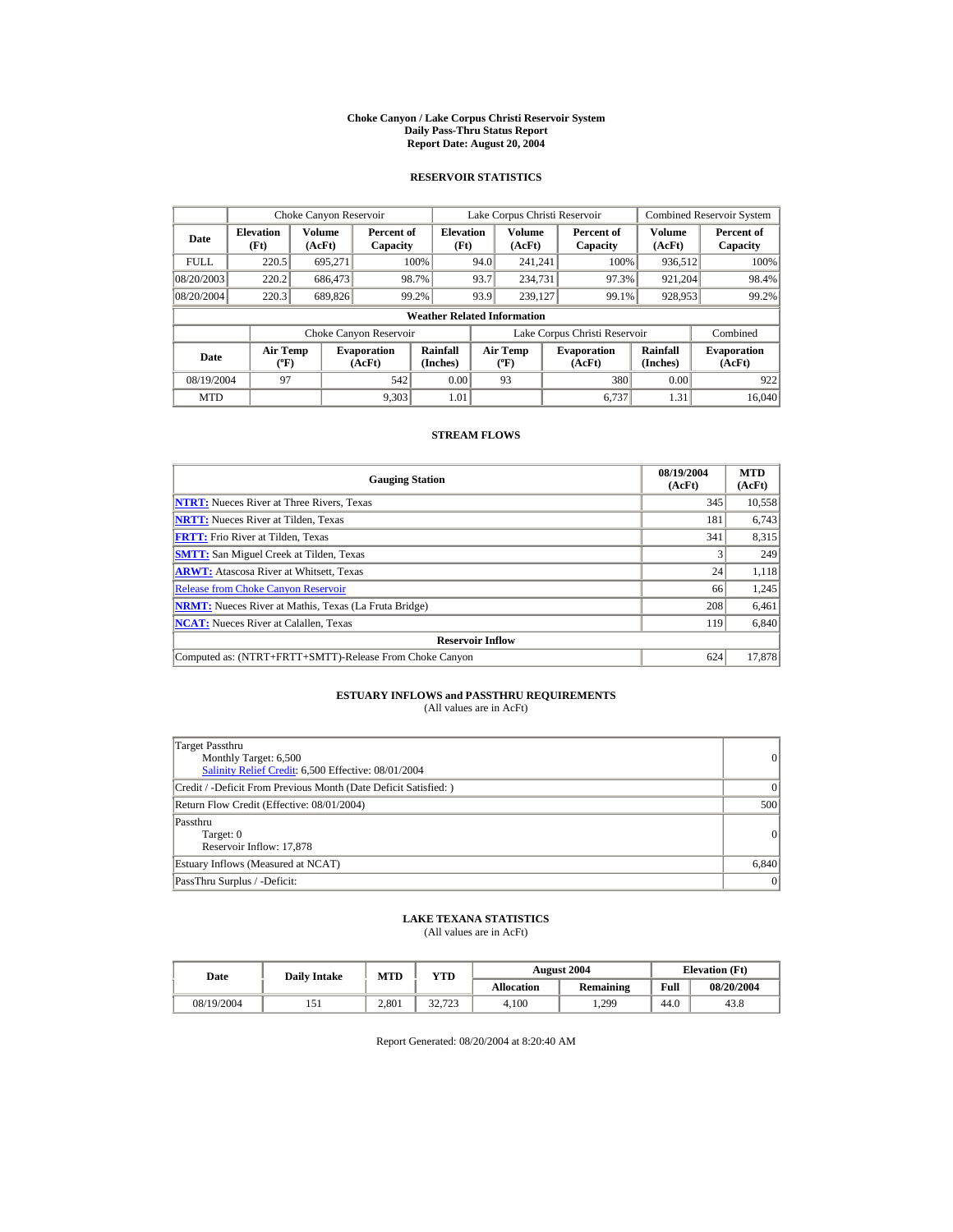#### **Choke Canyon / Lake Corpus Christi Reservoir System Daily Pass-Thru Status Report Report Date: August 20, 2004**

## **RESERVOIR STATISTICS**

|             | Choke Canyon Reservoir                      |                  |                              |                          | Lake Corpus Christi Reservoir |                                                  |  |                               |                         | <b>Combined Reservoir System</b> |  |  |
|-------------|---------------------------------------------|------------------|------------------------------|--------------------------|-------------------------------|--------------------------------------------------|--|-------------------------------|-------------------------|----------------------------------|--|--|
| Date        | <b>Elevation</b><br>(Ft)                    | Volume<br>(AcFt) | Percent of<br>Capacity       | <b>Elevation</b><br>(Ft) |                               | <b>Volume</b><br>(AcFt)                          |  | Percent of<br>Capacity        | <b>Volume</b><br>(AcFt) | Percent of<br>Capacity           |  |  |
| <b>FULL</b> | 220.5                                       | 695.271          |                              | 100%                     | 94.0                          | 241.241                                          |  | 100%                          | 936,512                 | 100%                             |  |  |
| 08/20/2003  | 220.2                                       | 686,473          |                              | 98.7%                    | 93.7                          | 234,731                                          |  | 97.3%                         | 921.204                 | 98.4%                            |  |  |
| 08/20/2004  | 220.3                                       | 689,826          |                              | 99.2%                    | 93.9                          | 239,127                                          |  | 99.1%                         | 928,953                 | 99.2%                            |  |  |
|             | <b>Weather Related Information</b>          |                  |                              |                          |                               |                                                  |  |                               |                         |                                  |  |  |
|             |                                             |                  | Choke Canyon Reservoir       |                          |                               |                                                  |  | Lake Corpus Christi Reservoir |                         | Combined                         |  |  |
| Date        | <b>Air Temp</b><br>$({}^{\circ}\mathrm{F})$ |                  | <b>Evaporation</b><br>(AcFt) | Rainfall<br>(Inches)     |                               | <b>Air Temp</b><br>$({}^{\mathrm{o}}\mathrm{F})$ |  | <b>Evaporation</b><br>(AcFt)  | Rainfall<br>(Inches)    | <b>Evaporation</b><br>(AcFt)     |  |  |
| 08/19/2004  | 97                                          |                  | 542                          | 0.00                     |                               | 93                                               |  | 380                           | 0.00                    | 922                              |  |  |
| <b>MTD</b>  |                                             |                  | 9.303                        | 1.01                     |                               |                                                  |  | 6.737                         | 1.31                    | 16.040                           |  |  |

## **STREAM FLOWS**

| <b>Gauging Station</b>                                       | 08/19/2004<br>(AcFt) | <b>MTD</b><br>(AcFt) |
|--------------------------------------------------------------|----------------------|----------------------|
| <b>NTRT:</b> Nueces River at Three Rivers, Texas             | 345                  | 10,558               |
| <b>NRTT:</b> Nueces River at Tilden, Texas                   | 181                  | 6,743                |
| <b>FRTT:</b> Frio River at Tilden, Texas                     | 341                  | 8,315                |
| <b>SMTT:</b> San Miguel Creek at Tilden, Texas               |                      | 249                  |
| <b>ARWT:</b> Atascosa River at Whitsett, Texas               | 24                   | 1,118                |
| <b>Release from Choke Canyon Reservoir</b>                   | 66                   | 1,245                |
| <b>NRMT:</b> Nueces River at Mathis, Texas (La Fruta Bridge) | 208                  | 6,461                |
| <b>NCAT:</b> Nueces River at Calallen, Texas                 | 119                  | 6,840                |
| <b>Reservoir Inflow</b>                                      |                      |                      |
| Computed as: (NTRT+FRTT+SMTT)-Release From Choke Canyon      | 624                  | 17,878               |

## **ESTUARY INFLOWS and PASSTHRU REQUIREMENTS**<br>(All values are in AcFt)

| Target Passthru<br>Monthly Target: 6,500<br>Salinity Relief Credit: 6,500 Effective: 08/01/2004 | 0         |
|-------------------------------------------------------------------------------------------------|-----------|
| Credit / -Deficit From Previous Month (Date Deficit Satisfied:)                                 | $\vert$ 0 |
| Return Flow Credit (Effective: 08/01/2004)                                                      | 500       |
| Passthru<br>Target: 0<br>Reservoir Inflow: 17,878                                               | 0         |
| Estuary Inflows (Measured at NCAT)                                                              | 6,840     |
| PassThru Surplus / -Deficit:                                                                    | 0         |

## **LAKE TEXANA STATISTICS**

(All values are in AcFt)

| Date       | <b>Daily Intake</b> | <b>MTD</b> | YTD                |                   | <b>August 2004</b> | <b>Elevation</b> (Ft) |            |
|------------|---------------------|------------|--------------------|-------------------|--------------------|-----------------------|------------|
|            |                     |            |                    | <b>Allocation</b> | Remaining          | Full                  | 08/20/2004 |
| 08/19/2004 |                     | 2.801      | 22.722<br>د ۱۷ د ک | 4.100             | 1.299              | 44.0                  | 43.8       |

Report Generated: 08/20/2004 at 8:20:40 AM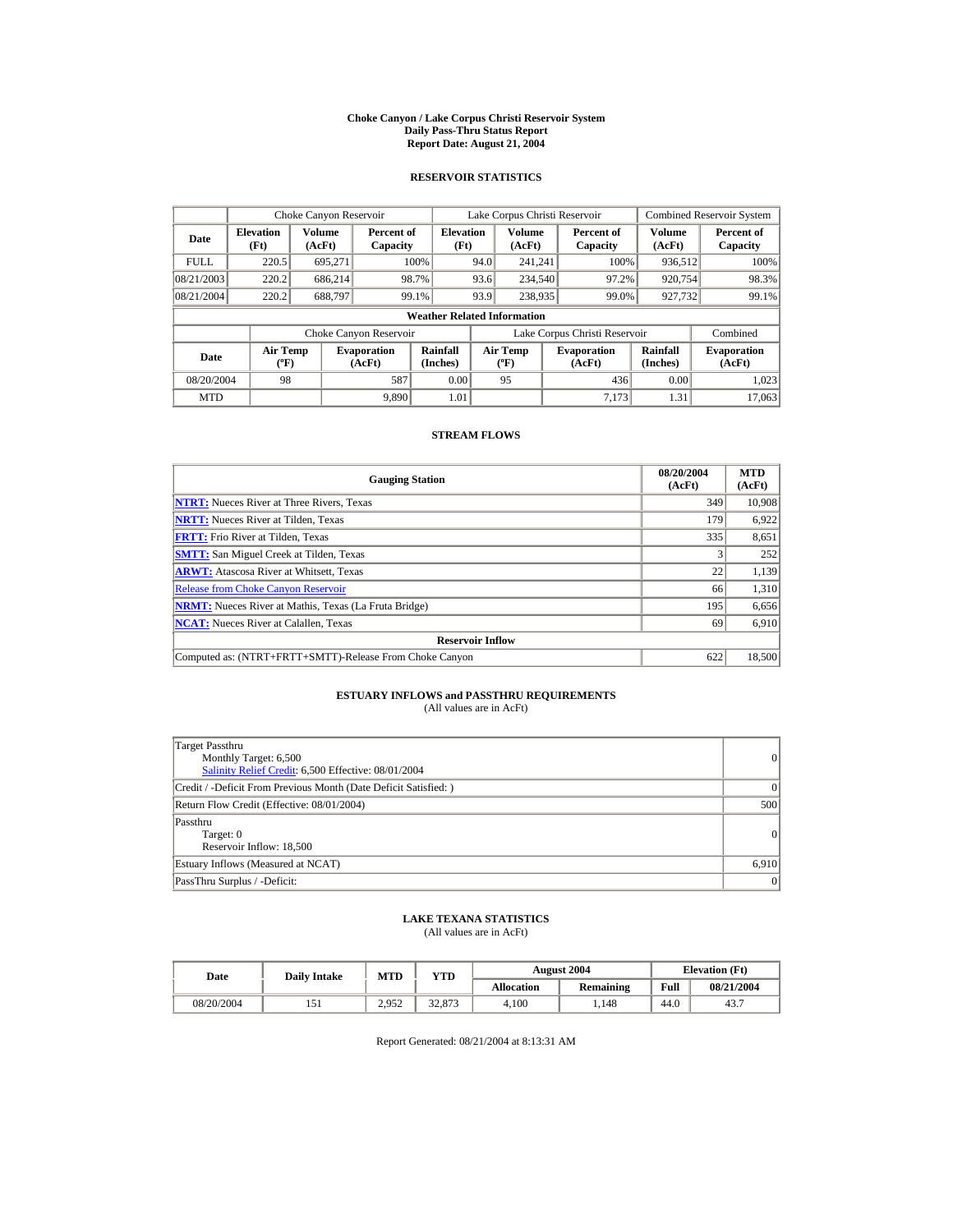#### **Choke Canyon / Lake Corpus Christi Reservoir System Daily Pass-Thru Status Report Report Date: August 21, 2004**

## **RESERVOIR STATISTICS**

|             | Choke Canyon Reservoir                      |                  |                              |                          | Lake Corpus Christi Reservoir |                                             |  |                               |                      | <b>Combined Reservoir System</b> |  |  |
|-------------|---------------------------------------------|------------------|------------------------------|--------------------------|-------------------------------|---------------------------------------------|--|-------------------------------|----------------------|----------------------------------|--|--|
| Date        | <b>Elevation</b><br>(Ft)                    | Volume<br>(AcFt) | Percent of<br>Capacity       | <b>Elevation</b><br>(Ft) |                               | Volume<br>(AcFt)                            |  | Percent of<br>Capacity        | Volume<br>(AcFt)     | Percent of<br>Capacity           |  |  |
| <b>FULL</b> | 220.5                                       | 695.271          |                              | 100%                     | 94.0                          | 241.241                                     |  | 100%                          | 936,512              | 100%                             |  |  |
| 08/21/2003  | 220.2                                       | 686.214          |                              | 98.7%                    | 93.6                          | 234,540                                     |  | 97.2%                         | 920,754              | 98.3%                            |  |  |
| 08/21/2004  | 220.2                                       | 688.797          |                              | 99.1%                    | 93.9                          | 238,935                                     |  | 99.0%                         | 927,732              | 99.1%                            |  |  |
|             | <b>Weather Related Information</b>          |                  |                              |                          |                               |                                             |  |                               |                      |                                  |  |  |
|             |                                             |                  | Choke Canyon Reservoir       |                          |                               |                                             |  | Lake Corpus Christi Reservoir |                      | Combined                         |  |  |
| Date        | <b>Air Temp</b><br>$({}^{\circ}\mathrm{F})$ |                  | <b>Evaporation</b><br>(AcFt) | Rainfall<br>(Inches)     |                               | <b>Air Temp</b><br>$({}^{\circ}\mathbf{F})$ |  | <b>Evaporation</b><br>(AcFt)  | Rainfall<br>(Inches) | <b>Evaporation</b><br>(AcFt)     |  |  |
| 08/20/2004  | 98                                          |                  | 587                          | 0.00                     |                               | 95                                          |  | 436                           | 0.00                 | 1.023                            |  |  |
| <b>MTD</b>  |                                             |                  | 9.890                        | 1.01                     |                               |                                             |  | 7.173                         | 1.31                 | 17,063                           |  |  |

## **STREAM FLOWS**

| <b>Gauging Station</b>                                       | 08/20/2004<br>(AcFt) | <b>MTD</b><br>(AcFt) |
|--------------------------------------------------------------|----------------------|----------------------|
| <b>NTRT:</b> Nueces River at Three Rivers, Texas             | 349                  | 10,908               |
| <b>NRTT:</b> Nueces River at Tilden, Texas                   | 179                  | 6.922                |
| <b>FRTT:</b> Frio River at Tilden, Texas                     | 335                  | 8,651                |
| <b>SMTT:</b> San Miguel Creek at Tilden, Texas               |                      | 252                  |
| <b>ARWT:</b> Atascosa River at Whitsett, Texas               | 22                   | 1,139                |
| <b>Release from Choke Canvon Reservoir</b>                   | 66                   | 1,310                |
| <b>NRMT:</b> Nueces River at Mathis, Texas (La Fruta Bridge) | 195                  | 6,656                |
| <b>NCAT:</b> Nueces River at Calallen, Texas                 | 69                   | 6,910                |
| <b>Reservoir Inflow</b>                                      |                      |                      |
| Computed as: (NTRT+FRTT+SMTT)-Release From Choke Canyon      | 622                  | 18.500               |

## **ESTUARY INFLOWS and PASSTHRU REQUIREMENTS**<br>(All values are in AcFt)

| Target Passthru<br>Monthly Target: 6,500<br>Salinity Relief Credit: 6,500 Effective: 08/01/2004 | 0        |
|-------------------------------------------------------------------------------------------------|----------|
| Credit / -Deficit From Previous Month (Date Deficit Satisfied: )                                | $\Omega$ |
| Return Flow Credit (Effective: 08/01/2004)                                                      | 500      |
| Passthru<br>Target: 0<br>Reservoir Inflow: 18,500                                               | 0        |
| Estuary Inflows (Measured at NCAT)                                                              | 6,910    |
| PassThru Surplus / -Deficit:                                                                    | 0        |

## **LAKE TEXANA STATISTICS**

(All values are in AcFt)

| Date       | <b>Daily Intake</b> | <b>MTD</b>      | YTD    |                   | <b>August 2004</b> | <b>Elevation</b> (Ft) |            |
|------------|---------------------|-----------------|--------|-------------------|--------------------|-----------------------|------------|
|            |                     |                 |        | <b>Allocation</b> | Remaining          | Full                  | 08/21/2004 |
| 08/20/2004 |                     | 2.952<br>ے رومہ | 32,873 | 4.100             | .148               | 44.0                  | 43.7       |

Report Generated: 08/21/2004 at 8:13:31 AM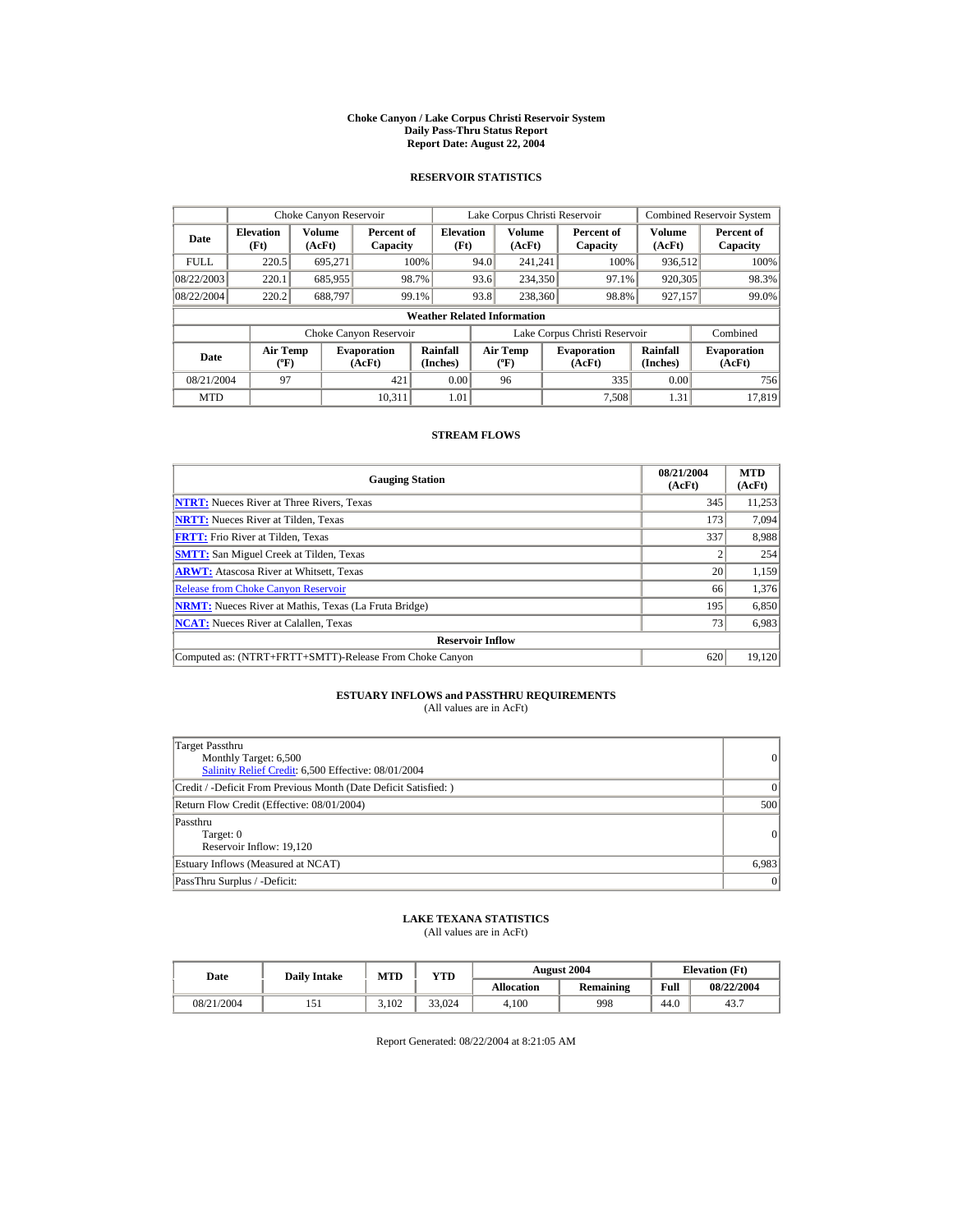#### **Choke Canyon / Lake Corpus Christi Reservoir System Daily Pass-Thru Status Report Report Date: August 22, 2004**

## **RESERVOIR STATISTICS**

|             | Choke Canyon Reservoir                      |                  |                              |                          | Lake Corpus Christi Reservoir               |                  |  |                               |                      | Combined Reservoir System    |  |  |
|-------------|---------------------------------------------|------------------|------------------------------|--------------------------|---------------------------------------------|------------------|--|-------------------------------|----------------------|------------------------------|--|--|
| Date        | <b>Elevation</b><br>(Ft)                    | Volume<br>(AcFt) | Percent of<br>Capacity       | <b>Elevation</b><br>(Ft) |                                             | Volume<br>(AcFt) |  | Percent of<br>Capacity        | Volume<br>(AcFt)     | Percent of<br>Capacity       |  |  |
| <b>FULL</b> | 220.5                                       | 695.271          |                              | 100%                     | 94.0                                        | 241.241          |  | 100%                          | 936,512              | 100%                         |  |  |
| 08/22/2003  | 220.1                                       | 685,955          |                              | 98.7%                    | 93.6                                        | 234,350          |  | 97.1%                         | 920,305              | 98.3%                        |  |  |
| 08/22/2004  | 220.2                                       | 688.797          |                              | 99.1%                    | 93.8                                        | 238,360          |  | 98.8%                         | 927,157              | 99.0%                        |  |  |
|             | <b>Weather Related Information</b>          |                  |                              |                          |                                             |                  |  |                               |                      |                              |  |  |
|             |                                             |                  | Choke Canyon Reservoir       |                          |                                             |                  |  | Lake Corpus Christi Reservoir |                      | Combined                     |  |  |
| Date        | <b>Air Temp</b><br>$({}^{\circ}\mathrm{F})$ |                  | <b>Evaporation</b><br>(AcFt) | Rainfall<br>(Inches)     | <b>Air Temp</b><br>$({}^{\circ}\mathbf{F})$ |                  |  | <b>Evaporation</b><br>(AcFt)  | Rainfall<br>(Inches) | <b>Evaporation</b><br>(AcFt) |  |  |
| 08/21/2004  | 97                                          |                  | 421                          | 0.00                     |                                             | 96               |  | 335                           | 0.00                 | 756                          |  |  |
| <b>MTD</b>  |                                             |                  | 10.311                       | 1.01                     |                                             |                  |  | 7.508                         | 1.31                 | 17.819                       |  |  |

## **STREAM FLOWS**

| <b>Gauging Station</b>                                       | 08/21/2004<br>(AcFt) | <b>MTD</b><br>(AcFt) |
|--------------------------------------------------------------|----------------------|----------------------|
| <b>NTRT:</b> Nueces River at Three Rivers, Texas             | 345                  | 11,253               |
| <b>NRTT:</b> Nueces River at Tilden, Texas                   | 173                  | 7,094                |
| <b>FRTT:</b> Frio River at Tilden, Texas                     | 337                  | 8,988                |
| <b>SMTT:</b> San Miguel Creek at Tilden, Texas               |                      | 254                  |
| <b>ARWT:</b> Atascosa River at Whitsett, Texas               | 20                   | 1,159                |
| <b>Release from Choke Canyon Reservoir</b>                   | 66                   | 1,376                |
| <b>NRMT:</b> Nueces River at Mathis, Texas (La Fruta Bridge) | 195                  | 6,850                |
| <b>NCAT:</b> Nueces River at Calallen, Texas                 | 73                   | 6,983                |
| <b>Reservoir Inflow</b>                                      |                      |                      |
| Computed as: (NTRT+FRTT+SMTT)-Release From Choke Canyon      | 620                  | 19,120               |

## **ESTUARY INFLOWS and PASSTHRU REQUIREMENTS**<br>(All values are in AcFt)

| Target Passthru<br>Monthly Target: 6,500<br>Salinity Relief Credit: 6,500 Effective: 08/01/2004 | 0        |
|-------------------------------------------------------------------------------------------------|----------|
| Credit / -Deficit From Previous Month (Date Deficit Satisfied: )                                | $\Omega$ |
| Return Flow Credit (Effective: 08/01/2004)                                                      | 500      |
| Passthru<br>Target: 0<br>Reservoir Inflow: 19,120                                               | 0        |
| Estuary Inflows (Measured at NCAT)                                                              | 6,983    |
| PassThru Surplus / -Deficit:                                                                    | 0        |

## **LAKE TEXANA STATISTICS**

(All values are in AcFt)

| Date       | <b>Daily Intake</b> | <b>MTD</b> | YTD    |                   | <b>August 2004</b> | <b>Elevation</b> (Ft) |            |
|------------|---------------------|------------|--------|-------------------|--------------------|-----------------------|------------|
|            |                     |            |        | <b>Allocation</b> | Remaining          | Full                  | 08/22/2004 |
| 08/21/2004 |                     | 3.102      | 33.024 | 4.100             | 998                | 44.0                  | 43.7       |

Report Generated: 08/22/2004 at 8:21:05 AM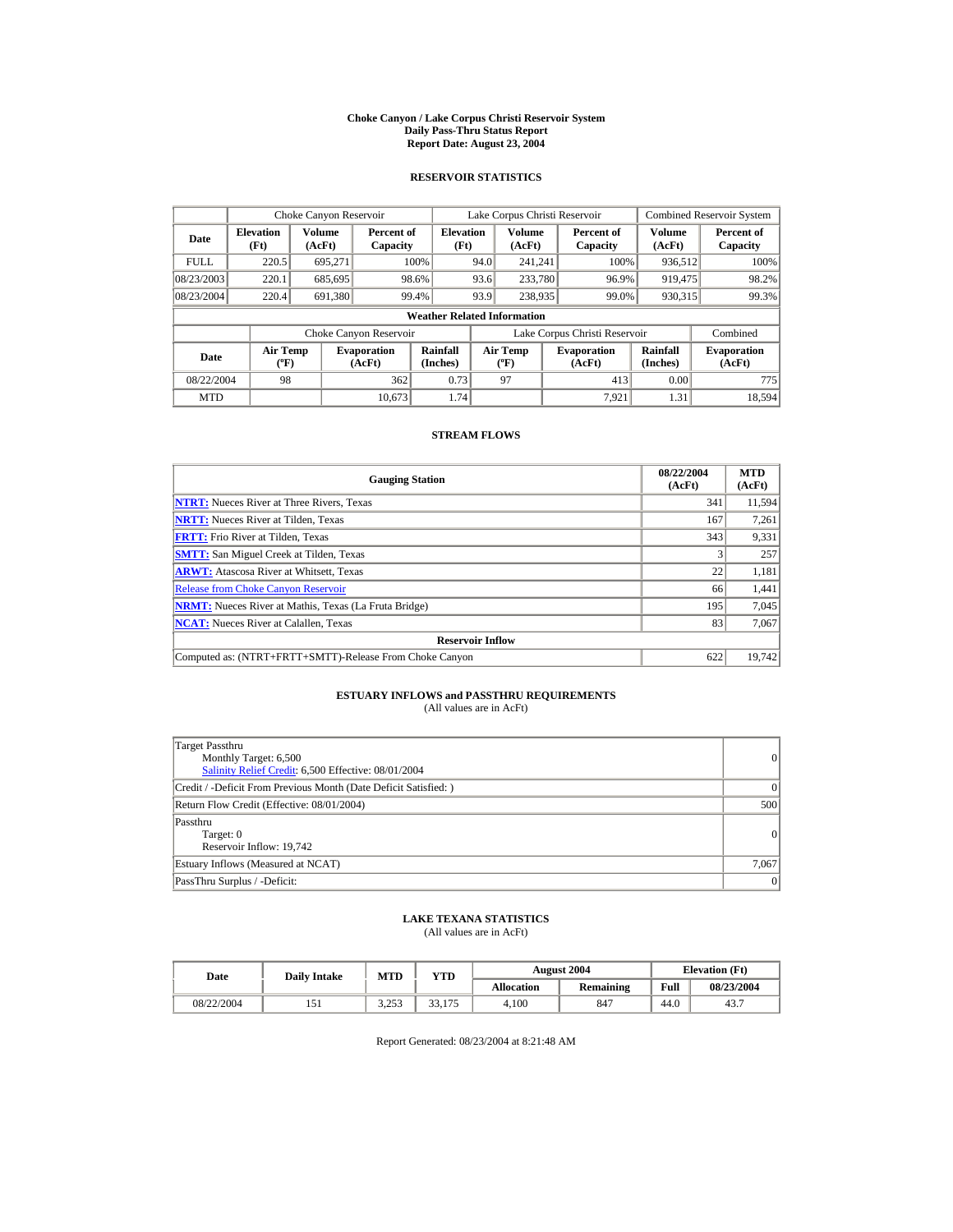#### **Choke Canyon / Lake Corpus Christi Reservoir System Daily Pass-Thru Status Report Report Date: August 23, 2004**

## **RESERVOIR STATISTICS**

|             | Choke Canyon Reservoir                      |                  |                              |                          | Lake Corpus Christi Reservoir               |                  |  |                               |                      | Combined Reservoir System    |  |  |
|-------------|---------------------------------------------|------------------|------------------------------|--------------------------|---------------------------------------------|------------------|--|-------------------------------|----------------------|------------------------------|--|--|
| Date        | <b>Elevation</b><br>(Ft)                    | Volume<br>(AcFt) | Percent of<br>Capacity       | <b>Elevation</b><br>(Ft) |                                             | Volume<br>(AcFt) |  | Percent of<br>Capacity        | Volume<br>(AcFt)     | Percent of<br>Capacity       |  |  |
| <b>FULL</b> | 220.5                                       | 695.271          |                              | 100%                     | 94.0                                        | 241.241          |  | 100%                          | 936,512              | 100%                         |  |  |
| 08/23/2003  | 220.1                                       | 685,695          |                              | 98.6%                    | 93.6                                        | 233,780          |  | 96.9%                         | 919,475              | 98.2%                        |  |  |
| 08/23/2004  | 220.4                                       | 691.380          |                              | 99.4%                    | 93.9                                        | 238,935          |  | 99.0%                         | 930.315              | 99.3%                        |  |  |
|             | <b>Weather Related Information</b>          |                  |                              |                          |                                             |                  |  |                               |                      |                              |  |  |
|             |                                             |                  | Choke Canyon Reservoir       |                          |                                             |                  |  | Lake Corpus Christi Reservoir |                      | Combined                     |  |  |
| Date        | <b>Air Temp</b><br>$({}^{\circ}\mathrm{F})$ |                  | <b>Evaporation</b><br>(AcFt) | Rainfall<br>(Inches)     | <b>Air Temp</b><br>$({}^{\circ}\mathbf{F})$ |                  |  | <b>Evaporation</b><br>(AcFt)  | Rainfall<br>(Inches) | <b>Evaporation</b><br>(AcFt) |  |  |
| 08/22/2004  | 98                                          |                  | 362                          | 0.73                     |                                             | 97               |  | 413                           | 0.00                 | 775                          |  |  |
| <b>MTD</b>  |                                             |                  | 10.673                       | 1.74                     |                                             |                  |  | 7.921                         | 1.31                 | 18,594                       |  |  |

## **STREAM FLOWS**

| <b>Gauging Station</b>                                       | 08/22/2004<br>(AcFt) | <b>MTD</b><br>(AcFt) |
|--------------------------------------------------------------|----------------------|----------------------|
| <b>NTRT:</b> Nueces River at Three Rivers, Texas             | 341                  | 11.594               |
| <b>NRTT:</b> Nueces River at Tilden, Texas                   | 167                  | 7,261                |
| <b>FRTT:</b> Frio River at Tilden, Texas                     | 343                  | 9,331                |
| <b>SMTT:</b> San Miguel Creek at Tilden, Texas               |                      | 257                  |
| <b>ARWT:</b> Atascosa River at Whitsett, Texas               | 22                   | 1,181                |
| <b>Release from Choke Canyon Reservoir</b>                   | 66                   | 1,441                |
| <b>NRMT:</b> Nueces River at Mathis, Texas (La Fruta Bridge) | 195                  | 7.045                |
| <b>NCAT:</b> Nueces River at Calallen, Texas                 | 83                   | 7,067                |
| <b>Reservoir Inflow</b>                                      |                      |                      |
| Computed as: (NTRT+FRTT+SMTT)-Release From Choke Canyon      | 622                  | 19.742               |

# **ESTUARY INFLOWS and PASSTHRU REQUIREMENTS**<br>(All values are in AcFt)

| Target Passthru<br>Monthly Target: 6,500<br>Salinity Relief Credit: 6,500 Effective: 08/01/2004 | 0        |
|-------------------------------------------------------------------------------------------------|----------|
| Credit / -Deficit From Previous Month (Date Deficit Satisfied: )                                | $\Omega$ |
| Return Flow Credit (Effective: 08/01/2004)                                                      | 500      |
| Passthru<br>Target: 0<br>Reservoir Inflow: 19,742                                               | 0        |
| Estuary Inflows (Measured at NCAT)                                                              | 7,067    |
| PassThru Surplus / -Deficit:                                                                    | 0        |

## **LAKE TEXANA STATISTICS**

(All values are in AcFt)

| Date       | <b>Daily Intake</b> | <b>MTD</b>       | YTD                                      |                   | <b>August 2004</b> | <b>Elevation</b> (Ft) |            |
|------------|---------------------|------------------|------------------------------------------|-------------------|--------------------|-----------------------|------------|
|            |                     |                  |                                          | <b>Allocation</b> | Remaining          | Full                  | 08/23/2004 |
| 08/22/2004 |                     | 2752<br>… ب بے د | 33 <sup>2</sup><br>175<br><i>JJ</i> ,11J | 4.100             | 847                | 44.0                  | 43.7       |

Report Generated: 08/23/2004 at 8:21:48 AM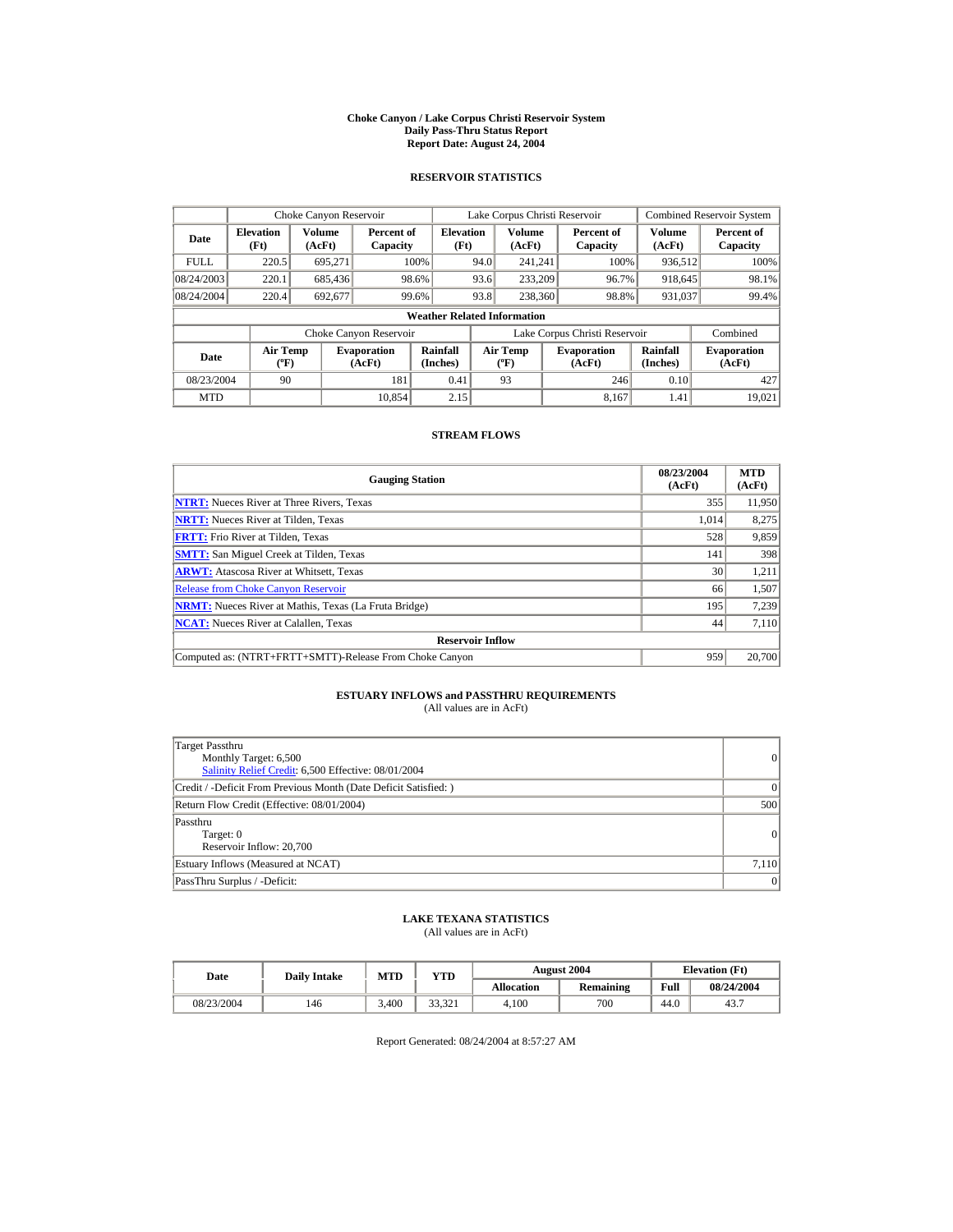#### **Choke Canyon / Lake Corpus Christi Reservoir System Daily Pass-Thru Status Report Report Date: August 24, 2004**

## **RESERVOIR STATISTICS**

|             | Choke Canyon Reservoir                      |                  |                              |                          | Lake Corpus Christi Reservoir               |                  |  |                               |                      | Combined Reservoir System    |  |  |
|-------------|---------------------------------------------|------------------|------------------------------|--------------------------|---------------------------------------------|------------------|--|-------------------------------|----------------------|------------------------------|--|--|
| Date        | <b>Elevation</b><br>(Ft)                    | Volume<br>(AcFt) | Percent of<br>Capacity       | <b>Elevation</b><br>(Ft) |                                             | Volume<br>(AcFt) |  | Percent of<br>Capacity        | Volume<br>(AcFt)     | Percent of<br>Capacity       |  |  |
| <b>FULL</b> | 220.5                                       | 695.271          |                              | 100%                     | 94.0                                        | 241.241          |  | 100%                          | 936,512              | 100%                         |  |  |
| 08/24/2003  | 220.1                                       | 685,436          |                              | 98.6%                    | 93.6                                        | 233,209          |  | 96.7%                         | 918,645              | 98.1%                        |  |  |
| 08/24/2004  | 220.4                                       | 692,677          |                              | 99.6%                    | 93.8                                        | 238,360          |  | 98.8%                         | 931,037              | 99.4%                        |  |  |
|             | <b>Weather Related Information</b>          |                  |                              |                          |                                             |                  |  |                               |                      |                              |  |  |
|             |                                             |                  | Choke Canyon Reservoir       |                          |                                             |                  |  | Lake Corpus Christi Reservoir |                      | Combined                     |  |  |
| Date        | <b>Air Temp</b><br>$({}^{\circ}\mathrm{F})$ |                  | <b>Evaporation</b><br>(AcFt) | Rainfall<br>(Inches)     | <b>Air Temp</b><br>$({}^{\circ}\mathbf{F})$ |                  |  | <b>Evaporation</b><br>(AcFt)  | Rainfall<br>(Inches) | <b>Evaporation</b><br>(AcFt) |  |  |
| 08/23/2004  | 90                                          |                  | 181                          | 0.41                     |                                             | 93               |  | 246                           | 0.10                 | 427                          |  |  |
| <b>MTD</b>  |                                             |                  | 10.854                       | 2.15                     |                                             |                  |  | 8.167                         | 1.41                 | 19.021                       |  |  |

## **STREAM FLOWS**

| <b>Gauging Station</b>                                       | 08/23/2004<br>(AcFt) | <b>MTD</b><br>(AcFt) |
|--------------------------------------------------------------|----------------------|----------------------|
| <b>NTRT:</b> Nueces River at Three Rivers, Texas             | 355                  | 11,950               |
| <b>NRTT:</b> Nueces River at Tilden, Texas                   | 1.014                | 8,275                |
| <b>FRTT:</b> Frio River at Tilden, Texas                     | 528                  | 9,859                |
| <b>SMTT:</b> San Miguel Creek at Tilden, Texas               | 141                  | 398                  |
| <b>ARWT:</b> Atascosa River at Whitsett, Texas               | 30                   | 1,211                |
| <b>Release from Choke Canyon Reservoir</b>                   | 66                   | 1,507                |
| <b>NRMT:</b> Nueces River at Mathis, Texas (La Fruta Bridge) | 195                  | 7,239                |
| <b>NCAT:</b> Nueces River at Calallen, Texas                 | 44                   | 7,110                |
| <b>Reservoir Inflow</b>                                      |                      |                      |
| Computed as: (NTRT+FRTT+SMTT)-Release From Choke Canyon      | 959                  | 20,700               |

## **ESTUARY INFLOWS and PASSTHRU REQUIREMENTS**<br>(All values are in AcFt)

| Target Passthru<br>Monthly Target: 6,500<br>Salinity Relief Credit: 6,500 Effective: 08/01/2004 | 0              |
|-------------------------------------------------------------------------------------------------|----------------|
| Credit / -Deficit From Previous Month (Date Deficit Satisfied:)                                 | $\Omega$       |
| Return Flow Credit (Effective: 08/01/2004)                                                      | 500            |
| Passthru<br>Target: 0<br>Reservoir Inflow: 20,700                                               | $\overline{0}$ |
| Estuary Inflows (Measured at NCAT)                                                              | 7,110          |
| PassThru Surplus / -Deficit:                                                                    | 0              |

## **LAKE TEXANA STATISTICS**

(All values are in AcFt)

| Date       | <b>Daily Intake</b> | <b>MTD</b> | $v_{\rm TD}$ |                   | <b>August 2004</b> | <b>Elevation</b> (Ft) |            |
|------------|---------------------|------------|--------------|-------------------|--------------------|-----------------------|------------|
|            |                     |            |              | <b>Allocation</b> | Remaining          | Full                  | 08/24/2004 |
| 08/23/2004 | 146                 | 3.400      | 33.321       | 4.100             | 700                | 44.0                  | 43.7       |

Report Generated: 08/24/2004 at 8:57:27 AM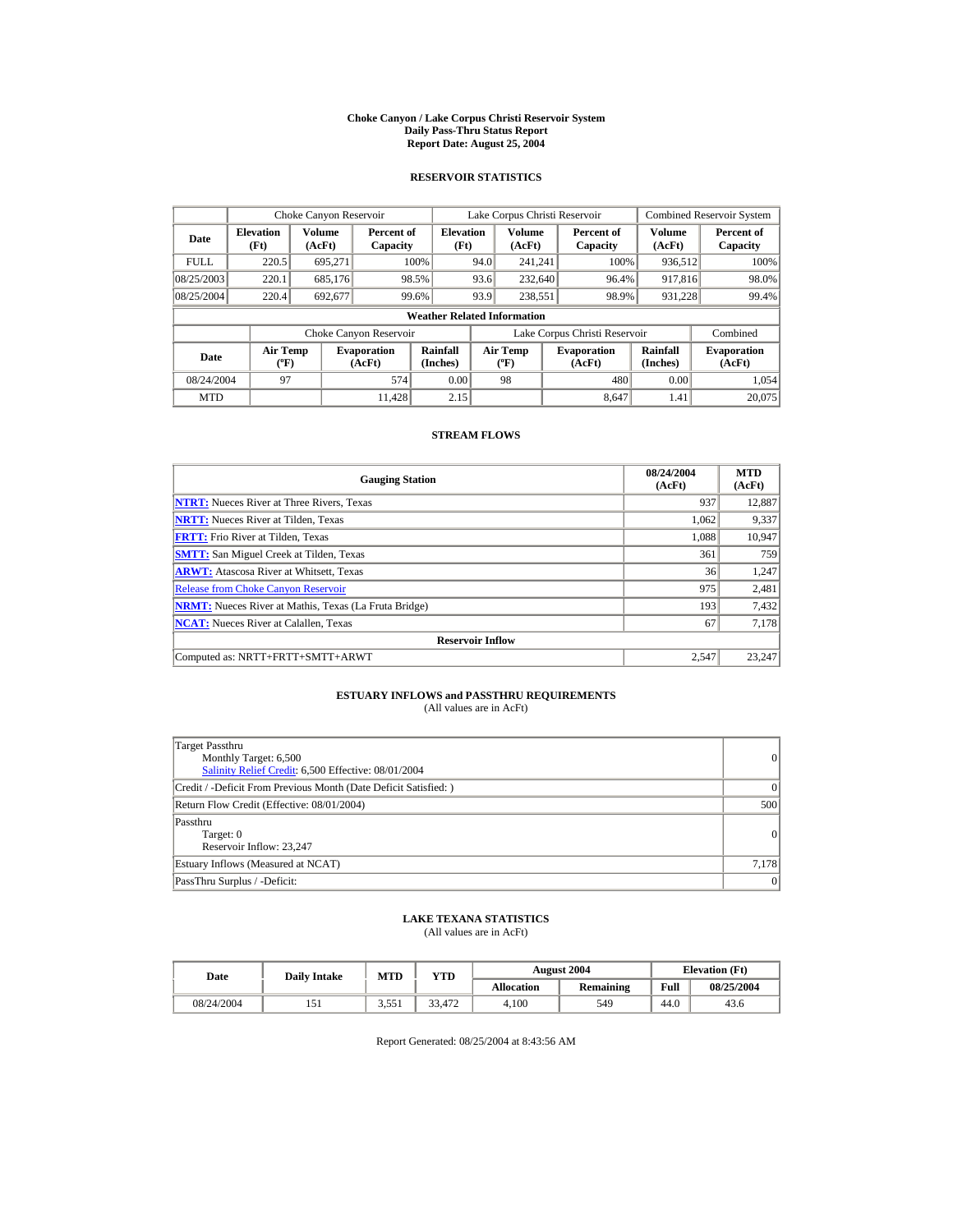#### **Choke Canyon / Lake Corpus Christi Reservoir System Daily Pass-Thru Status Report Report Date: August 25, 2004**

## **RESERVOIR STATISTICS**

|             | Choke Canyon Reservoir                      |                  |                              |                          |      | Lake Corpus Christi Reservoir               |  |                               |                      | Combined Reservoir System    |  |  |
|-------------|---------------------------------------------|------------------|------------------------------|--------------------------|------|---------------------------------------------|--|-------------------------------|----------------------|------------------------------|--|--|
| Date        | <b>Elevation</b><br>(Ft)                    | Volume<br>(AcFt) | Percent of<br>Capacity       | <b>Elevation</b><br>(Ft) |      | Volume<br>(AcFt)                            |  | Percent of<br>Capacity        | Volume<br>(AcFt)     | Percent of<br>Capacity       |  |  |
| <b>FULL</b> | 220.5                                       | 695.271          |                              | 100%                     | 94.0 | 241.241                                     |  | 100%                          | 936,512              | 100%                         |  |  |
| 08/25/2003  | 220.1                                       | 685,176          |                              | 98.5%                    | 93.6 | 232,640                                     |  | 96.4%                         | 917,816              | 98.0%                        |  |  |
| 08/25/2004  | 220.4                                       | 692,677          |                              | 99.6%                    | 93.9 | 238.551                                     |  | 98.9%                         | 931.228              | 99.4%                        |  |  |
|             | <b>Weather Related Information</b>          |                  |                              |                          |      |                                             |  |                               |                      |                              |  |  |
|             |                                             |                  | Choke Canyon Reservoir       |                          |      |                                             |  | Lake Corpus Christi Reservoir |                      | Combined                     |  |  |
| Date        | <b>Air Temp</b><br>$({}^{\circ}\mathrm{F})$ |                  | <b>Evaporation</b><br>(AcFt) | Rainfall<br>(Inches)     |      | <b>Air Temp</b><br>$({}^{\circ}\mathbf{F})$ |  | <b>Evaporation</b><br>(AcFt)  | Rainfall<br>(Inches) | <b>Evaporation</b><br>(AcFt) |  |  |
| 08/24/2004  | 97                                          |                  | 574                          | 0.00                     |      | 98                                          |  | 480                           | 0.00                 | 1.054                        |  |  |
| <b>MTD</b>  |                                             |                  | 11.428                       | 2.15                     |      |                                             |  | 8.647                         | 1.41                 | 20,075                       |  |  |

## **STREAM FLOWS**

| <b>Gauging Station</b>                                       | 08/24/2004<br>(AcFt) | <b>MTD</b><br>(AcFt) |
|--------------------------------------------------------------|----------------------|----------------------|
| <b>NTRT:</b> Nueces River at Three Rivers, Texas             | 937                  | 12,887               |
| <b>NRTT:</b> Nueces River at Tilden, Texas                   | 1,062                | 9,337                |
| <b>FRTT:</b> Frio River at Tilden, Texas                     | 1.088                | 10,947               |
| <b>SMTT:</b> San Miguel Creek at Tilden, Texas               | 361                  | 759                  |
| <b>ARWT:</b> Atascosa River at Whitsett, Texas               | 36                   | 1,247                |
| <b>Release from Choke Canyon Reservoir</b>                   | 975                  | 2,481                |
| <b>NRMT:</b> Nueces River at Mathis, Texas (La Fruta Bridge) | 193                  | 7,432                |
| <b>NCAT:</b> Nueces River at Calallen, Texas                 | 67                   | 7,178                |
| <b>Reservoir Inflow</b>                                      |                      |                      |
| Computed as: NRTT+FRTT+SMTT+ARWT                             | 2.547                | 23.247               |

# **ESTUARY INFLOWS and PASSTHRU REQUIREMENTS**<br>(All values are in AcFt)

| Target Passthru<br>Monthly Target: 6,500<br>Salinity Relief Credit: 6,500 Effective: 08/01/2004 | $\overline{0}$ |
|-------------------------------------------------------------------------------------------------|----------------|
| Credit / -Deficit From Previous Month (Date Deficit Satisfied: )                                | $\Omega$       |
| Return Flow Credit (Effective: 08/01/2004)                                                      | 500            |
| Passthru<br>Target: 0<br>Reservoir Inflow: 23,247                                               | 0              |
| Estuary Inflows (Measured at NCAT)                                                              | 7,178          |
| PassThru Surplus / -Deficit:                                                                    | 0              |

## **LAKE TEXANA STATISTICS**

(All values are in AcFt)

| Date       | <b>August 2004</b><br><b>MTD</b><br>YTD<br><b>Daily Intake</b> |                             |        | <b>Elevation</b> (Ft) |                  |      |            |
|------------|----------------------------------------------------------------|-----------------------------|--------|-----------------------|------------------|------|------------|
|            |                                                                |                             |        | <b>Allocation</b>     | <b>Remaining</b> | Full | 08/25/2004 |
| 08/24/2004 |                                                                | $2.55$ <sup>*</sup><br>---- | 33.472 | 4.100                 | 549              | 44.0 | 43.6       |

Report Generated: 08/25/2004 at 8:43:56 AM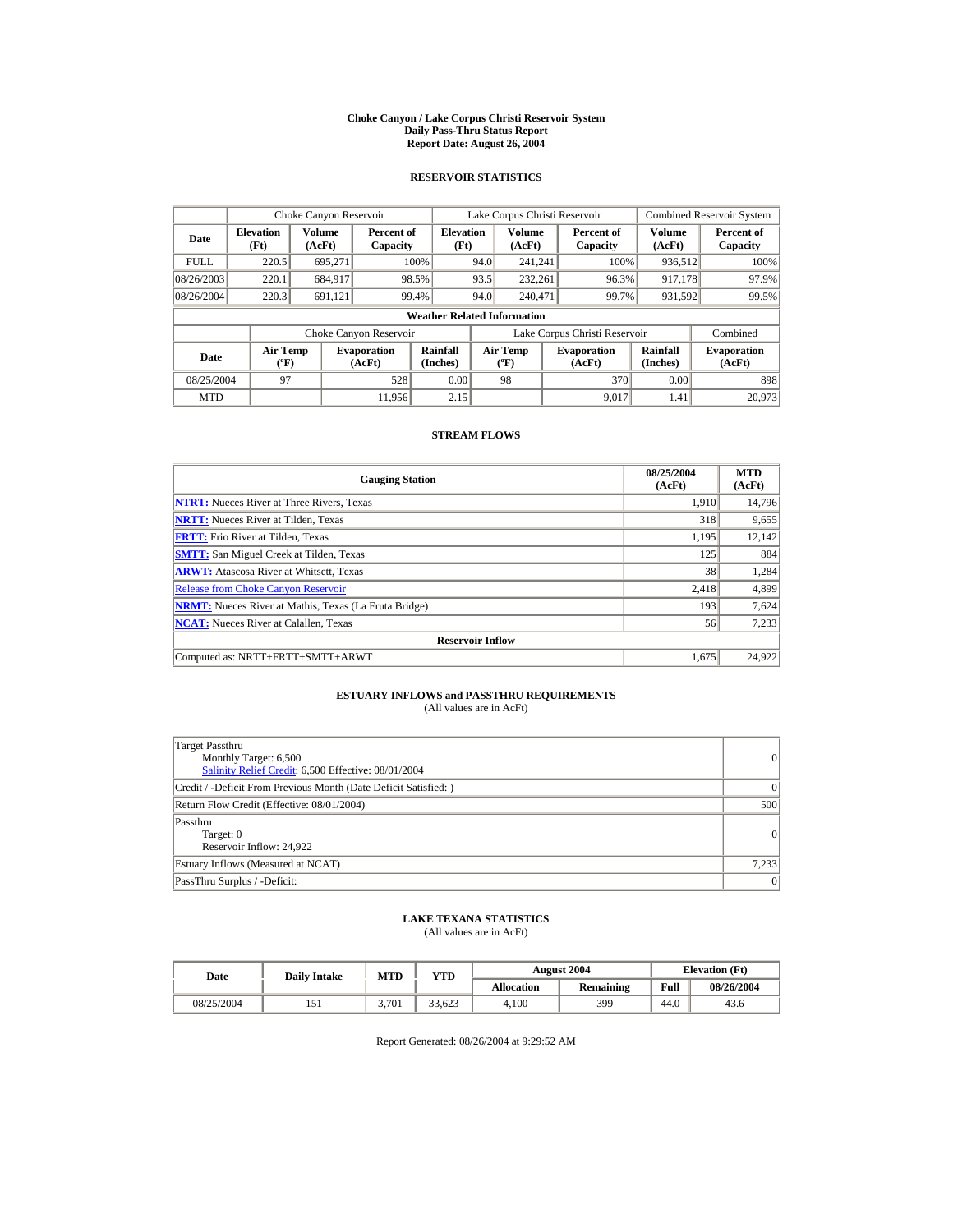#### **Choke Canyon / Lake Corpus Christi Reservoir System Daily Pass-Thru Status Report Report Date: August 26, 2004**

## **RESERVOIR STATISTICS**

|             | Choke Canyon Reservoir                      |                  |                              |                          |      | Lake Corpus Christi Reservoir               |  |                               |                      | Combined Reservoir System    |  |  |
|-------------|---------------------------------------------|------------------|------------------------------|--------------------------|------|---------------------------------------------|--|-------------------------------|----------------------|------------------------------|--|--|
| Date        | <b>Elevation</b><br>(Ft)                    | Volume<br>(AcFt) | Percent of<br>Capacity       | <b>Elevation</b><br>(Ft) |      | Volume<br>(AcFt)                            |  | Percent of<br>Capacity        | Volume<br>(AcFt)     | Percent of<br>Capacity       |  |  |
| <b>FULL</b> | 220.5                                       | 695.271          |                              | 100%                     | 94.0 | 241.241                                     |  | 100%                          | 936,512              | 100%                         |  |  |
| 08/26/2003  | 220.1                                       | 684,917          |                              | 98.5%                    | 93.5 | 232.261                                     |  | 96.3%                         | 917,178              | 97.9%                        |  |  |
| 08/26/2004  | 220.3                                       | 691.121          |                              | 99.4%                    | 94.0 | 240,471                                     |  | 99.7%                         | 931,592              | 99.5%                        |  |  |
|             | <b>Weather Related Information</b>          |                  |                              |                          |      |                                             |  |                               |                      |                              |  |  |
|             |                                             |                  | Choke Canyon Reservoir       |                          |      |                                             |  | Lake Corpus Christi Reservoir |                      | Combined                     |  |  |
| Date        | <b>Air Temp</b><br>$({}^{\circ}\mathrm{F})$ |                  | <b>Evaporation</b><br>(AcFt) | Rainfall<br>(Inches)     |      | <b>Air Temp</b><br>$({}^{\circ}\mathbf{F})$ |  | <b>Evaporation</b><br>(AcFt)  | Rainfall<br>(Inches) | <b>Evaporation</b><br>(AcFt) |  |  |
| 08/25/2004  | 97                                          |                  | 528                          | 0.00                     |      | 98                                          |  | 370                           | 0.00                 | 898                          |  |  |
| <b>MTD</b>  |                                             |                  | 11.956                       | 2.15                     |      |                                             |  | 9.017                         | 1.41                 | 20,973                       |  |  |

## **STREAM FLOWS**

| <b>Gauging Station</b>                                       | 08/25/2004<br>(AcFt) | <b>MTD</b><br>(AcFt) |
|--------------------------------------------------------------|----------------------|----------------------|
| <b>NTRT:</b> Nueces River at Three Rivers, Texas             | 1.910                | 14,796               |
| <b>NRTT:</b> Nueces River at Tilden, Texas                   | 318                  | 9,655                |
| <b>FRTT:</b> Frio River at Tilden, Texas                     | 1,195                | 12,142               |
| <b>SMTT:</b> San Miguel Creek at Tilden, Texas               | 125                  | 884                  |
| <b>ARWT:</b> Atascosa River at Whitsett, Texas               | 38                   | 1,284                |
| <b>Release from Choke Canvon Reservoir</b>                   | 2.418                | 4,899                |
| <b>NRMT:</b> Nueces River at Mathis, Texas (La Fruta Bridge) | 193                  | 7,624                |
| <b>NCAT:</b> Nueces River at Calallen, Texas                 | 56                   | 7,233                |
| <b>Reservoir Inflow</b>                                      |                      |                      |
| Computed as: NRTT+FRTT+SMTT+ARWT                             | 1.675                | 24,922               |

# **ESTUARY INFLOWS and PASSTHRU REQUIREMENTS**<br>(All values are in AcFt)

| Target Passthru<br>Monthly Target: 6,500<br>Salinity Relief Credit: 6,500 Effective: 08/01/2004 | $\overline{0}$ |
|-------------------------------------------------------------------------------------------------|----------------|
| Credit / -Deficit From Previous Month (Date Deficit Satisfied:)                                 | $\Omega$       |
| Return Flow Credit (Effective: 08/01/2004)                                                      | 500            |
| Passthru<br>Target: 0<br>Reservoir Inflow: 24,922                                               | 0              |
| Estuary Inflows (Measured at NCAT)                                                              | 7,233          |
| PassThru Surplus / -Deficit:                                                                    | 0              |

## **LAKE TEXANA STATISTICS**

(All values are in AcFt)

| Date       | <b>Daily Intake</b> | <b>MTD</b> | YTD    |                   | <b>August 2004</b> | <b>Elevation</b> (Ft) |            |
|------------|---------------------|------------|--------|-------------------|--------------------|-----------------------|------------|
|            |                     |            |        | <b>Allocation</b> | <b>Remaining</b>   | Full                  | 08/26/2004 |
| 08/25/2004 |                     | 3.701      | 33.623 | 4.100             | 399                | 44.0                  | 43.6       |

Report Generated: 08/26/2004 at 9:29:52 AM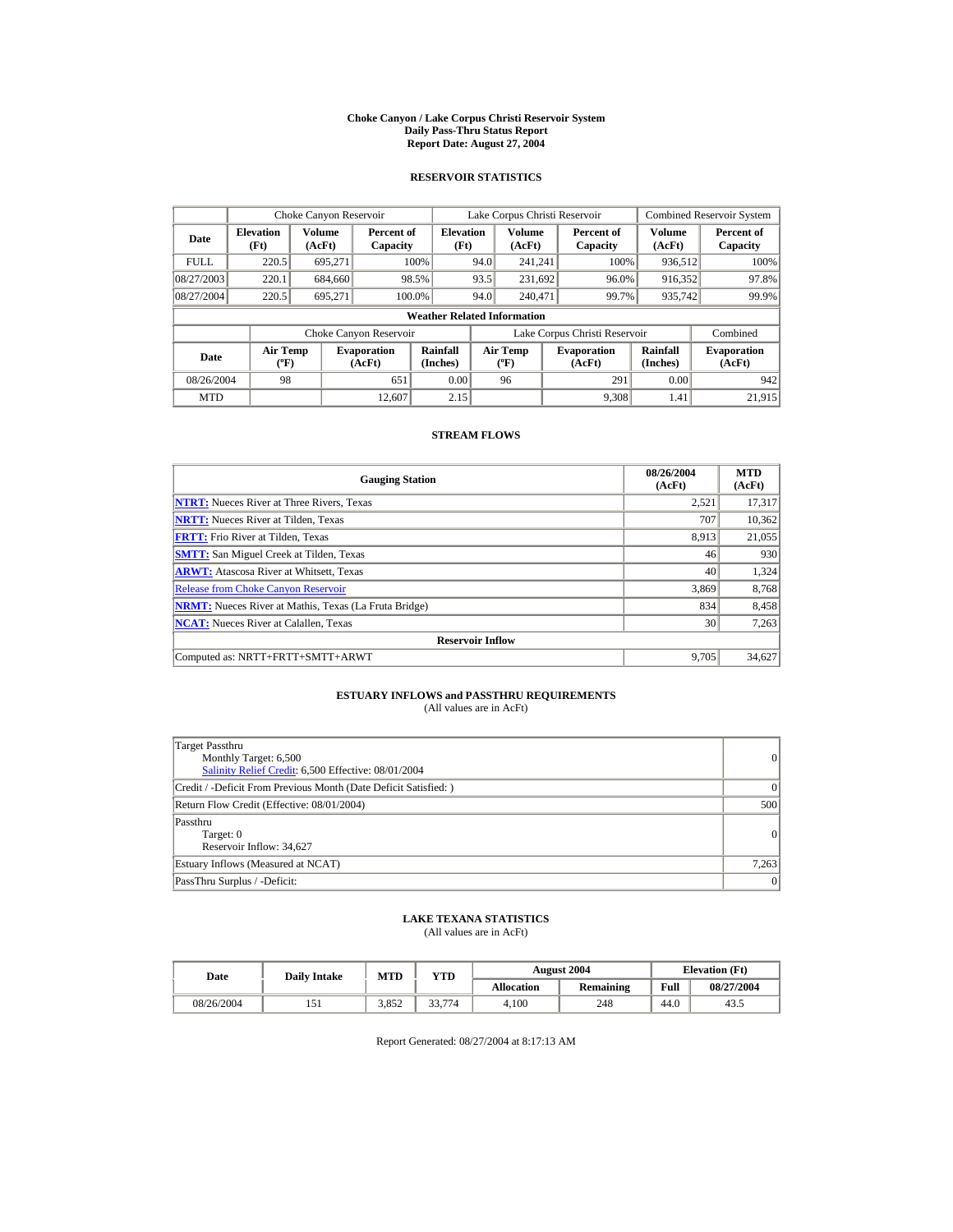#### **Choke Canyon / Lake Corpus Christi Reservoir System Daily Pass-Thru Status Report Report Date: August 27, 2004**

## **RESERVOIR STATISTICS**

|             | Choke Canyon Reservoir                      |                  |                              |                          |      | Lake Corpus Christi Reservoir               |  |                               |                      | Combined Reservoir System    |  |  |
|-------------|---------------------------------------------|------------------|------------------------------|--------------------------|------|---------------------------------------------|--|-------------------------------|----------------------|------------------------------|--|--|
| Date        | <b>Elevation</b><br>(Ft)                    | Volume<br>(AcFt) | Percent of<br>Capacity       | <b>Elevation</b><br>(Ft) |      | Volume<br>(AcFt)                            |  | Percent of<br>Capacity        | Volume<br>(AcFt)     | Percent of<br>Capacity       |  |  |
| <b>FULL</b> | 220.5                                       | 695.271          |                              | 100%                     | 94.0 | 241.241                                     |  | 100%                          | 936,512              | 100%                         |  |  |
| 08/27/2003  | 220.1                                       | 684,660          |                              | 98.5%                    | 93.5 | 231.692                                     |  | 96.0%                         | 916,352              | 97.8%                        |  |  |
| 08/27/2004  | 220.5                                       | 695.271          |                              | 100.0%                   | 94.0 | 240,471                                     |  | 99.7%                         | 935,742              | 99.9%                        |  |  |
|             | <b>Weather Related Information</b>          |                  |                              |                          |      |                                             |  |                               |                      |                              |  |  |
|             |                                             |                  | Choke Canyon Reservoir       |                          |      |                                             |  | Lake Corpus Christi Reservoir |                      | Combined                     |  |  |
| Date        | <b>Air Temp</b><br>$({}^{\circ}\mathrm{F})$ |                  | <b>Evaporation</b><br>(AcFt) | Rainfall<br>(Inches)     |      | <b>Air Temp</b><br>$({}^{\circ}\mathbf{F})$ |  | <b>Evaporation</b><br>(AcFt)  | Rainfall<br>(Inches) | <b>Evaporation</b><br>(AcFt) |  |  |
| 08/26/2004  | 98                                          |                  | 651                          | 0.00                     |      | 96                                          |  | 291                           | 0.00                 | 942                          |  |  |
| <b>MTD</b>  |                                             |                  | 12.607                       | 2.15                     |      |                                             |  | 9.308                         | 1.41                 | 21,915                       |  |  |

## **STREAM FLOWS**

| <b>Gauging Station</b>                                       | 08/26/2004<br>(AcFt) | <b>MTD</b><br>(AcFt) |
|--------------------------------------------------------------|----------------------|----------------------|
| <b>NTRT:</b> Nueces River at Three Rivers, Texas             | 2.521                | 17,317               |
| <b>NRTT:</b> Nueces River at Tilden, Texas                   | 707                  | 10,362               |
| <b>FRTT:</b> Frio River at Tilden, Texas                     | 8.913                | 21,055               |
| <b>SMTT:</b> San Miguel Creek at Tilden, Texas               | 46                   | 930                  |
| <b>ARWT:</b> Atascosa River at Whitsett, Texas               | 40                   | 1,324                |
| <b>Release from Choke Canyon Reservoir</b>                   | 3,869                | 8,768                |
| <b>NRMT:</b> Nueces River at Mathis, Texas (La Fruta Bridge) | 834                  | 8,458                |
| <b>NCAT:</b> Nueces River at Calallen, Texas                 | 30                   | 7,263                |
| <b>Reservoir Inflow</b>                                      |                      |                      |
| Computed as: NRTT+FRTT+SMTT+ARWT                             | 9.705                | 34,627               |

# **ESTUARY INFLOWS and PASSTHRU REQUIREMENTS**<br>(All values are in AcFt)

| Target Passthru<br>Monthly Target: 6,500<br>Salinity Relief Credit: 6,500 Effective: 08/01/2004 | $\overline{0}$ |
|-------------------------------------------------------------------------------------------------|----------------|
| Credit / -Deficit From Previous Month (Date Deficit Satisfied: )                                | $\Omega$       |
| Return Flow Credit (Effective: 08/01/2004)                                                      | 500            |
| Passthru<br>Target: 0<br>Reservoir Inflow: 34,627                                               | 0              |
| Estuary Inflows (Measured at NCAT)                                                              | 7,263          |
| PassThru Surplus / -Deficit:                                                                    | 0              |

## **LAKE TEXANA STATISTICS**

(All values are in AcFt)

| Date       | <b>Daily Intake</b> | <b>MTD</b> | YTD    |                   | <b>August 2004</b> |      | <b>Elevation</b> (Ft) |
|------------|---------------------|------------|--------|-------------------|--------------------|------|-----------------------|
|            |                     |            |        | <b>Allocation</b> | Remaining          | Full | 08/27/2004            |
| 08/26/2004 |                     | 3.852      | 33,774 | 4.100             | 248                | 44.0 | 43.5                  |

Report Generated: 08/27/2004 at 8:17:13 AM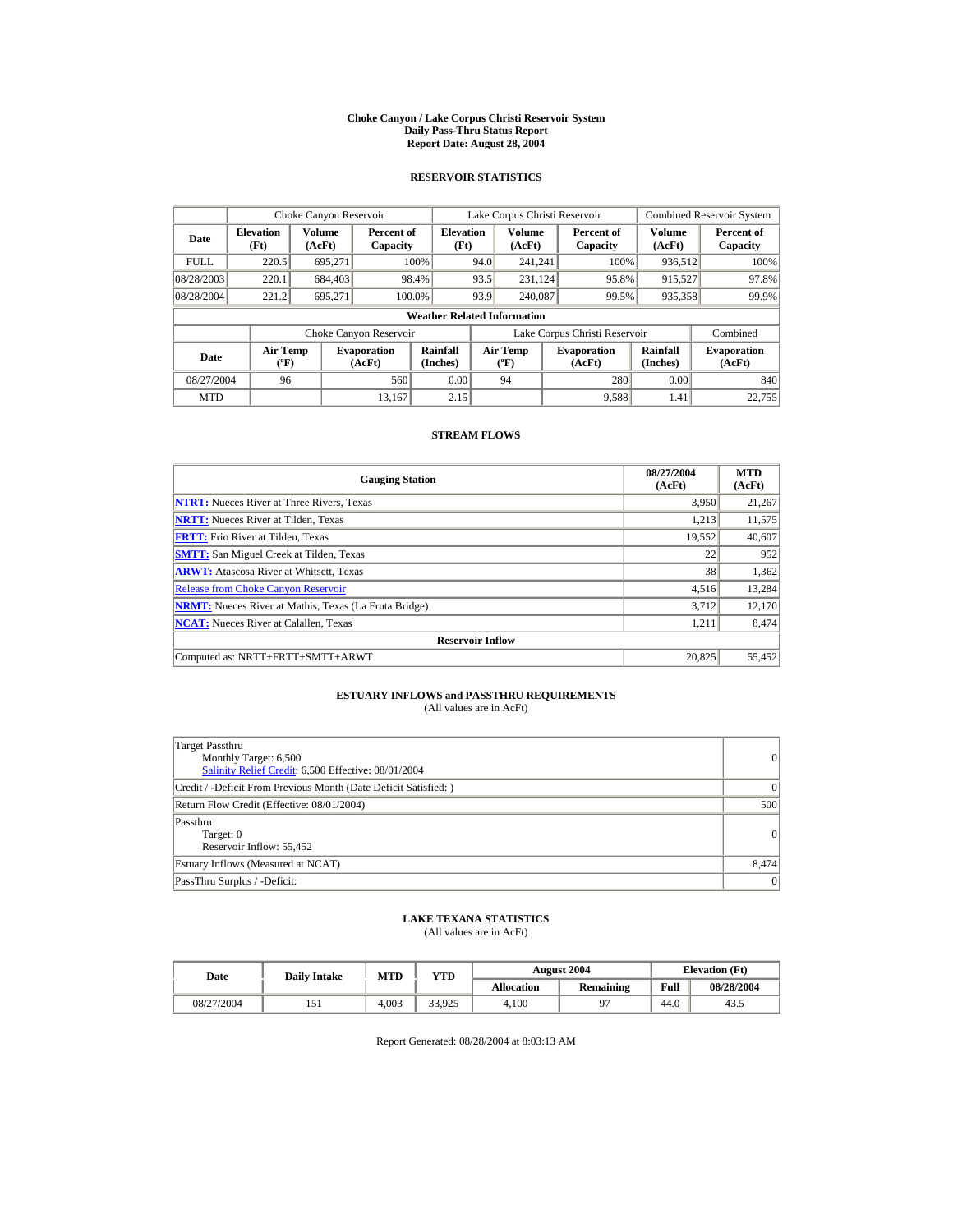#### **Choke Canyon / Lake Corpus Christi Reservoir System Daily Pass-Thru Status Report Report Date: August 28, 2004**

## **RESERVOIR STATISTICS**

|             | Choke Canyon Reservoir         |                         |                              |                                    |      | Lake Corpus Christi Reservoir     |                               |                         | <b>Combined Reservoir System</b> |
|-------------|--------------------------------|-------------------------|------------------------------|------------------------------------|------|-----------------------------------|-------------------------------|-------------------------|----------------------------------|
| Date        | <b>Elevation</b><br>(Ft)       | <b>Volume</b><br>(AcFt) | Percent of<br>Capacity       | <b>Elevation</b><br>(Ft)           |      | <b>Volume</b><br>(AcFt)           | Percent of<br>Capacity        | <b>Volume</b><br>(AcFt) | Percent of<br>Capacity           |
| <b>FULL</b> | 220.5                          | 695.271                 |                              | 100%                               | 94.0 | 241.241                           | 100%                          | 936,512                 | 100%                             |
| 08/28/2003  | 220.1                          | 684,403                 |                              | 98.4%                              | 93.5 | 231.124                           | 95.8%                         | 915,527                 | 97.8%                            |
| 08/28/2004  | 221.2                          | 695.271                 |                              | 100.0%                             | 93.9 | 240,087                           | 99.5%                         | 935,358                 | 99.9%                            |
|             |                                |                         |                              | <b>Weather Related Information</b> |      |                                   |                               |                         |                                  |
|             |                                |                         | Choke Canyon Reservoir       |                                    |      |                                   | Lake Corpus Christi Reservoir |                         | Combined                         |
| Date        | Air Temp<br>$({}^o\mathrm{F})$ |                         | <b>Evaporation</b><br>(AcFt) | Rainfall<br>(Inches)               |      | Air Temp<br>$({}^{\circ}{\rm F})$ | <b>Evaporation</b><br>(AcFt)  | Rainfall<br>(Inches)    | <b>Evaporation</b><br>(AcFt)     |
| 08/27/2004  | 96                             |                         | 560                          | 0.00                               |      | 94                                | 280                           | 0.00                    | 840                              |
| <b>MTD</b>  |                                |                         | 13.167                       | 2.15                               |      |                                   | 9,588                         | 1.41                    | 22,755                           |

## **STREAM FLOWS**

| <b>Gauging Station</b>                                       | 08/27/2004<br>(AcFt) | <b>MTD</b><br>(AcFt) |
|--------------------------------------------------------------|----------------------|----------------------|
| <b>NTRT:</b> Nueces River at Three Rivers, Texas             | 3,950                | 21,267               |
| <b>NRTT:</b> Nueces River at Tilden, Texas                   | 1.213                | 11,575               |
| <b>FRTT:</b> Frio River at Tilden, Texas                     | 19,552               | 40,607               |
| <b>SMTT:</b> San Miguel Creek at Tilden, Texas               | 22                   | 952                  |
| <b>ARWT:</b> Atascosa River at Whitsett, Texas               | 38                   | 1,362                |
| <b>Release from Choke Canyon Reservoir</b>                   | 4.516                | 13,284               |
| <b>NRMT:</b> Nueces River at Mathis, Texas (La Fruta Bridge) | 3.712                | 12,170               |
| <b>NCAT:</b> Nueces River at Calallen, Texas                 | 1,211                | 8,474                |
| <b>Reservoir Inflow</b>                                      |                      |                      |
| Computed as: NRTT+FRTT+SMTT+ARWT                             | 20.825               | 55,452               |

# **ESTUARY INFLOWS and PASSTHRU REQUIREMENTS**<br>(All values are in AcFt)

| Target Passthru<br>Monthly Target: 6,500<br>Salinity Relief Credit: 6,500 Effective: 08/01/2004 | 0              |
|-------------------------------------------------------------------------------------------------|----------------|
| Credit / -Deficit From Previous Month (Date Deficit Satisfied:)                                 | $\Omega$       |
| Return Flow Credit (Effective: 08/01/2004)                                                      | 500            |
| Passthru<br>Target: 0<br>Reservoir Inflow: 55,452                                               | $\overline{0}$ |
| Estuary Inflows (Measured at NCAT)                                                              | 8.474          |
| PassThru Surplus / -Deficit:                                                                    | 0              |

## **LAKE TEXANA STATISTICS**

(All values are in AcFt)

| Date       | <b>Daily Intake</b> | <b>MTD</b> | YTD    |                   | <b>August 2004</b> |      | <b>Elevation</b> (Ft) |
|------------|---------------------|------------|--------|-------------------|--------------------|------|-----------------------|
|            |                     |            |        | <b>Allocation</b> | <b>Remaining</b>   | Full | 08/28/2004            |
| 08/27/2004 |                     | 4.003      | 33.925 | 4.100             |                    | 44.0 | 43.5                  |

Report Generated: 08/28/2004 at 8:03:13 AM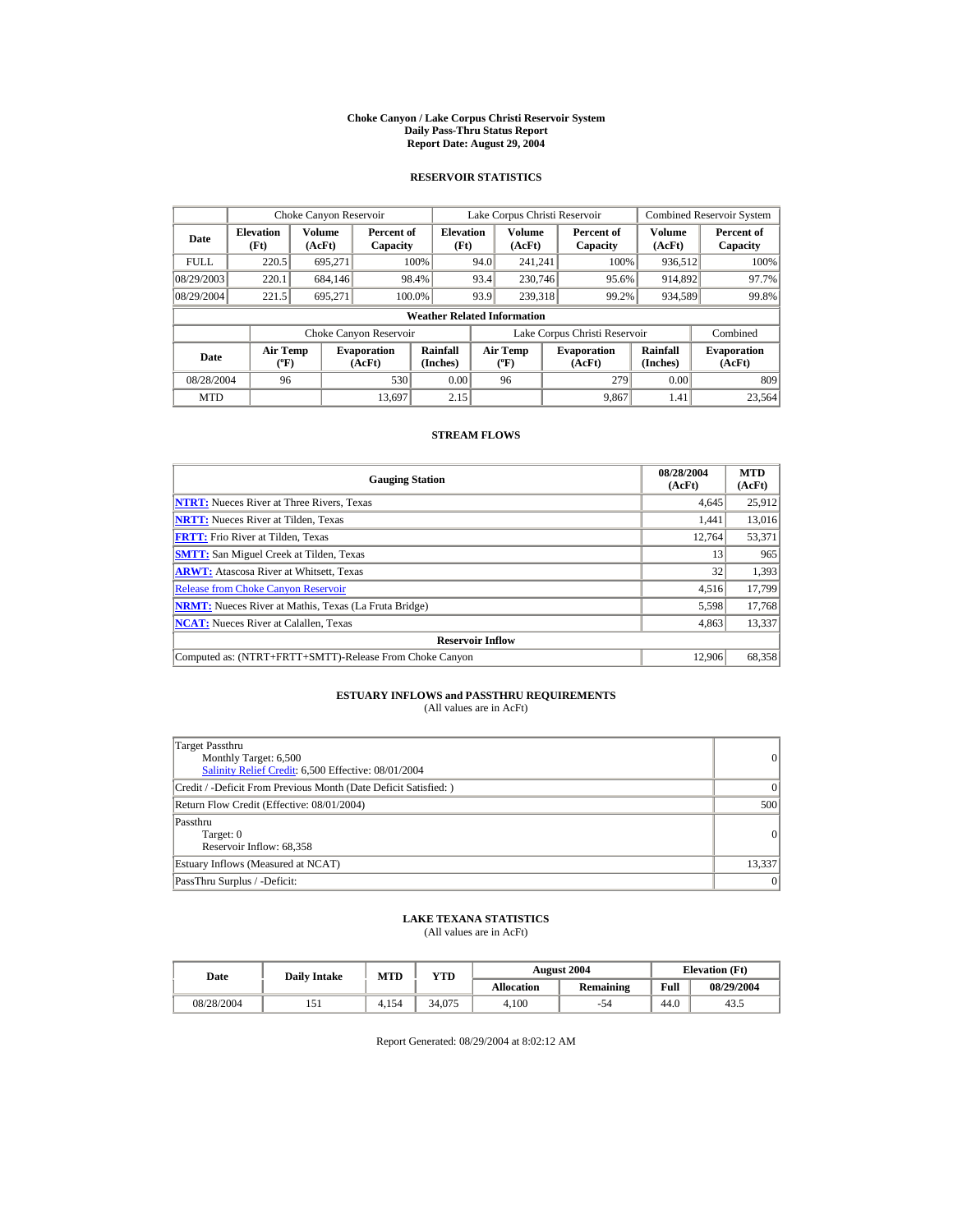#### **Choke Canyon / Lake Corpus Christi Reservoir System Daily Pass-Thru Status Report Report Date: August 29, 2004**

## **RESERVOIR STATISTICS**

|             | Choke Canyon Reservoir                      |                  |                              |                                    |      | Lake Corpus Christi Reservoir               |                               |                      | Combined Reservoir System    |
|-------------|---------------------------------------------|------------------|------------------------------|------------------------------------|------|---------------------------------------------|-------------------------------|----------------------|------------------------------|
| Date        | <b>Elevation</b><br>(Ft)                    | Volume<br>(AcFt) | Percent of<br>Capacity       | <b>Elevation</b><br>(Ft)           |      | Volume<br>(AcFt)                            | Percent of<br>Capacity        | Volume<br>(AcFt)     | Percent of<br>Capacity       |
| <b>FULL</b> | 220.5                                       | 695.271          |                              | 100%                               | 94.0 | 241.241                                     | 100%                          | 936,512              | 100%                         |
| 08/29/2003  | 220.1                                       | 684,146          |                              | 98.4%                              | 93.4 | 230,746                                     | 95.6%                         | 914,892              | 97.7%                        |
| 08/29/2004  | 221.5                                       | 695.271          | 100.0%                       |                                    | 93.9 | 239,318                                     | 99.2%                         | 934,589              | 99.8%                        |
|             |                                             |                  |                              | <b>Weather Related Information</b> |      |                                             |                               |                      |                              |
|             |                                             |                  | Choke Canyon Reservoir       |                                    |      |                                             | Lake Corpus Christi Reservoir |                      | Combined                     |
| Date        | <b>Air Temp</b><br>$({}^{\circ}\mathrm{F})$ |                  | <b>Evaporation</b><br>(AcFt) | Rainfall<br>(Inches)               |      | <b>Air Temp</b><br>$({}^{\circ}\mathbf{F})$ | <b>Evaporation</b><br>(AcFt)  | Rainfall<br>(Inches) | <b>Evaporation</b><br>(AcFt) |
| 08/28/2004  | 96                                          |                  | 530                          | 0.00                               |      | 96                                          | 279                           | 0.00                 | 809                          |
| <b>MTD</b>  |                                             |                  | 13.697                       | 2.15                               |      |                                             | 9.867                         | 1.41                 | 23,564                       |

## **STREAM FLOWS**

| <b>Gauging Station</b>                                       | 08/28/2004<br>(AcFt) | <b>MTD</b><br>(AcFt) |
|--------------------------------------------------------------|----------------------|----------------------|
| <b>NTRT:</b> Nueces River at Three Rivers, Texas             | 4,645                | 25,912               |
| <b>NRTT:</b> Nueces River at Tilden, Texas                   | 1.441                | 13,016               |
| <b>FRTT:</b> Frio River at Tilden, Texas                     | 12,764               | 53,371               |
| <b>SMTT:</b> San Miguel Creek at Tilden, Texas               | 13                   | 965                  |
| <b>ARWT:</b> Atascosa River at Whitsett, Texas               | 32                   | 1,393                |
| <b>Release from Choke Canyon Reservoir</b>                   | 4,516                | 17,799               |
| <b>NRMT:</b> Nueces River at Mathis, Texas (La Fruta Bridge) | 5,598                | 17,768               |
| <b>NCAT:</b> Nueces River at Calallen, Texas                 | 4,863                | 13,337               |
| <b>Reservoir Inflow</b>                                      |                      |                      |
| Computed as: (NTRT+FRTT+SMTT)-Release From Choke Canyon      | 12.906               | 68,358               |

# **ESTUARY INFLOWS and PASSTHRU REQUIREMENTS**<br>(All values are in AcFt)

| Target Passthru<br>Monthly Target: 6,500<br>Salinity Relief Credit: 6,500 Effective: 08/01/2004 | 0               |
|-------------------------------------------------------------------------------------------------|-----------------|
| Credit / -Deficit From Previous Month (Date Deficit Satisfied: )                                | 0               |
| Return Flow Credit (Effective: 08/01/2004)                                                      | 500             |
| Passthru<br>Target: 0<br>Reservoir Inflow: 68,358                                               | 0               |
| Estuary Inflows (Measured at NCAT)                                                              | 13,337          |
| PassThru Surplus / -Deficit:                                                                    | $\vert 0 \vert$ |

## **LAKE TEXANA STATISTICS**

(All values are in AcFt)

| Date       | <b>Daily Intake</b> | <b>MTD</b> | $_{\rm VTD}$ |                   | <b>August 2004</b> | <b>Elevation</b> (Ft) |            |
|------------|---------------------|------------|--------------|-------------------|--------------------|-----------------------|------------|
|            |                     |            |              | <b>Allocation</b> | Remaining          | Full                  | 08/29/2004 |
| 08/28/2004 |                     | 4.154      | 34.075       | 4.100             | 54                 | 44.0                  | 43.5       |

Report Generated: 08/29/2004 at 8:02:12 AM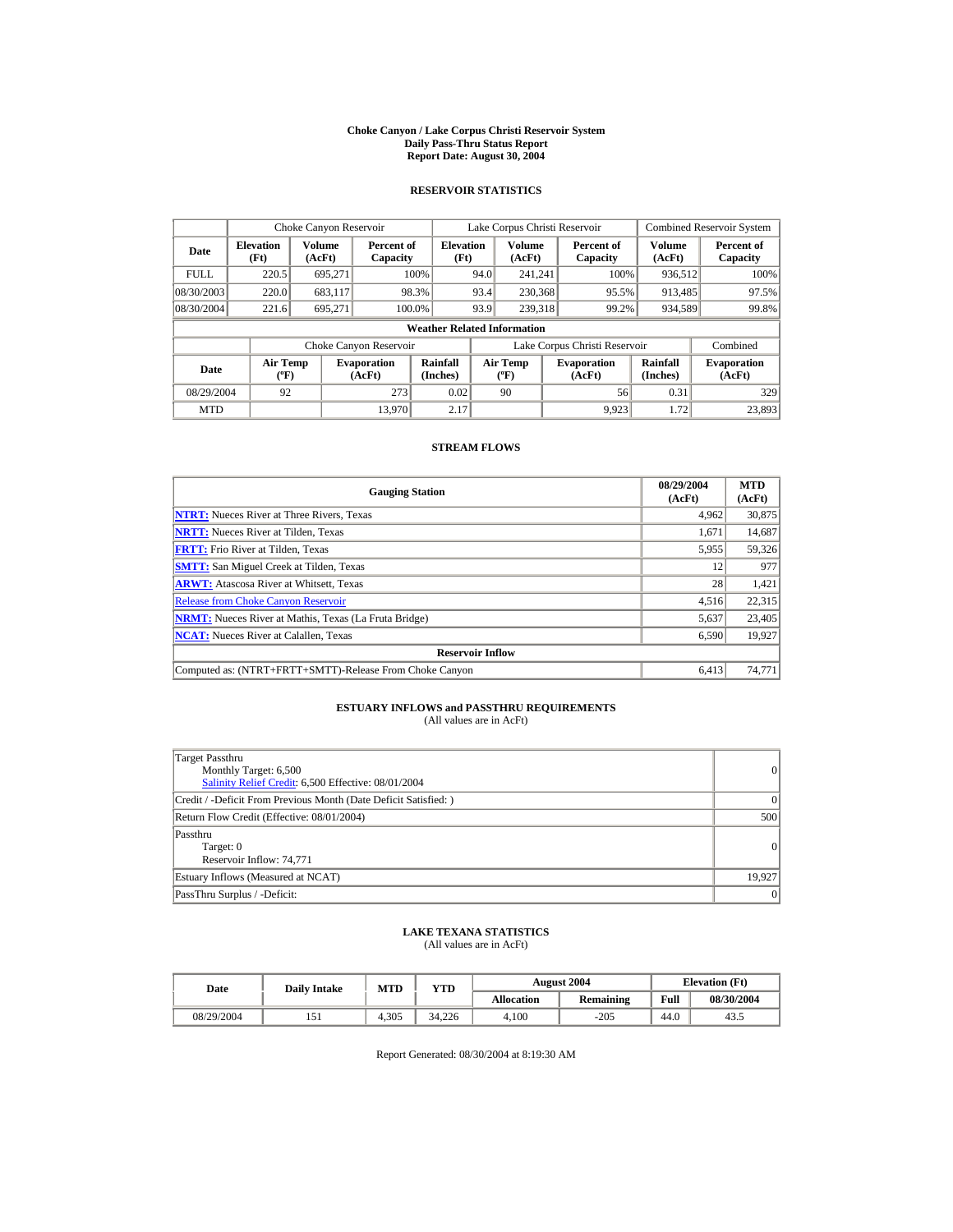#### **Choke Canyon / Lake Corpus Christi Reservoir System Daily Pass-Thru Status Report Report Date: August 30, 2004**

## **RESERVOIR STATISTICS**

|             | Choke Canyon Reservoir                |                         |                              |                                    |      | Lake Corpus Christi Reservoir             |                               |                      | <b>Combined Reservoir System</b> |
|-------------|---------------------------------------|-------------------------|------------------------------|------------------------------------|------|-------------------------------------------|-------------------------------|----------------------|----------------------------------|
| Date        | <b>Elevation</b><br>(Ft)              | <b>Volume</b><br>(AcFt) | Percent of<br>Capacity       | <b>Elevation</b><br>(Ft)           |      | Volume<br>(AcFt)                          | Percent of<br>Capacity        | Volume<br>(AcFt)     | Percent of<br>Capacity           |
| <b>FULL</b> | 220.5                                 | 695,271                 |                              | 100%                               | 94.0 | 241,241                                   | 100%                          | 936,512              | 100%                             |
| 08/30/2003  | 220.0                                 | 683.117                 |                              | 98.3%                              | 93.4 | 230,368                                   | 95.5%                         | 913.485              | 97.5%                            |
| 08/30/2004  | 221.6                                 | 695.271                 |                              | 100.0%                             | 93.9 | 239.318                                   | 99.2%                         | 934,589              | 99.8%                            |
|             |                                       |                         |                              | <b>Weather Related Information</b> |      |                                           |                               |                      |                                  |
|             |                                       |                         | Choke Canyon Reservoir       |                                    |      |                                           | Lake Corpus Christi Reservoir |                      | Combined                         |
| Date        | <b>Air Temp</b><br>$({}^o\mathrm{F})$ |                         | <b>Evaporation</b><br>(AcFt) | Rainfall<br>(Inches)               |      | <b>Air Temp</b><br>$({}^{\circ}\text{F})$ | <b>Evaporation</b><br>(AcFt)  | Rainfall<br>(Inches) | <b>Evaporation</b><br>(AcFt)     |
| 08/29/2004  | 92                                    |                         | 273                          | 0.02                               |      | 90                                        | 56                            | 0.31                 | 329                              |
| <b>MTD</b>  |                                       |                         | 13.970                       | 2.17                               |      |                                           | 9.923                         | 1.72                 | 23.893                           |

### **STREAM FLOWS**

| <b>Gauging Station</b>                                       | 08/29/2004<br>(AcFt) | <b>MTD</b><br>(AcFt) |
|--------------------------------------------------------------|----------------------|----------------------|
| <b>NTRT:</b> Nueces River at Three Rivers, Texas             | 4.962                | 30,875               |
| <b>NRTT:</b> Nueces River at Tilden, Texas                   | 1.671                | 14,687               |
| <b>FRTT:</b> Frio River at Tilden, Texas                     | 5,955                | 59,326               |
| <b>SMTT:</b> San Miguel Creek at Tilden, Texas               | 12                   | 977                  |
| <b>ARWT:</b> Atascosa River at Whitsett, Texas               | 28                   | 1,421                |
| <b>Release from Choke Canyon Reservoir</b>                   | 4,516                | 22,315               |
| <b>NRMT:</b> Nueces River at Mathis, Texas (La Fruta Bridge) | 5,637                | 23,405               |
| <b>NCAT:</b> Nueces River at Calallen, Texas                 | 6,590                | 19,927               |
| <b>Reservoir Inflow</b>                                      |                      |                      |
| Computed as: (NTRT+FRTT+SMTT)-Release From Choke Canyon      | 6.413                | 74,771               |

# **ESTUARY INFLOWS and PASSTHRU REQUIREMENTS**<br>(All values are in AcFt)

| Target Passthru<br>Monthly Target: 6,500<br>Salinity Relief Credit: 6,500 Effective: 08/01/2004 | $\vert$   |
|-------------------------------------------------------------------------------------------------|-----------|
| Credit / -Deficit From Previous Month (Date Deficit Satisfied:)                                 | $\Omega$  |
| Return Flow Credit (Effective: 08/01/2004)                                                      | 500       |
| Passthru<br>Target: 0<br>Reservoir Inflow: 74,771                                               | $\vert$   |
| Estuary Inflows (Measured at NCAT)                                                              | 19.927    |
| PassThru Surplus / -Deficit:                                                                    | $\vert$ 0 |

## **LAKE TEXANA STATISTICS** (All values are in AcFt)

| Date       | <b>Daily Intake</b> | <b>MTD</b> | VTD    |            | <b>August 2004</b> | <b>Elevation</b> (Ft) |            |
|------------|---------------------|------------|--------|------------|--------------------|-----------------------|------------|
|            |                     |            |        | Allocation | Remaining          | Full                  | 08/30/2004 |
| 08/29/2004 |                     | 4.305      | 34.226 | 4.100      | $-205$             | 44.0                  | 43.        |

Report Generated: 08/30/2004 at 8:19:30 AM